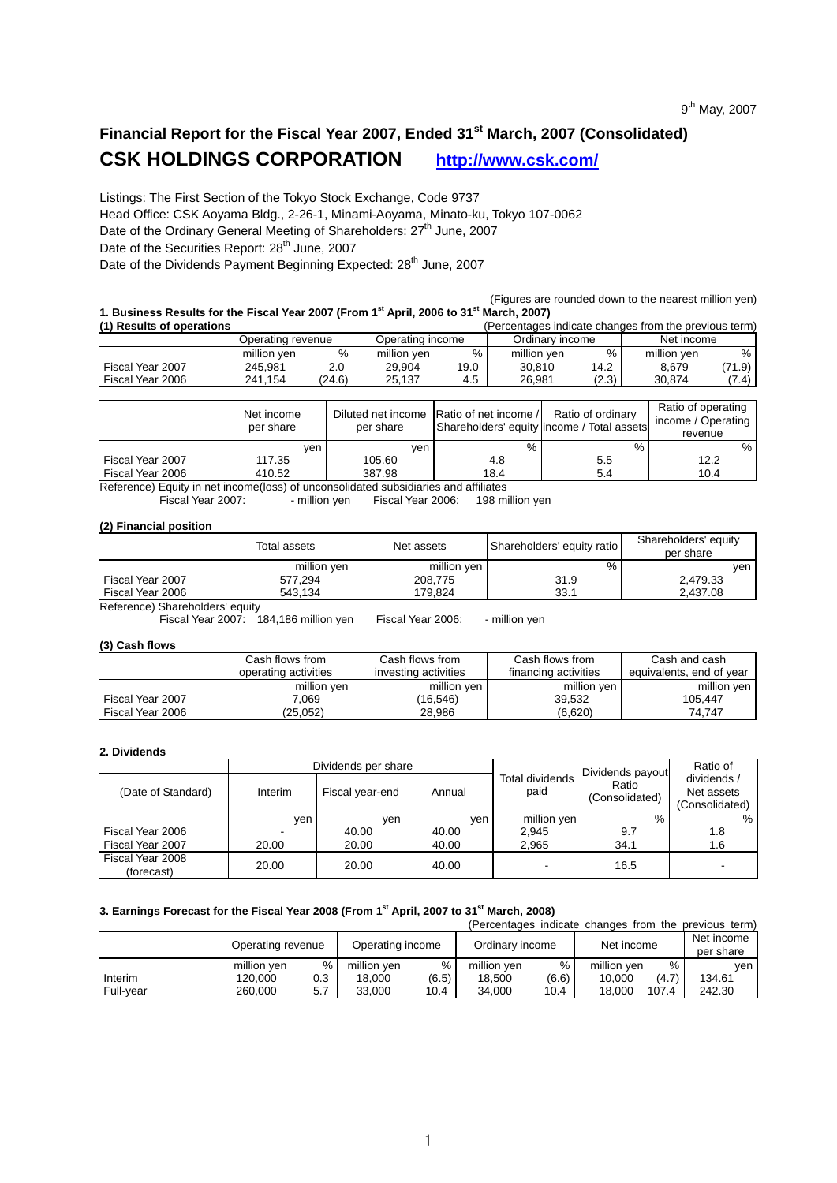# **Financial Report for the Fiscal Year 2007, Ended 31st March, 2007 (Consolidated) CSK HOLDINGS CORPORATION http://www.csk.com/**

Listings: The First Section of the Tokyo Stock Exchange, Code 9737 Head Office: CSK Aoyama Bldg., 2-26-1, Minami-Aoyama, Minato-ku, Tokyo 107-0062 Date of the Ordinary General Meeting of Shareholders: 27<sup>th</sup> June, 2007 Date of the Securities Report: 28<sup>th</sup> June, 2007

Date of the Dividends Payment Beginning Expected: 28<sup>th</sup> June, 2007

 (Figures are rounded down to the nearest million yen) **1. Business Results for the Fiscal Year 2007 (From 1st April, 2006 to 31st March, 2007)** 

| (1) Results of operations |                   |        |                  |      | (Percentages indicate changes from the previous term) |       |             |        |
|---------------------------|-------------------|--------|------------------|------|-------------------------------------------------------|-------|-------------|--------|
|                           | Operating revenue |        | Operating income |      | Ordinary income                                       |       | Net income  |        |
|                           | million yen       | %      | million yen      | %    | million yen                                           | $\%$  | million ven | % ।    |
| Fiscal Year 2007          | 245.981           | 2.0    | 29.904           | 19.0 | 30.810                                                | 14.2  | 8.679       | (71.9) |
| Fiscal Year 2006          | 241.154           | (24.6) | 25.137           | 4.5  | 26.981                                                | (2.3) | 30.874      | (7.4)  |

|                  | Net income<br>per share | per share | Diluted net income Ratio of net income / | Ratio of ordinary<br>Shareholders' equity lincome / Total assets | Ratio of operating<br>income / Operating<br>revenue |
|------------------|-------------------------|-----------|------------------------------------------|------------------------------------------------------------------|-----------------------------------------------------|
|                  | ven                     | ven       | %                                        | %                                                                | %                                                   |
| Fiscal Year 2007 | 117.35                  | 105.60    | 4.8                                      | 5.5                                                              | 12.2                                                |
| Fiscal Year 2006 | 410.52                  | 387.98    | 18.4                                     | 5.4                                                              | 10.4                                                |

Reference) Equity in net income(loss) of unconsolidated subsidiaries and affiliates<br>Fiscal Year 2007:  $\cdot$  million yen Fiscal Year 2006: 198 million

 $\sim$  - million yen Fiscal Year 2006: 198 million yen

#### **(2) Financial position**

|                                 | Total assets | Net assets  | Shareholders' equity ratio | Shareholders' equity<br>per share |
|---------------------------------|--------------|-------------|----------------------------|-----------------------------------|
|                                 | million yen  | million yen | %                          | ven                               |
| Fiscal Year 2007                | 577.294      | 208.775     | 31.9                       | 2.479.33                          |
| Fiscal Year 2006                | 543.134      | 179.824     | 33.1                       | 2.437.08                          |
| Deference) Charabeldere' cauju. |              |             |                            |                                   |

Reference) Shareholders' equity

Fiscal Year 2007: 184,186 million yen Fiscal Year 2006: - million yen

#### **(3) Cash flows**

|                  | Cash flows from .    | Cash flows from      | Cash flows from      | Cash and cash            |
|------------------|----------------------|----------------------|----------------------|--------------------------|
|                  | operating activities | investing activities | financing activities | equivalents, end of year |
|                  | million yen          | million ven          | million ven          | million ven              |
| Fiscal Year 2007 | 7.069                | (16, 546)            | 39.532               | 105.447                  |
| Fiscal Year 2006 | (25,052)             | 28,986               | (6,620)              | 74.747                   |

#### **2. Dividends**

|                                |         | Dividends per share |        |                         | Dividends payout        | Ratio of                                    |
|--------------------------------|---------|---------------------|--------|-------------------------|-------------------------|---------------------------------------------|
| (Date of Standard)             | Interim | Fiscal year-end     | Annual | Total dividends<br>paid | Ratio<br>(Consolidated) | dividends /<br>Net assets<br>(Consolidated) |
|                                | ven     | ven.                | ven    | million yen             | %                       | %                                           |
| Fiscal Year 2006               |         | 40.00               | 40.00  | 2.945                   | 9.7                     | 1.8                                         |
| Fiscal Year 2007               | 20.00   | 20.00               | 40.00  | 2.965                   | 34.1                    | 1.6                                         |
| Fiscal Year 2008<br>(forecast) | 20.00   | 20.00               | 40.00  |                         | 16.5                    |                                             |

### **3. Earnings Forecast for the Fiscal Year 2008 (From 1st April, 2007 to 31st March, 2008)**

|           |                   |     |                  |       |                 |       |             |       | (Percentages indicate changes from the previous term) |
|-----------|-------------------|-----|------------------|-------|-----------------|-------|-------------|-------|-------------------------------------------------------|
|           | Operating revenue |     | Operating income |       | Ordinary income |       | Net income  |       | Net income                                            |
|           |                   |     |                  |       |                 |       |             |       | per share                                             |
|           | million yen       | %   | million yen      | %     | million yen     | %     | million yen | $\%$  | ven                                                   |
| Interim   | 120.000           | 0.3 | 18.000           | (6.5) | 18.500          | (6.6) | 10.000      | (4.7) | 134.61                                                |
| Full-vear | 260.000           | 5.7 | 33.000           | 10.4  | 34.000          | 10.4  | 18,000      | 107.4 | 242.30                                                |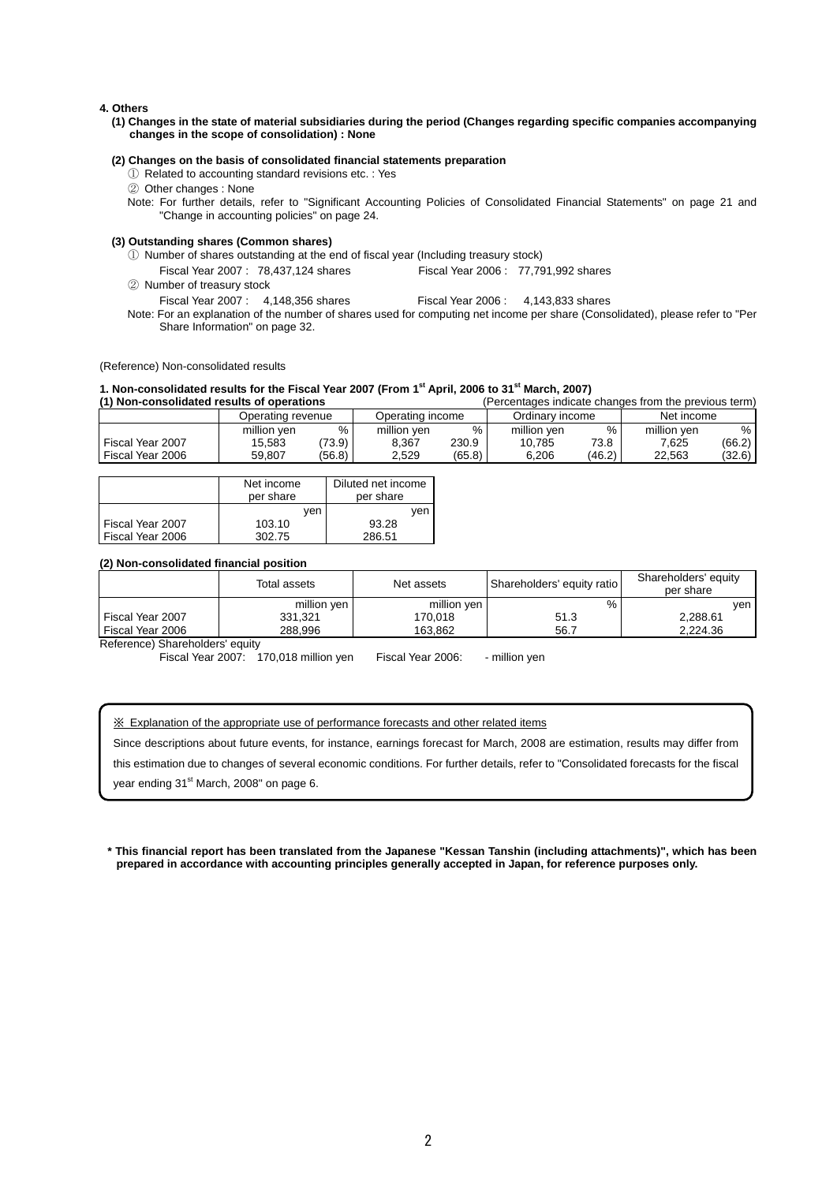#### **4. Others**

**(1) Changes in the state of material subsidiaries during the period (Changes regarding specific companies accompanying changes in the scope of consolidation) : None** 

#### **(2) Changes on the basis of consolidated financial statements preparation**

- ① Related to accounting standard revisions etc. : Yes
- ② Other changes : None
- Note: For further details, refer to "Significant Accounting Policies of Consolidated Financial Statements" on page 21 and "Change in accounting policies" on page 24.

#### **(3) Outstanding shares (Common shares)**

- ① Number of shares outstanding at the end of fiscal year (Including treasury stock)
- Fiscal Year 2007 : 78,437,124 shares Fiscal Year 2006 : 77,791,992 shares
- ② Number of treasury stock
	- Fiscal Year 2007 : 4,148,356 shares Fiscal Year 2006 : 4,143,833 shares
- Note: For an explanation of the number of shares used for computing net income per share (Consolidated), please refer to "Per Share Information" on page 32.

(Reference) Non-consolidated results

**1. Non-consolidated results for the Fiscal Year 2007 (From 1<sup>st</sup> April, 2006 to 31<sup>st</sup> March, 2007)<br>(1) Non-consolidated results of operations (Percentages indicate** (Percentages indicate changes from the previous term)

|                  | Operating revenue |        | Operating income |        | Ordinarv income |        | Net income  |        |
|------------------|-------------------|--------|------------------|--------|-----------------|--------|-------------|--------|
|                  | million ven       | %      | million yen      | $\%$   | million ven     | %      | million yen | %      |
| Fiscal Year 2007 | 15.583            | 73.9)  | 8.367            | 230.9  | 10.785          | 73.8   | 7.625       | (66.2) |
| Fiscal Year 2006 | 59.807            | (56.8) | 2,529            | (65.8) | 6.206           | (46.2) | 22.563      | (32.6) |

|                  | Net income<br>per share | Diluted net income<br>per share |
|------------------|-------------------------|---------------------------------|
|                  | ven                     | ven                             |
| Fiscal Year 2007 | 103.10                  | 93.28                           |
| Fiscal Year 2006 | 302.75                  | 286.51                          |

#### **(2) Non-consolidated financial position**

|                    | Total assets | Net assets  | Shareholders' equity ratio | Shareholders' equity<br>per share |
|--------------------|--------------|-------------|----------------------------|-----------------------------------|
|                    | million yen  | million yen | %                          | ven                               |
| l Fiscal Year 2007 | 331,321      | 170,018     | 51.3                       | 2,288.61                          |
| Fiscal Year 2006   | 288.996      | 163.862     | 56.7                       | 2.224.36                          |

Reference) Shareholders' equity

Fiscal Year 2007: 170,018 million yen Fiscal Year 2006: - million yen

※ Explanation of the appropriate use of performance forecasts and other related items

Since descriptions about future events, for instance, earnings forecast for March, 2008 are estimation, results may differ from

this estimation due to changes of several economic conditions. For further details, refer to "Consolidated forecasts for the fiscal

year ending 31<sup>st</sup> March, 2008" on page 6.

**\* This financial report has been translated from the Japanese "Kessan Tanshin (including attachments)", which has been prepared in accordance with accounting principles generally accepted in Japan, for reference purposes only.**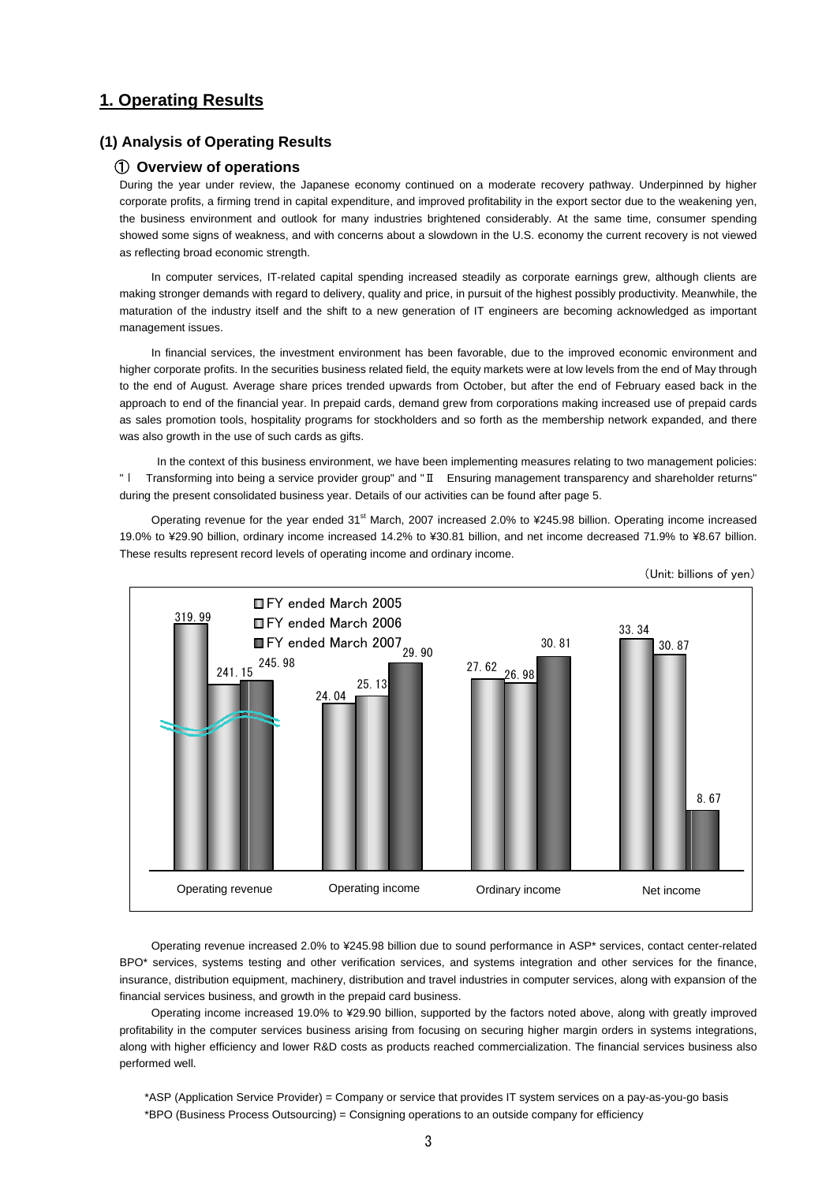## **1. Operating Results**

## **(1) Analysis of Operating Results**

#### ① **Overview of operations**

During the year under review, the Japanese economy continued on a moderate recovery pathway. Underpinned by higher corporate profits, a firming trend in capital expenditure, and improved profitability in the export sector due to the weakening yen, the business environment and outlook for many industries brightened considerably. At the same time, consumer spending showed some signs of weakness, and with concerns about a slowdown in the U.S. economy the current recovery is not viewed as reflecting broad economic strength.

In computer services, IT-related capital spending increased steadily as corporate earnings grew, although clients are making stronger demands with regard to delivery, quality and price, in pursuit of the highest possibly productivity. Meanwhile, the maturation of the industry itself and the shift to a new generation of IT engineers are becoming acknowledged as important management issues.

In financial services, the investment environment has been favorable, due to the improved economic environment and higher corporate profits. In the securities business related field, the equity markets were at low levels from the end of May through to the end of August. Average share prices trended upwards from October, but after the end of February eased back in the approach to end of the financial year. In prepaid cards, demand grew from corporations making increased use of prepaid cards as sales promotion tools, hospitality programs for stockholders and so forth as the membership network expanded, and there was also growth in the use of such cards as gifts.

 In the context of this business environment, we have been implementing measures relating to two management policies: "Ι Transforming into being a service provider group" and "Ⅱ Ensuring management transparency and shareholder returns" during the present consolidated business year. Details of our activities can be found after page 5.

Operating revenue for the year ended 31<sup>st</sup> March, 2007 increased 2.0% to ¥245.98 billion. Operating income increased 19.0% to ¥29.90 billion, ordinary income increased 14.2% to ¥30.81 billion, and net income decreased 71.9% to ¥8.67 billion. These results represent record levels of operating income and ordinary income.



(Unit: billions of yen)

Operating revenue increased 2.0% to ¥245.98 billion due to sound performance in ASP\* services, contact center-related BPO\* services, systems testing and other verification services, and systems integration and other services for the finance, insurance, distribution equipment, machinery, distribution and travel industries in computer services, along with expansion of the financial services business, and growth in the prepaid card business.

Operating income increased 19.0% to ¥29.90 billion, supported by the factors noted above, along with greatly improved profitability in the computer services business arising from focusing on securing higher margin orders in systems integrations, along with higher efficiency and lower R&D costs as products reached commercialization. The financial services business also performed well.

\*ASP (Application Service Provider) = Company or service that provides IT system services on a pay-as-you-go basis \*BPO (Business Process Outsourcing) = Consigning operations to an outside company for efficiency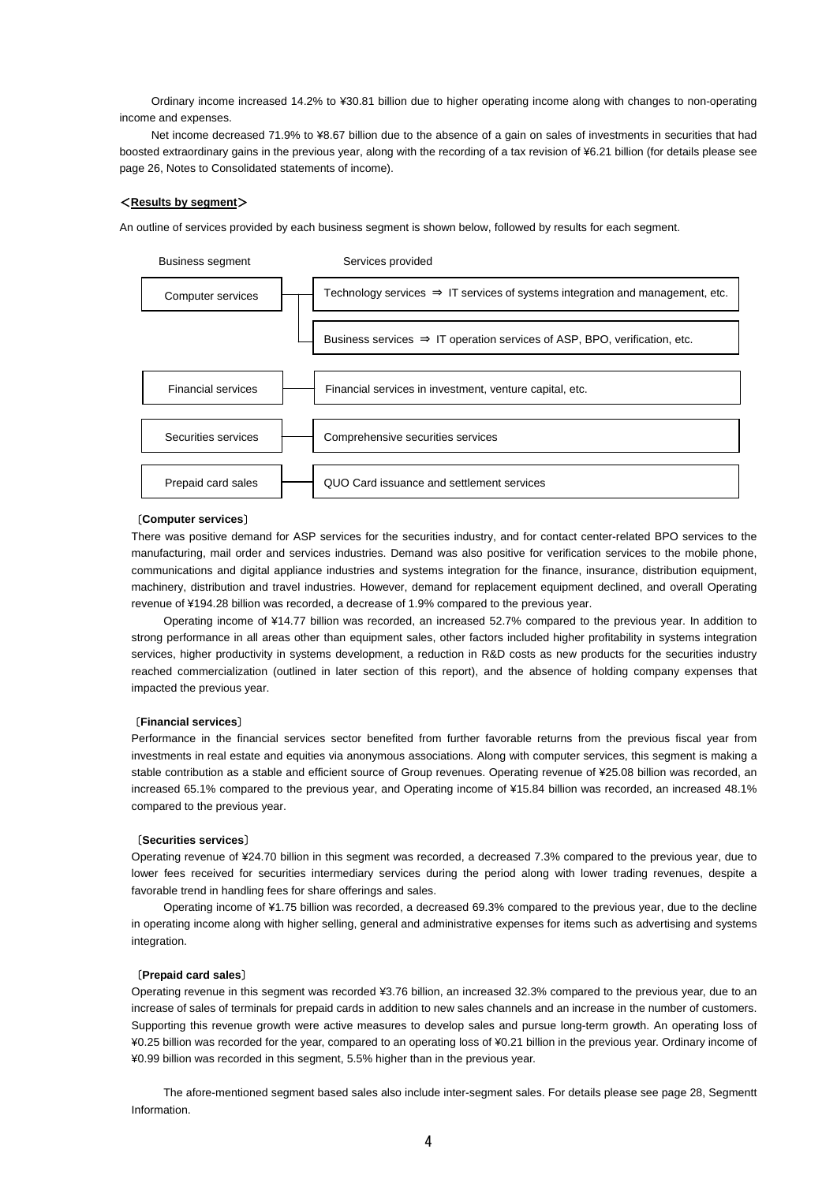Ordinary income increased 14.2% to ¥30.81 billion due to higher operating income along with changes to non-operating income and expenses.

Net income decreased 71.9% to ¥8.67 billion due to the absence of a gain on sales of investments in securities that had boosted extraordinary gains in the previous year, along with the recording of a tax revision of ¥6.21 billion (for details please see page 26, Notes to Consolidated statements of income).

#### <**Results by segment**>

An outline of services provided by each business segment is shown below, followed by results for each segment.



#### 〔**Computer services**〕

There was positive demand for ASP services for the securities industry, and for contact center-related BPO services to the manufacturing, mail order and services industries. Demand was also positive for verification services to the mobile phone, communications and digital appliance industries and systems integration for the finance, insurance, distribution equipment, machinery, distribution and travel industries. However, demand for replacement equipment declined, and overall Operating revenue of ¥194.28 billion was recorded, a decrease of 1.9% compared to the previous year.

Operating income of ¥14.77 billion was recorded, an increased 52.7% compared to the previous year. In addition to strong performance in all areas other than equipment sales, other factors included higher profitability in systems integration services, higher productivity in systems development, a reduction in R&D costs as new products for the securities industry reached commercialization (outlined in later section of this report), and the absence of holding company expenses that impacted the previous year.

#### 〔**Financial services**〕

Performance in the financial services sector benefited from further favorable returns from the previous fiscal year from investments in real estate and equities via anonymous associations. Along with computer services, this segment is making a stable contribution as a stable and efficient source of Group revenues. Operating revenue of ¥25.08 billion was recorded, an increased 65.1% compared to the previous year, and Operating income of ¥15.84 billion was recorded, an increased 48.1% compared to the previous year.

#### 〔**Securities services**〕

Operating revenue of ¥24.70 billion in this segment was recorded, a decreased 7.3% compared to the previous year, due to lower fees received for securities intermediary services during the period along with lower trading revenues, despite a favorable trend in handling fees for share offerings and sales.

Operating income of ¥1.75 billion was recorded, a decreased 69.3% compared to the previous year, due to the decline in operating income along with higher selling, general and administrative expenses for items such as advertising and systems integration.

#### 〔**Prepaid card sales**〕

Operating revenue in this segment was recorded ¥3.76 billion, an increased 32.3% compared to the previous year, due to an increase of sales of terminals for prepaid cards in addition to new sales channels and an increase in the number of customers. Supporting this revenue growth were active measures to develop sales and pursue long-term growth. An operating loss of ¥0.25 billion was recorded for the year, compared to an operating loss of ¥0.21 billion in the previous year. Ordinary income of ¥0.99 billion was recorded in this segment, 5.5% higher than in the previous year.

The afore-mentioned segment based sales also include inter-segment sales. For details please see page 28, Segmentt Information.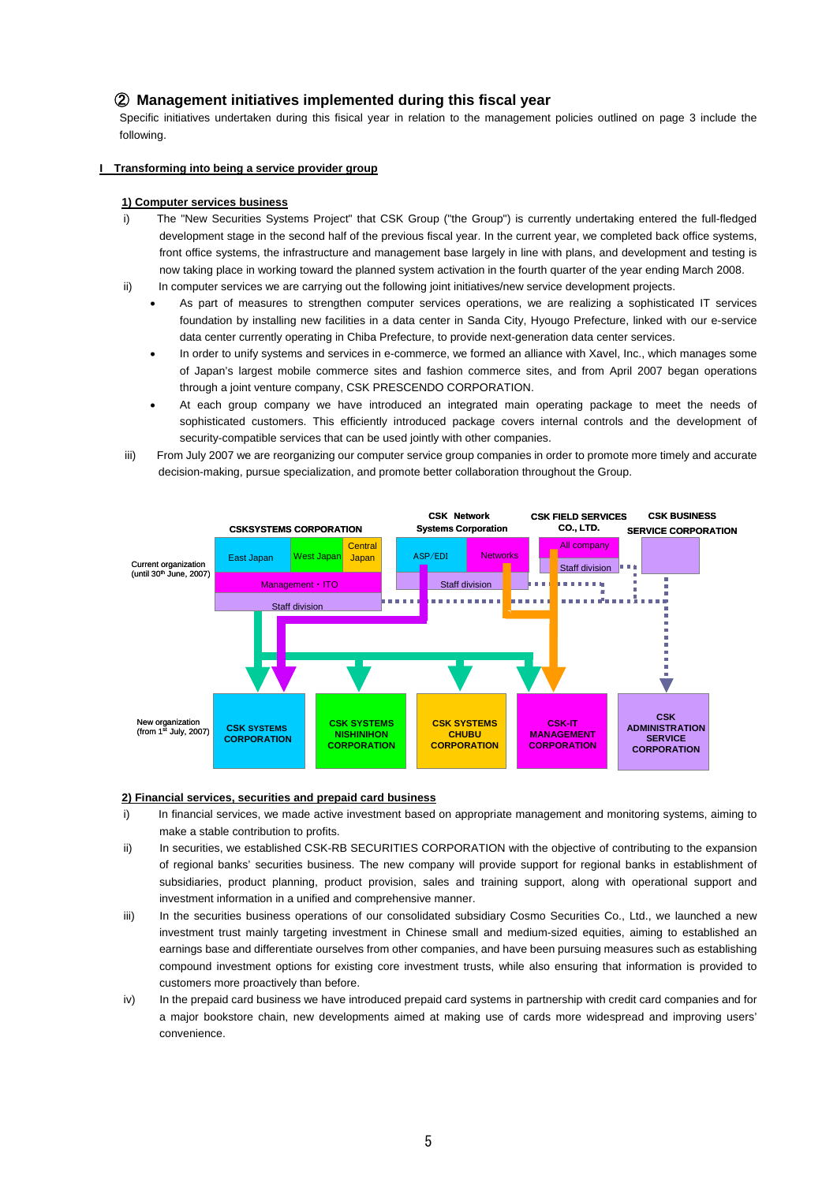## ② **Management initiatives implemented during this fiscal year**

Specific initiatives undertaken during this fisical year in relation to the management policies outlined on page 3 include the following.

#### **I Transforming into being a service provider group**

#### **1) Computer services business**

- i) The "New Securities Systems Project" that CSK Group ("the Group") is currently undertaking entered the full-fledged development stage in the second half of the previous fiscal year. In the current year, we completed back office systems, front office systems, the infrastructure and management base largely in line with plans, and development and testing is now taking place in working toward the planned system activation in the fourth quarter of the year ending March 2008.
- ii) In computer services we are carrying out the following joint initiatives/new service development projects.
	- As part of measures to strengthen computer services operations, we are realizing a sophisticated IT services foundation by installing new facilities in a data center in Sanda City, Hyougo Prefecture, linked with our e-service data center currently operating in Chiba Prefecture, to provide next-generation data center services.
	- In order to unify systems and services in e-commerce, we formed an alliance with Xavel, Inc., which manages some of Japan's largest mobile commerce sites and fashion commerce sites, and from April 2007 began operations through a joint venture company, CSK PRESCENDO CORPORATION.
	- At each group company we have introduced an integrated main operating package to meet the needs of sophisticated customers. This efficiently introduced package covers internal controls and the development of security-compatible services that can be used jointly with other companies.
- iii) From July 2007 we are reorganizing our computer service group companies in order to promote more timely and accurate decision-making, pursue specialization, and promote better collaboration throughout the Group.



#### **2) Financial services, securities and prepaid card business**

- i) In financial services, we made active investment based on appropriate management and monitoring systems, aiming to make a stable contribution to profits.
- ii) In securities, we established CSK-RB SECURITIES CORPORATION with the objective of contributing to the expansion of regional banks' securities business. The new company will provide support for regional banks in establishment of subsidiaries, product planning, product provision, sales and training support, along with operational support and investment information in a unified and comprehensive manner.
- iii) In the securities business operations of our consolidated subsidiary Cosmo Securities Co., Ltd., we launched a new investment trust mainly targeting investment in Chinese small and medium-sized equities, aiming to established an earnings base and differentiate ourselves from other companies, and have been pursuing measures such as establishing compound investment options for existing core investment trusts, while also ensuring that information is provided to customers more proactively than before.
- iv) In the prepaid card business we have introduced prepaid card systems in partnership with credit card companies and for a major bookstore chain, new developments aimed at making use of cards more widespread and improving users' convenience.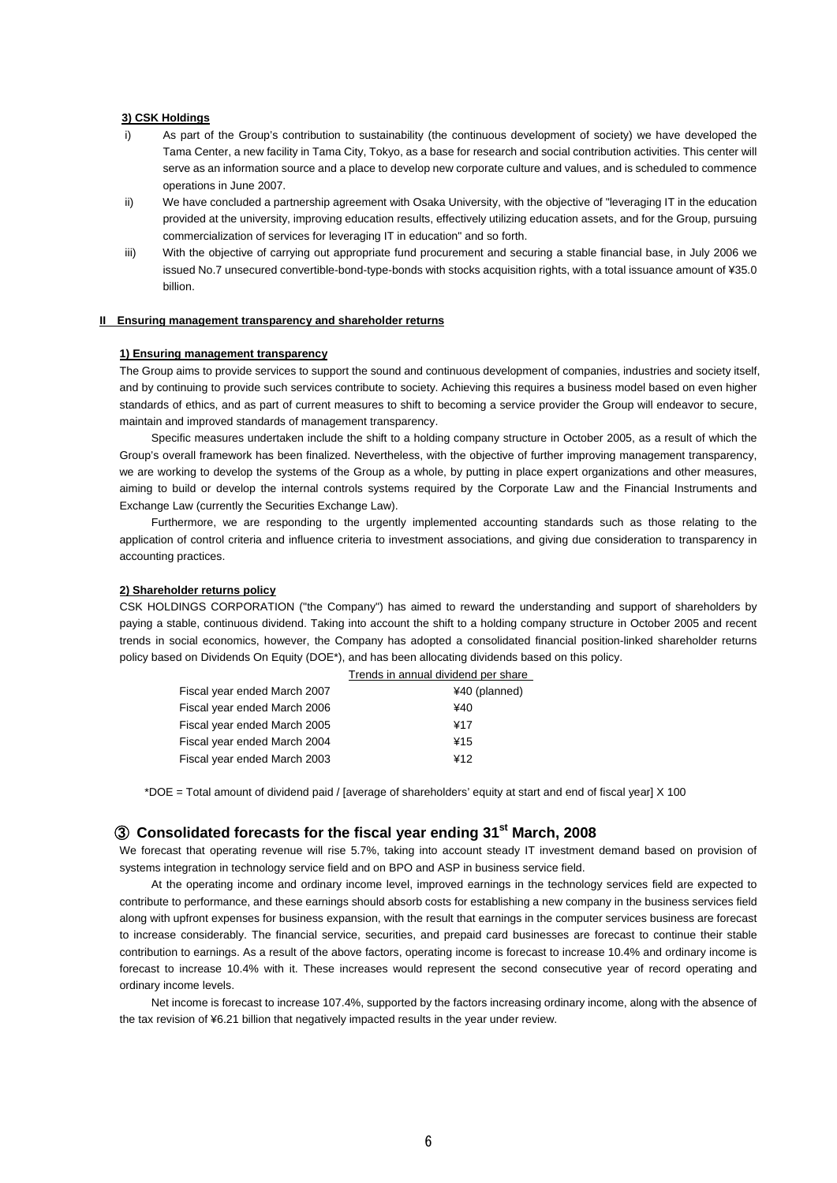#### **3) CSK Holdings**

- i) As part of the Group's contribution to sustainability (the continuous development of society) we have developed the Tama Center, a new facility in Tama City, Tokyo, as a base for research and social contribution activities. This center will serve as an information source and a place to develop new corporate culture and values, and is scheduled to commence operations in June 2007.
- ii) We have concluded a partnership agreement with Osaka University, with the objective of "leveraging IT in the education provided at the university, improving education results, effectively utilizing education assets, and for the Group, pursuing commercialization of services for leveraging IT in education" and so forth.
- iii) With the objective of carrying out appropriate fund procurement and securing a stable financial base, in July 2006 we issued No.7 unsecured convertible-bond-type-bonds with stocks acquisition rights, with a total issuance amount of ¥35.0 billion.

### **II Ensuring management transparency and shareholder returns**

#### **1) Ensuring management transparency**

The Group aims to provide services to support the sound and continuous development of companies, industries and society itself, and by continuing to provide such services contribute to society. Achieving this requires a business model based on even higher standards of ethics, and as part of current measures to shift to becoming a service provider the Group will endeavor to secure, maintain and improved standards of management transparency.

Specific measures undertaken include the shift to a holding company structure in October 2005, as a result of which the Group's overall framework has been finalized. Nevertheless, with the objective of further improving management transparency, we are working to develop the systems of the Group as a whole, by putting in place expert organizations and other measures, aiming to build or develop the internal controls systems required by the Corporate Law and the Financial Instruments and Exchange Law (currently the Securities Exchange Law).

Furthermore, we are responding to the urgently implemented accounting standards such as those relating to the application of control criteria and influence criteria to investment associations, and giving due consideration to transparency in accounting practices.

#### **2) Shareholder returns policy**

CSK HOLDINGS CORPORATION ("the Company") has aimed to reward the understanding and support of shareholders by paying a stable, continuous dividend. Taking into account the shift to a holding company structure in October 2005 and recent trends in social economics, however, the Company has adopted a consolidated financial position-linked shareholder returns policy based on Dividends On Equity (DOE\*), and has been allocating dividends based on this policy.

|                              | Trends in annual dividend per share |
|------------------------------|-------------------------------------|
| Fiscal year ended March 2007 | ¥40 (planned)                       |
| Fiscal year ended March 2006 | 440                                 |
| Fiscal year ended March 2005 | ¥17                                 |
| Fiscal year ended March 2004 | ¥15                                 |
| Fiscal year ended March 2003 | ¥12                                 |

\*DOE = Total amount of dividend paid / [average of shareholders' equity at start and end of fiscal year] X 100

## ③ **Consolidated forecasts for the fiscal year ending 31st March, 2008**

We forecast that operating revenue will rise 5.7%, taking into account steady IT investment demand based on provision of systems integration in technology service field and on BPO and ASP in business service field.

At the operating income and ordinary income level, improved earnings in the technology services field are expected to contribute to performance, and these earnings should absorb costs for establishing a new company in the business services field along with upfront expenses for business expansion, with the result that earnings in the computer services business are forecast to increase considerably. The financial service, securities, and prepaid card businesses are forecast to continue their stable contribution to earnings. As a result of the above factors, operating income is forecast to increase 10.4% and ordinary income is forecast to increase 10.4% with it. These increases would represent the second consecutive year of record operating and ordinary income levels.

Net income is forecast to increase 107.4%, supported by the factors increasing ordinary income, along with the absence of the tax revision of ¥6.21 billion that negatively impacted results in the year under review.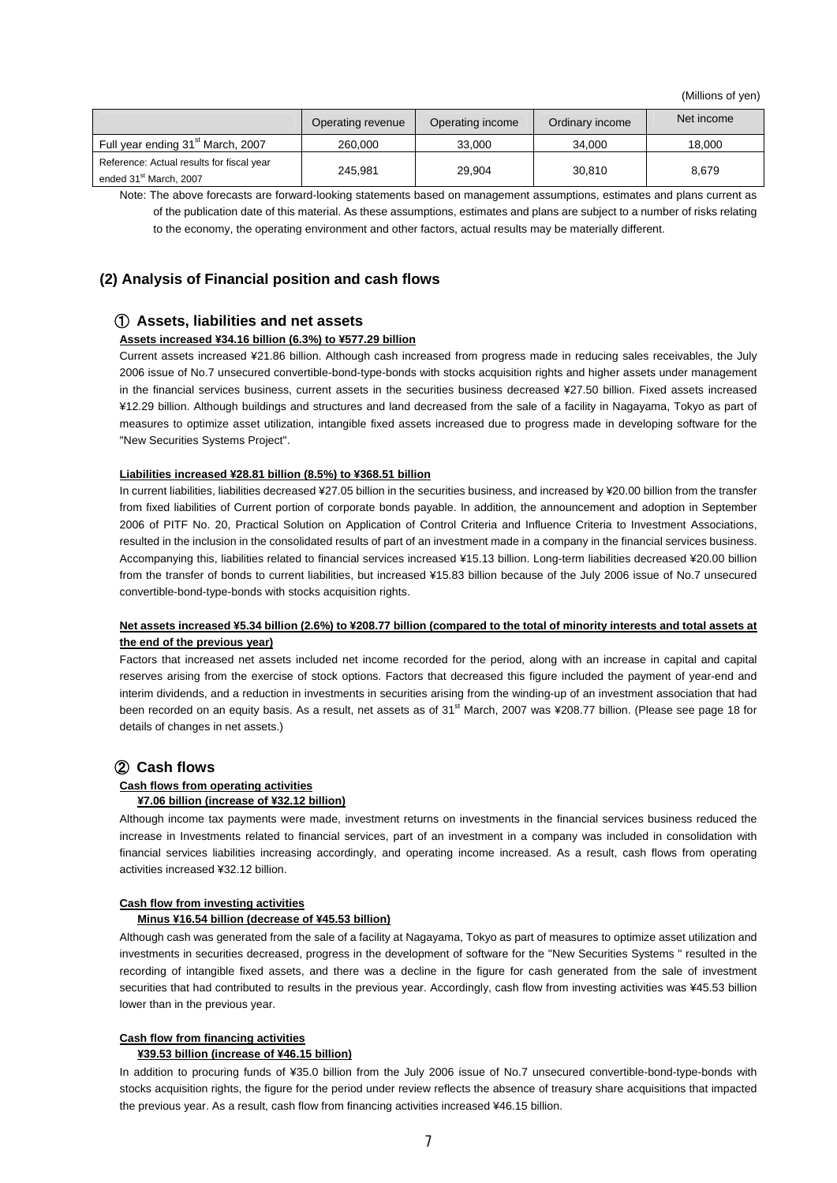(Millions of yen)

|                                                                                 | Operating revenue | Operating income | Ordinary income | Net income |
|---------------------------------------------------------------------------------|-------------------|------------------|-----------------|------------|
| Full year ending 31 <sup>st</sup> March, 2007                                   | 260,000           | 33.000           | 34.000          | 18.000     |
| Reference: Actual results for fiscal year<br>ended 31 <sup>st</sup> March, 2007 | 245.981           | 29.904           | 30.810          | 8.679      |

Note: The above forecasts are forward-looking statements based on management assumptions, estimates and plans current as of the publication date of this material. As these assumptions, estimates and plans are subject to a number of risks relating to the economy, the operating environment and other factors, actual results may be materially different.

## **(2) Analysis of Financial position and cash flows**

### ① **Assets, liabilities and net assets**

#### **Assets increased ¥34.16 billion (6.3%) to ¥577.29 billion**

Current assets increased ¥21.86 billion. Although cash increased from progress made in reducing sales receivables, the July 2006 issue of No.7 unsecured convertible-bond-type-bonds with stocks acquisition rights and higher assets under management in the financial services business, current assets in the securities business decreased ¥27.50 billion. Fixed assets increased ¥12.29 billion. Although buildings and structures and land decreased from the sale of a facility in Nagayama, Tokyo as part of measures to optimize asset utilization, intangible fixed assets increased due to progress made in developing software for the "New Securities Systems Project".

#### **Liabilities increased ¥28.81 billion (8.5%) to ¥368.51 billion**

In current liabilities, liabilities decreased ¥27.05 billion in the securities business, and increased by ¥20.00 billion from the transfer from fixed liabilities of Current portion of corporate bonds payable. In addition, the announcement and adoption in September 2006 of PITF No. 20, Practical Solution on Application of Control Criteria and Influence Criteria to Investment Associations, resulted in the inclusion in the consolidated results of part of an investment made in a company in the financial services business. Accompanying this, liabilities related to financial services increased ¥15.13 billion. Long-term liabilities decreased ¥20.00 billion from the transfer of bonds to current liabilities, but increased ¥15.83 billion because of the July 2006 issue of No.7 unsecured convertible-bond-type-bonds with stocks acquisition rights.

### **Net assets increased ¥5.34 billion (2.6%) to ¥208.77 billion (compared to the total of minority interests and total assets at the end of the previous year)**

Factors that increased net assets included net income recorded for the period, along with an increase in capital and capital reserves arising from the exercise of stock options. Factors that decreased this figure included the payment of year-end and interim dividends, and a reduction in investments in securities arising from the winding-up of an investment association that had been recorded on an equity basis. As a result, net assets as of 31<sup>st</sup> March, 2007 was ¥208.77 billion. (Please see page 18 for details of changes in net assets.)

## ② **Cash flows**

#### **Cash flows from operating activities**

#### **¥7.06 billion (increase of ¥32.12 billion)**

Although income tax payments were made, investment returns on investments in the financial services business reduced the increase in Investments related to financial services, part of an investment in a company was included in consolidation with financial services liabilities increasing accordingly, and operating income increased. As a result, cash flows from operating activities increased ¥32.12 billion.

#### **Cash flow from investing activities**

#### **Minus ¥16.54 billion (decrease of ¥45.53 billion)**

Although cash was generated from the sale of a facility at Nagayama, Tokyo as part of measures to optimize asset utilization and investments in securities decreased, progress in the development of software for the "New Securities Systems " resulted in the recording of intangible fixed assets, and there was a decline in the figure for cash generated from the sale of investment securities that had contributed to results in the previous year. Accordingly, cash flow from investing activities was ¥45.53 billion lower than in the previous year.

### **Cash flow from financing activities**

#### **¥39.53 billion (increase of ¥46.15 billion)**

In addition to procuring funds of ¥35.0 billion from the July 2006 issue of No.7 unsecured convertible-bond-type-bonds with stocks acquisition rights, the figure for the period under review reflects the absence of treasury share acquisitions that impacted the previous year. As a result, cash flow from financing activities increased ¥46.15 billion.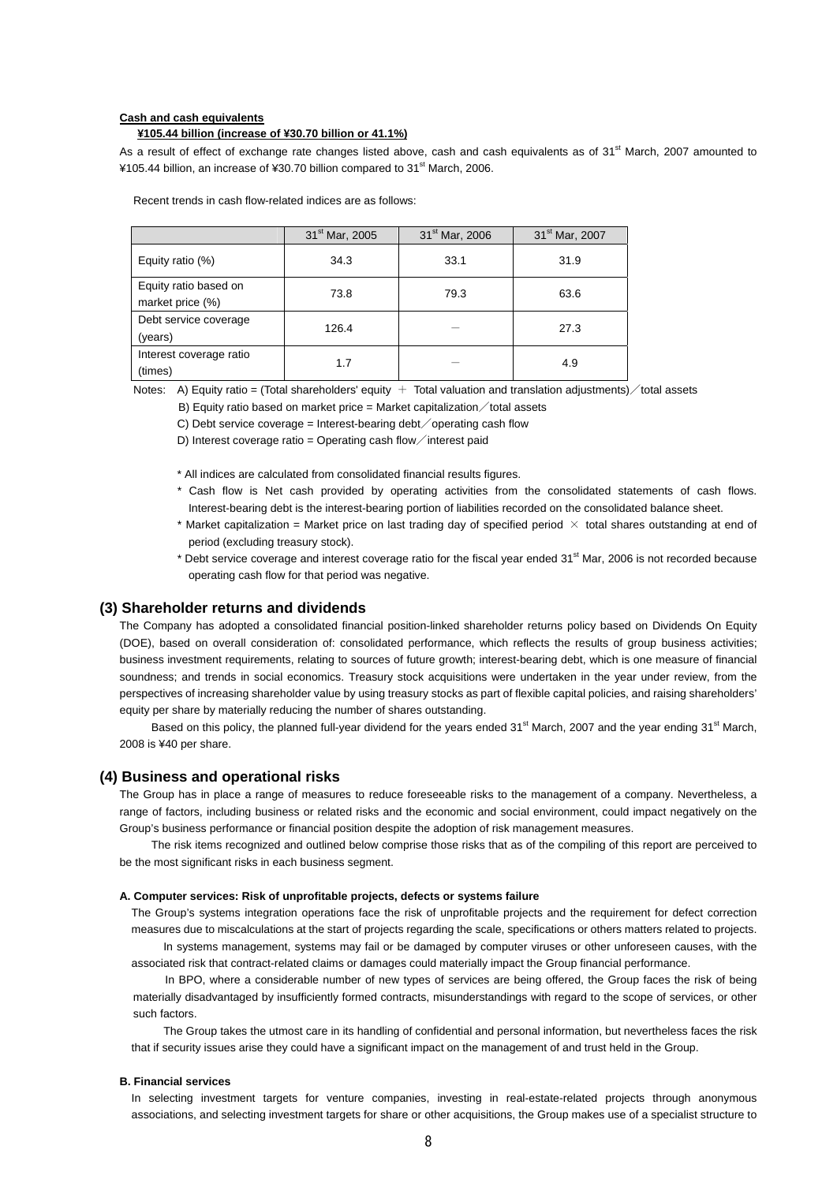#### **Cash and cash equivalents**

#### **¥105.44 billion (increase of ¥30.70 billion or 41.1%)**

As a result of effect of exchange rate changes listed above, cash and cash equivalents as of 31<sup>st</sup> March, 2007 amounted to ¥105.44 billion, an increase of ¥30.70 billion compared to 31st March, 2006.

Recent trends in cash flow-related indices are as follows:

|                                           | 31 <sup>st</sup> Mar, 2005 | 31 <sup>st</sup> Mar, 2006 | 31 <sup>st</sup> Mar, 2007 |
|-------------------------------------------|----------------------------|----------------------------|----------------------------|
| Equity ratio (%)                          | 34.3                       | 33.1                       | 31.9                       |
| Equity ratio based on<br>market price (%) | 73.8                       | 79.3                       | 63.6                       |
| Debt service coverage<br>(years)          | 126.4                      |                            | 27.3                       |
| Interest coverage ratio<br>(times)        | 1.7                        |                            | 4.9                        |

Notes: A) Equity ratio = (Total shareholders' equity  $+$  Total valuation and translation adjustments)  $\diagup$  total assets

B) Equity ratio based on market price = Market capitalization  $\diagup$  total assets

C) Debt service coverage = Interest-bearing debt  $\diagup$  operating cash flow

D) Interest coverage ratio = Operating cash flow interest paid

\* All indices are calculated from consolidated financial results figures.

- \* Cash flow is Net cash provided by operating activities from the consolidated statements of cash flows. Interest-bearing debt is the interest-bearing portion of liabilities recorded on the consolidated balance sheet.
- \* Market capitalization = Market price on last trading day of specified period  $\times$  total shares outstanding at end of period (excluding treasury stock).
- \* Debt service coverage and interest coverage ratio for the fiscal year ended 31<sup>st</sup> Mar, 2006 is not recorded because operating cash flow for that period was negative.

### **(3) Shareholder returns and dividends**

The Company has adopted a consolidated financial position-linked shareholder returns policy based on Dividends On Equity (DOE), based on overall consideration of: consolidated performance, which reflects the results of group business activities; business investment requirements, relating to sources of future growth; interest-bearing debt, which is one measure of financial soundness; and trends in social economics. Treasury stock acquisitions were undertaken in the year under review, from the perspectives of increasing shareholder value by using treasury stocks as part of flexible capital policies, and raising shareholders' equity per share by materially reducing the number of shares outstanding.

Based on this policy, the planned full-year dividend for the years ended 31<sup>st</sup> March, 2007 and the year ending 31<sup>st</sup> March, 2008 is ¥40 per share.

### **(4) Business and operational risks**

The Group has in place a range of measures to reduce foreseeable risks to the management of a company. Nevertheless, a range of factors, including business or related risks and the economic and social environment, could impact negatively on the Group's business performance or financial position despite the adoption of risk management measures.

The risk items recognized and outlined below comprise those risks that as of the compiling of this report are perceived to be the most significant risks in each business segment.

#### **A. Computer services: Risk of unprofitable projects, defects or systems failure**

The Group's systems integration operations face the risk of unprofitable projects and the requirement for defect correction measures due to miscalculations at the start of projects regarding the scale, specifications or others matters related to projects. In systems management, systems may fail or be damaged by computer viruses or other unforeseen causes, with the

associated risk that contract-related claims or damages could materially impact the Group financial performance.

In BPO, where a considerable number of new types of services are being offered, the Group faces the risk of being materially disadvantaged by insufficiently formed contracts, misunderstandings with regard to the scope of services, or other such factors.

The Group takes the utmost care in its handling of confidential and personal information, but nevertheless faces the risk that if security issues arise they could have a significant impact on the management of and trust held in the Group.

#### **B. Financial services**

In selecting investment targets for venture companies, investing in real-estate-related projects through anonymous associations, and selecting investment targets for share or other acquisitions, the Group makes use of a specialist structure to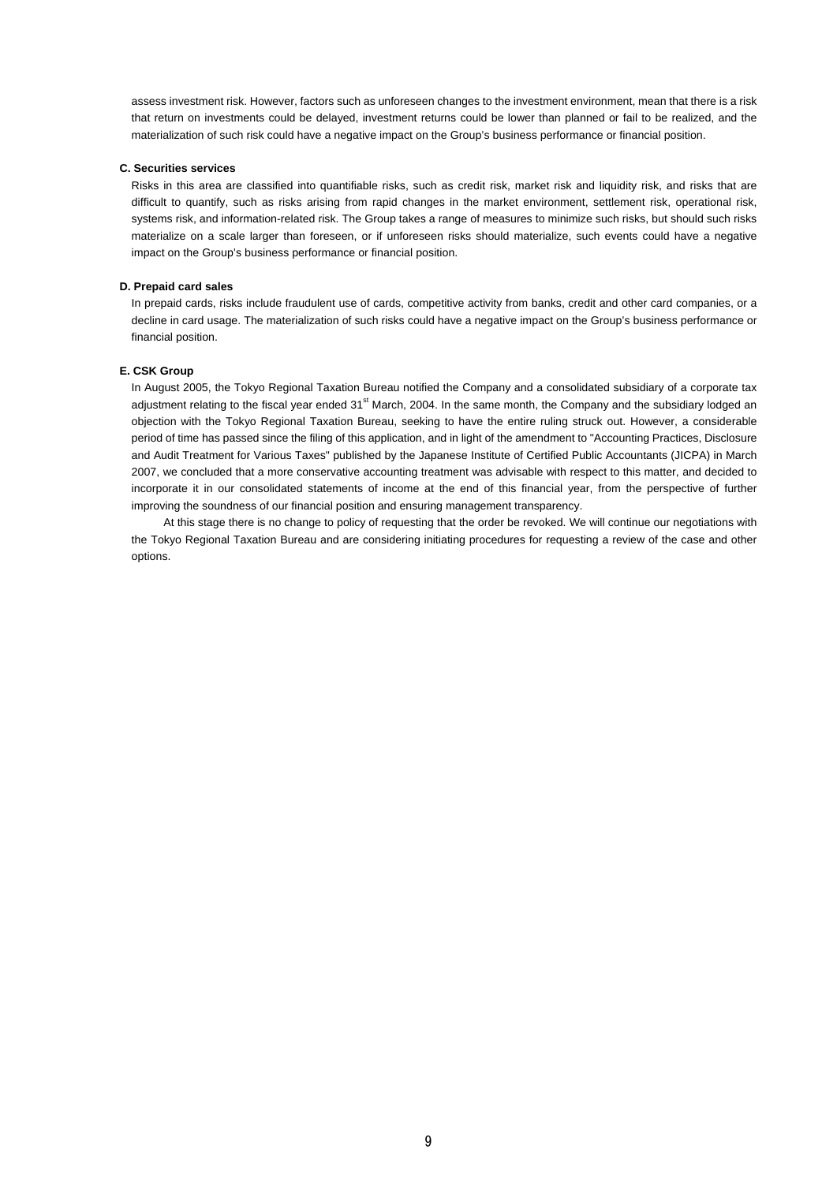assess investment risk. However, factors such as unforeseen changes to the investment environment, mean that there is a risk that return on investments could be delayed, investment returns could be lower than planned or fail to be realized, and the materialization of such risk could have a negative impact on the Group's business performance or financial position.

#### **C. Securities services**

Risks in this area are classified into quantifiable risks, such as credit risk, market risk and liquidity risk, and risks that are difficult to quantify, such as risks arising from rapid changes in the market environment, settlement risk, operational risk, systems risk, and information-related risk. The Group takes a range of measures to minimize such risks, but should such risks materialize on a scale larger than foreseen, or if unforeseen risks should materialize, such events could have a negative impact on the Group's business performance or financial position.

#### **D. Prepaid card sales**

In prepaid cards, risks include fraudulent use of cards, competitive activity from banks, credit and other card companies, or a decline in card usage. The materialization of such risks could have a negative impact on the Group's business performance or financial position.

#### **E. CSK Group**

In August 2005, the Tokyo Regional Taxation Bureau notified the Company and a consolidated subsidiary of a corporate tax adjustment relating to the fiscal year ended 31<sup>st</sup> March, 2004. In the same month, the Company and the subsidiary lodged an objection with the Tokyo Regional Taxation Bureau, seeking to have the entire ruling struck out. However, a considerable period of time has passed since the filing of this application, and in light of the amendment to "Accounting Practices, Disclosure and Audit Treatment for Various Taxes" published by the Japanese Institute of Certified Public Accountants (JICPA) in March 2007, we concluded that a more conservative accounting treatment was advisable with respect to this matter, and decided to incorporate it in our consolidated statements of income at the end of this financial year, from the perspective of further improving the soundness of our financial position and ensuring management transparency.

At this stage there is no change to policy of requesting that the order be revoked. We will continue our negotiations with the Tokyo Regional Taxation Bureau and are considering initiating procedures for requesting a review of the case and other options.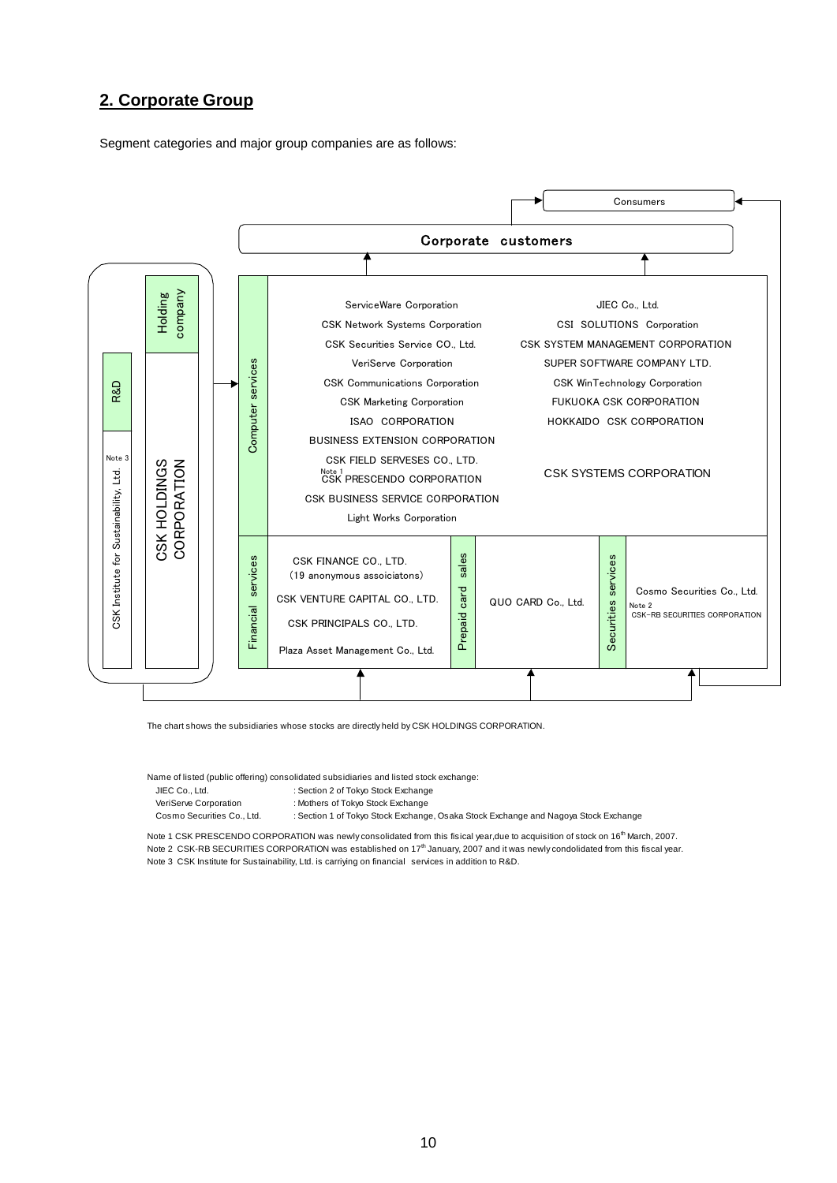## **2. Corporate Group**

Segment categories and major group companies are as follows:



The chart shows the subsidiaries whose stocks are directly held by CSK HOLDINGS CORPORATION.

Name of listed (public offering) consolidated subsidiaries and listed stock exchange:

: Section 2 of Tokyo Stock Exchange VeriServe Corporation : Mothers of Tokyo Stock Exchange

Cosmo Securities Co., Ltd. : Section 1 of Tokyo Stock Exchange, Osaka Stock Exchange and Nagoya Stock Exchange

Note 1 CSK PRESCENDO CORPORATION was newly consolidated from this fisical year,due to acquisition of stock on 16<sup>th</sup> March, 2007. Note 2 CSK-RB SECURITIES CORPORATION was established on 17<sup>th</sup> January, 2007 and it was newly condolidated from this fiscal year. Note 3 CSK Institute for Sustainability, Ltd. is carriying on financial services in addition to R&D.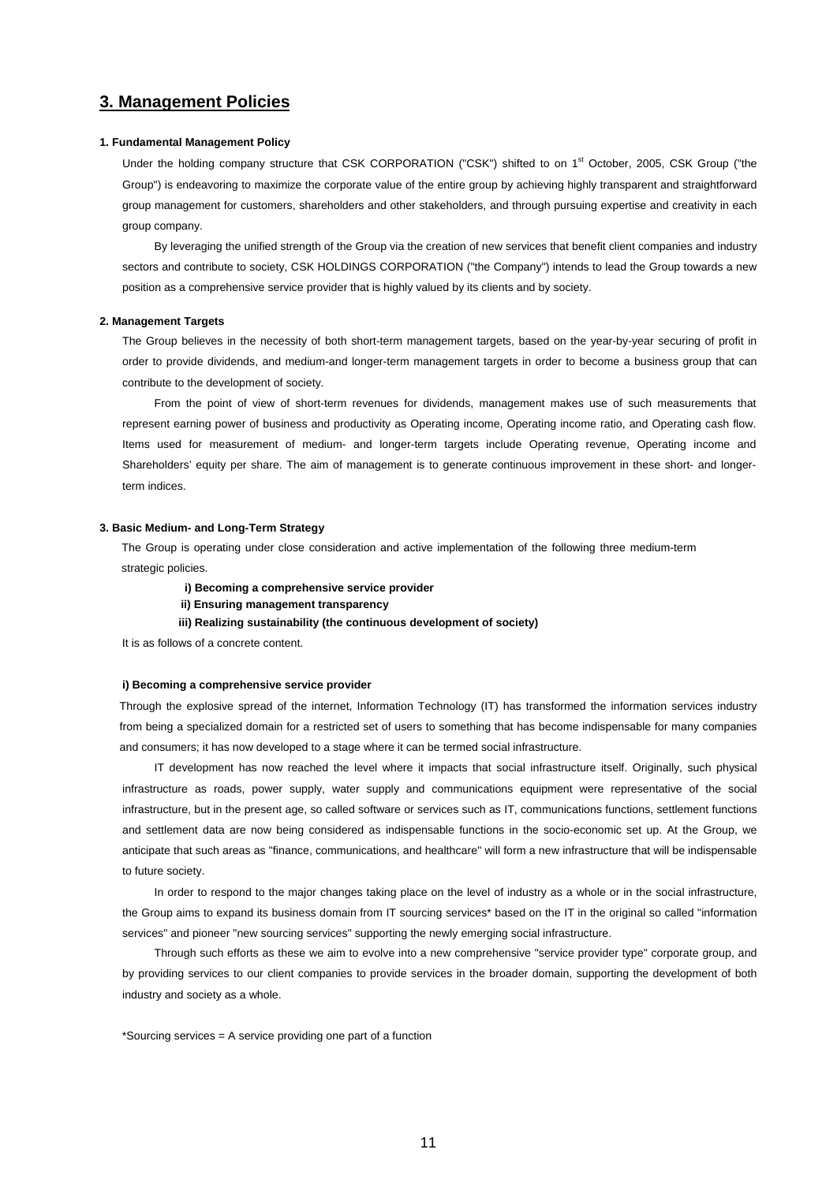## **3. Management Policies**

#### **1. Fundamental Management Policy**

Under the holding company structure that CSK CORPORATION ("CSK") shifted to on 1<sup>st</sup> October, 2005, CSK Group ("the Group") is endeavoring to maximize the corporate value of the entire group by achieving highly transparent and straightforward group management for customers, shareholders and other stakeholders, and through pursuing expertise and creativity in each group company.

By leveraging the unified strength of the Group via the creation of new services that benefit client companies and industry sectors and contribute to society, CSK HOLDINGS CORPORATION ("the Company") intends to lead the Group towards a new position as a comprehensive service provider that is highly valued by its clients and by society.

#### **2. Management Targets**

The Group believes in the necessity of both short-term management targets, based on the year-by-year securing of profit in order to provide dividends, and medium-and longer-term management targets in order to become a business group that can contribute to the development of society.

From the point of view of short-term revenues for dividends, management makes use of such measurements that represent earning power of business and productivity as Operating income, Operating income ratio, and Operating cash flow. Items used for measurement of medium- and longer-term targets include Operating revenue, Operating income and Shareholders' equity per share. The aim of management is to generate continuous improvement in these short- and longerterm indices.

#### **3. Basic Medium- and Long-Term Strategy**

The Group is operating under close consideration and active implementation of the following three medium-term strategic policies.

- **i) Becoming a comprehensive service provider**
- **ii) Ensuring management transparency**
- **iii) Realizing sustainability (the continuous development of society)**

It is as follows of a concrete content.

#### **i) Becoming a comprehensive service provider**

Through the explosive spread of the internet, Information Technology (IT) has transformed the information services industry from being a specialized domain for a restricted set of users to something that has become indispensable for many companies and consumers; it has now developed to a stage where it can be termed social infrastructure.

IT development has now reached the level where it impacts that social infrastructure itself. Originally, such physical infrastructure as roads, power supply, water supply and communications equipment were representative of the social infrastructure, but in the present age, so called software or services such as IT, communications functions, settlement functions and settlement data are now being considered as indispensable functions in the socio-economic set up. At the Group, we anticipate that such areas as "finance, communications, and healthcare" will form a new infrastructure that will be indispensable to future society.

In order to respond to the major changes taking place on the level of industry as a whole or in the social infrastructure, the Group aims to expand its business domain from IT sourcing services\* based on the IT in the original so called "information services" and pioneer "new sourcing services" supporting the newly emerging social infrastructure.

Through such efforts as these we aim to evolve into a new comprehensive "service provider type" corporate group, and by providing services to our client companies to provide services in the broader domain, supporting the development of both industry and society as a whole.

\*Sourcing services = A service providing one part of a function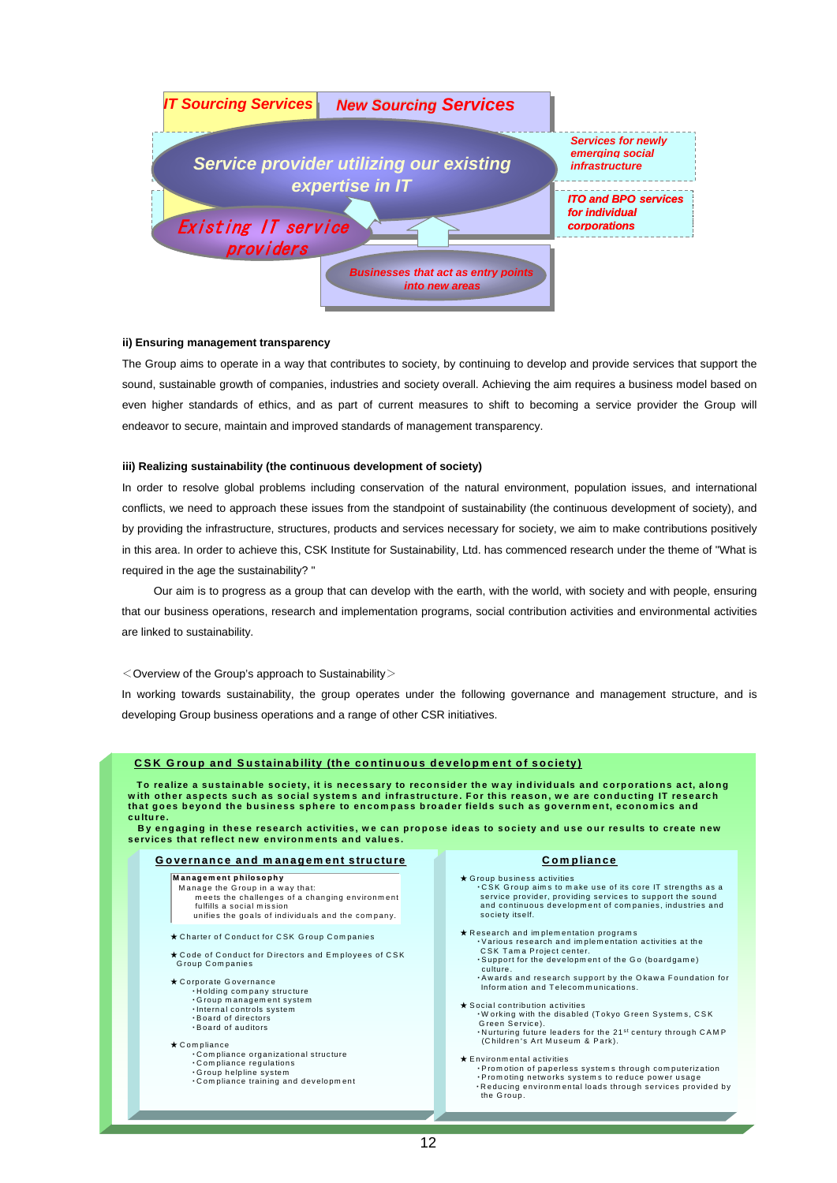

#### **ii) Ensuring management transparency**

The Group aims to operate in a way that contributes to society, by continuing to develop and provide services that support the sound, sustainable growth of companies, industries and society overall. Achieving the aim requires a business model based on even higher standards of ethics, and as part of current measures to shift to becoming a service provider the Group will endeavor to secure, maintain and improved standards of management transparency.

#### **iii) Realizing sustainability (the continuous development of society)**

In order to resolve global problems including conservation of the natural environment, population issues, and international conflicts, we need to approach these issues from the standpoint of sustainability (the continuous development of society), and by providing the infrastructure, structures, products and services necessary for society, we aim to make contributions positively in this area. In order to achieve this, CSK Institute for Sustainability, Ltd. has commenced research under the theme of "What is required in the age the sustainability? "

Our aim is to progress as a group that can develop with the earth, with the world, with society and with people, ensuring that our business operations, research and implementation programs, social contribution activities and environmental activities are linked to sustainability.

 $<$  Overview of the Group's approach to Sustainability $>$ 

In working towards sustainability, the group operates under the following governance and management structure, and is developing Group business operations and a range of other CSR initiatives.

| culture.<br>By engaging in these research activities, we can propose ideas to society and use our results to create new<br>services that reflect new environments and values.                                                                                                                                                                                                                                                                    |                                                                                                                                                                                                                                                                                                                                                                                                                                                                                                                                                                                                                                                                                                                                                                               |
|--------------------------------------------------------------------------------------------------------------------------------------------------------------------------------------------------------------------------------------------------------------------------------------------------------------------------------------------------------------------------------------------------------------------------------------------------|-------------------------------------------------------------------------------------------------------------------------------------------------------------------------------------------------------------------------------------------------------------------------------------------------------------------------------------------------------------------------------------------------------------------------------------------------------------------------------------------------------------------------------------------------------------------------------------------------------------------------------------------------------------------------------------------------------------------------------------------------------------------------------|
| Governance and management structure                                                                                                                                                                                                                                                                                                                                                                                                              | <b>Compliance</b>                                                                                                                                                                                                                                                                                                                                                                                                                                                                                                                                                                                                                                                                                                                                                             |
| Management philosophy<br>Manage the Group in a way that:<br>meets the challenges of a changing environment<br>fulfills a social mission<br>unifies the goals of individuals and the company.                                                                                                                                                                                                                                                     | $\star$ Group business activities<br>.CSK Group aims to make use of its core IT strengths as a<br>service provider, providing services to support the sound<br>and continuous development of companies, industries and<br>society itself.                                                                                                                                                                                                                                                                                                                                                                                                                                                                                                                                     |
| * Charter of Conduct for CSK Group Companies<br>★ Code of Conduct for Directors and Employees of CSK<br>Group Companies<br>★ Corporate Governance<br>·Holding company structure<br>Group management system<br>· Internal controls system<br>. Board of directors<br>. Board of auditors<br>$\star$ Compliance<br>.Compliance organizational structure<br>Compliance regulations<br>Group helpline system<br>.Compliance training and development | $\star$ Research and implementation programs<br>· Various research and implementation activities at the<br>CSK Tama Project center.<br>. Support for the development of the Go (boardgame)<br>culture.<br>. Awards and research support by the Okawa Foundation for<br>Information and Telecommunications.<br>★ Social contribution activities<br>. Working with the disabled (Tokyo Green Systems, CSK)<br>Green Service).<br>. Nurturing future leaders for the 21 <sup>st</sup> century through CAMP<br>(Children's Art Museum & Park).<br>$\star$ Environmental activities<br>. Promotion of paperless systems through computerization<br>· Promoting networks systems to reduce power usage<br>. Reducing environmental loads through services provided by<br>the Group. |

## **CSK Group and Sustainab Group and Sustainability (the continuous developm ent of soci ility developm ent society)**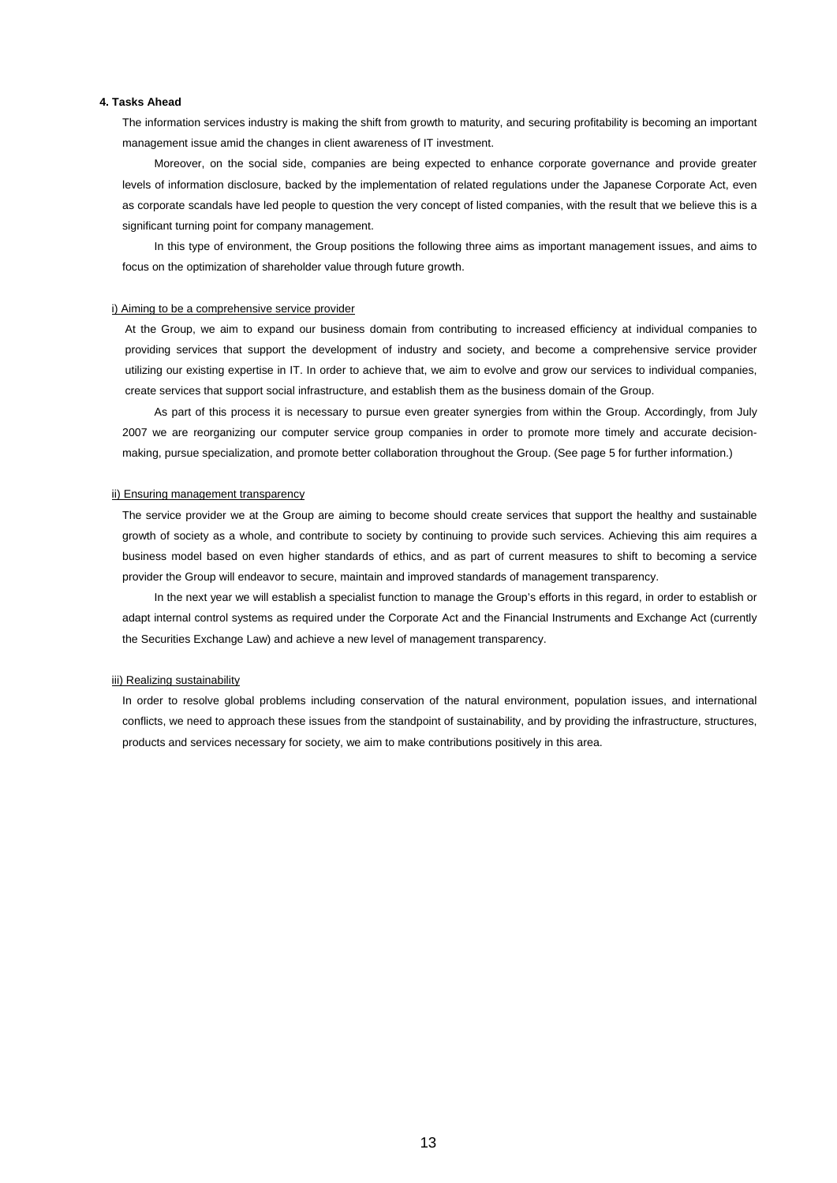#### **4. Tasks Ahead**

The information services industry is making the shift from growth to maturity, and securing profitability is becoming an important management issue amid the changes in client awareness of IT investment.

Moreover, on the social side, companies are being expected to enhance corporate governance and provide greater levels of information disclosure, backed by the implementation of related regulations under the Japanese Corporate Act, even as corporate scandals have led people to question the very concept of listed companies, with the result that we believe this is a significant turning point for company management.

In this type of environment, the Group positions the following three aims as important management issues, and aims to focus on the optimization of shareholder value through future growth.

#### i) Aiming to be a comprehensive service provider

At the Group, we aim to expand our business domain from contributing to increased efficiency at individual companies to providing services that support the development of industry and society, and become a comprehensive service provider utilizing our existing expertise in IT. In order to achieve that, we aim to evolve and grow our services to individual companies, create services that support social infrastructure, and establish them as the business domain of the Group.

As part of this process it is necessary to pursue even greater synergies from within the Group. Accordingly, from July 2007 we are reorganizing our computer service group companies in order to promote more timely and accurate decisionmaking, pursue specialization, and promote better collaboration throughout the Group. (See page 5 for further information.)

#### ii) Ensuring management transparency

The service provider we at the Group are aiming to become should create services that support the healthy and sustainable growth of society as a whole, and contribute to society by continuing to provide such services. Achieving this aim requires a business model based on even higher standards of ethics, and as part of current measures to shift to becoming a service provider the Group will endeavor to secure, maintain and improved standards of management transparency.

In the next year we will establish a specialist function to manage the Group's efforts in this regard, in order to establish or adapt internal control systems as required under the Corporate Act and the Financial Instruments and Exchange Act (currently the Securities Exchange Law) and achieve a new level of management transparency.

#### iii) Realizing sustainability

In order to resolve global problems including conservation of the natural environment, population issues, and international conflicts, we need to approach these issues from the standpoint of sustainability, and by providing the infrastructure, structures, products and services necessary for society, we aim to make contributions positively in this area.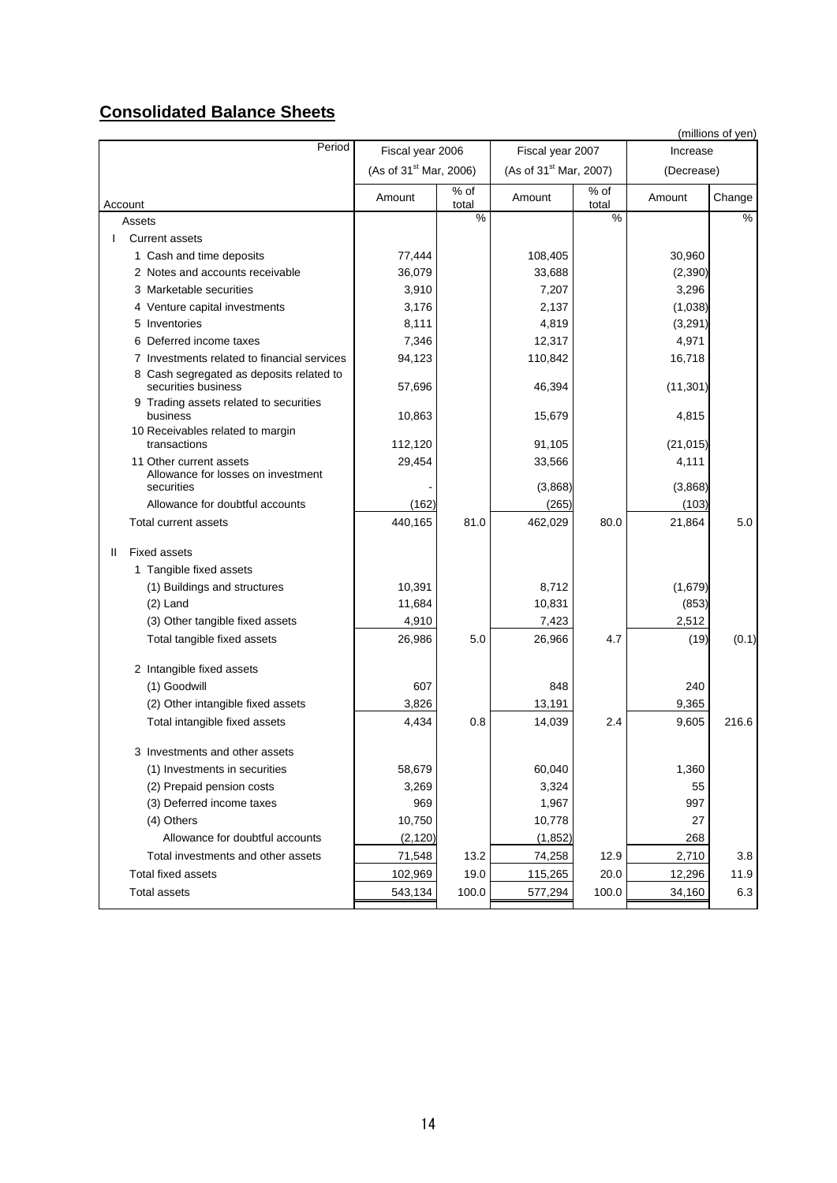## **Consolidated Balance Sheets**

|                                                                             |                                    |               |                                    |               |                  | (millions of yen) |
|-----------------------------------------------------------------------------|------------------------------------|---------------|------------------------------------|---------------|------------------|-------------------|
| Period                                                                      | Fiscal year 2006                   |               | Fiscal year 2007                   |               | Increase         |                   |
|                                                                             | (As of 31 <sup>st</sup> Mar, 2006) |               | (As of 31 <sup>st</sup> Mar, 2007) |               | (Decrease)       |                   |
| Account                                                                     | Amount                             | % of<br>total | Amount                             | % of<br>total | Amount           | Change            |
| Assets                                                                      |                                    | $\frac{0}{0}$ |                                    | %             |                  | %                 |
| <b>Current assets</b>                                                       |                                    |               |                                    |               |                  |                   |
| 1 Cash and time deposits                                                    | 77,444                             |               | 108,405                            |               | 30,960           |                   |
| 2 Notes and accounts receivable                                             | 36,079                             |               | 33,688                             |               | (2, 390)         |                   |
| 3 Marketable securities                                                     | 3,910                              |               | 7,207                              |               | 3,296            |                   |
| 4 Venture capital investments                                               | 3,176                              |               | 2,137                              |               | (1,038)          |                   |
| 5 Inventories                                                               | 8,111                              |               | 4,819                              |               | (3,291)          |                   |
| 6 Deferred income taxes                                                     | 7,346                              |               | 12,317                             |               | 4,971            |                   |
| 7 Investments related to financial services                                 | 94,123                             |               | 110,842                            |               | 16,718           |                   |
| 8 Cash segregated as deposits related to<br>securities business             | 57,696                             |               | 46,394                             |               | (11, 301)        |                   |
| 9 Trading assets related to securities<br>business                          | 10,863                             |               | 15,679                             |               | 4,815            |                   |
| 10 Receivables related to margin                                            |                                    |               |                                    |               |                  |                   |
| transactions                                                                | 112,120                            |               | 91,105                             |               | (21, 015)        |                   |
| 11 Other current assets<br>Allowance for losses on investment<br>securities | 29,454                             |               | 33,566<br>(3,868)                  |               | 4,111<br>(3,868) |                   |
| Allowance for doubtful accounts                                             | (162)                              |               | (265)                              |               | (103)            |                   |
| Total current assets                                                        | 440,165                            | 81.0          | 462,029                            | 80.0          | 21,864           | 5.0               |
| <b>Fixed assets</b><br>Ш.                                                   |                                    |               |                                    |               |                  |                   |
| 1 Tangible fixed assets                                                     |                                    |               |                                    |               |                  |                   |
| (1) Buildings and structures                                                | 10,391                             |               | 8,712                              |               | (1,679)          |                   |
| $(2)$ Land                                                                  | 11,684                             |               | 10,831                             |               | (853)            |                   |
| (3) Other tangible fixed assets                                             | 4,910                              |               | 7,423                              |               | 2,512            |                   |
| Total tangible fixed assets                                                 | 26,986                             | 5.0           | 26,966                             | 4.7           | (19)             | (0.1)             |
| 2 Intangible fixed assets                                                   |                                    |               |                                    |               |                  |                   |
| (1) Goodwill                                                                | 607                                |               | 848                                |               | 240              |                   |
| (2) Other intangible fixed assets                                           | 3,826                              |               | 13,191                             |               | 9,365            |                   |
| Total intangible fixed assets                                               | 4,434                              | 0.8           | 14,039                             | 2.4           | 9,605            | 216.6             |
| 3 Investments and other assets                                              |                                    |               |                                    |               |                  |                   |
| (1) Investments in securities                                               | 58,679                             |               | 60,040                             |               | 1,360            |                   |
| (2) Prepaid pension costs                                                   | 3,269                              |               | 3,324                              |               | 55               |                   |
| (3) Deferred income taxes                                                   | 969                                |               | 1,967                              |               | 997              |                   |
| (4) Others                                                                  | 10,750                             |               | 10,778                             |               | 27               |                   |
| Allowance for doubtful accounts                                             | (2, 120)                           |               | (1, 852)                           |               | 268              |                   |
| Total investments and other assets                                          | 71,548                             | 13.2          | 74,258                             | 12.9          | 2,710            | 3.8               |
| Total fixed assets                                                          | 102,969                            | 19.0          | 115,265                            | 20.0          | 12,296           | 11.9              |
| <b>Total assets</b>                                                         | 543,134                            | 100.0         | 577,294                            | 100.0         | 34,160           | 6.3               |
|                                                                             |                                    |               |                                    |               |                  |                   |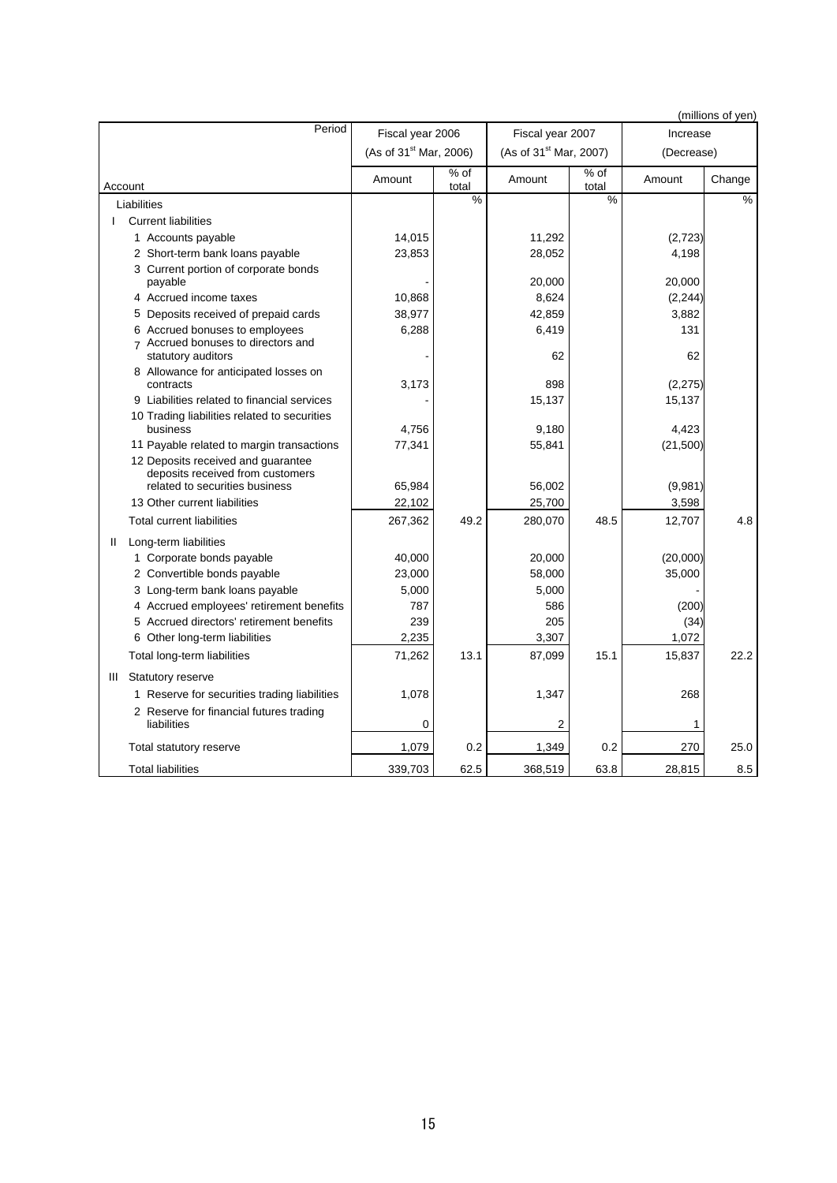| (millions of yen)                                        |                                      |               |                                    |               |            |        |
|----------------------------------------------------------|--------------------------------------|---------------|------------------------------------|---------------|------------|--------|
| Period                                                   | Fiscal year 2006<br>Fiscal year 2007 |               |                                    |               | Increase   |        |
|                                                          | (As of 31 <sup>st</sup> Mar, 2006)   |               | (As of 31 <sup>st</sup> Mar, 2007) |               | (Decrease) |        |
| Account                                                  | Amount                               | % of<br>total | Amount                             | % of<br>total | Amount     | Change |
| Liabilities                                              |                                      | %             |                                    | $\%$          |            | %      |
| <b>Current liabilities</b><br>L                          |                                      |               |                                    |               |            |        |
| 1 Accounts payable                                       | 14,015                               |               | 11,292                             |               | (2,723)    |        |
| 2 Short-term bank loans payable                          | 23,853                               |               | 28,052                             |               | 4,198      |        |
| 3 Current portion of corporate bonds                     |                                      |               |                                    |               |            |        |
| payable                                                  |                                      |               | 20,000                             |               | 20,000     |        |
| 4 Accrued income taxes                                   | 10,868                               |               | 8,624                              |               | (2, 244)   |        |
| 5 Deposits received of prepaid cards                     | 38,977                               |               | 42,859                             |               | 3,882      |        |
| 6 Accrued bonuses to employees                           | 6,288                                |               | 6,419                              |               | 131        |        |
| 7 Accrued bonuses to directors and<br>statutory auditors |                                      |               | 62                                 |               | 62         |        |
| 8 Allowance for anticipated losses on<br>contracts       | 3,173                                |               | 898                                |               | (2,275)    |        |
| 9 Liabilities related to financial services              |                                      |               | 15,137                             |               | 15,137     |        |
| 10 Trading liabilities related to securities             |                                      |               |                                    |               |            |        |
| business                                                 | 4.756                                |               | 9,180                              |               | 4,423      |        |
| 11 Payable related to margin transactions                | 77,341                               |               | 55,841                             |               | (21,500)   |        |
| 12 Deposits received and guarantee                       |                                      |               |                                    |               |            |        |
| deposits received from customers                         |                                      |               |                                    |               |            |        |
| related to securities business                           | 65,984                               |               | 56,002                             |               | (9,981)    |        |
| 13 Other current liabilities                             | 22,102                               |               | 25,700                             |               | 3,598      |        |
| <b>Total current liabilities</b>                         | 267,362                              | 49.2          | 280,070                            | 48.5          | 12,707     | 4.8    |
| Long-term liabilities<br>Ш                               |                                      |               |                                    |               |            |        |
| 1 Corporate bonds payable                                | 40,000                               |               | 20,000                             |               | (20,000)   |        |
| 2 Convertible bonds payable                              | 23,000                               |               | 58,000                             |               | 35,000     |        |
| 3 Long-term bank loans payable                           | 5,000                                |               | 5,000                              |               |            |        |
| 4 Accrued employees' retirement benefits                 | 787                                  |               | 586                                |               | (200)      |        |
| 5 Accrued directors' retirement benefits                 | 239                                  |               | 205                                |               | (34)       |        |
| 6 Other long-term liabilities                            | 2,235                                |               | 3,307                              |               | 1,072      |        |
| Total long-term liabilities                              | 71,262                               | 13.1          | 87,099                             | 15.1          | 15,837     | 22.2   |
| Statutory reserve<br>Ш                                   |                                      |               |                                    |               |            |        |
| 1 Reserve for securities trading liabilities             | 1,078                                |               | 1,347                              |               | 268        |        |
| 2 Reserve for financial futures trading<br>liabilities   | 0                                    |               | 2                                  |               | 1          |        |
| Total statutory reserve                                  | 1,079                                | 0.2           | 1,349                              | 0.2           | 270        | 25.0   |
| <b>Total liabilities</b>                                 | 339,703                              | 62.5          | 368,519                            | 63.8          | 28,815     | 8.5    |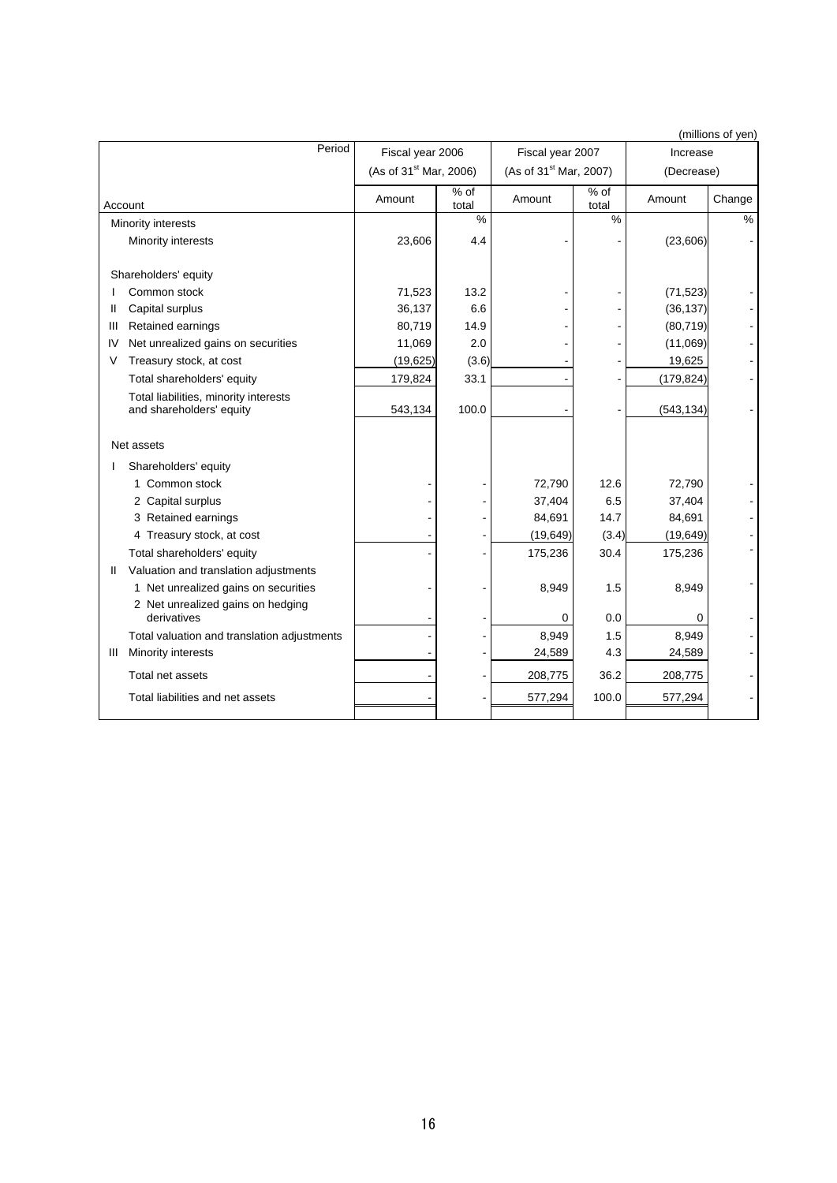| (millions of yen) |                                                                   |                                    |               |                                    |                           |            |        |
|-------------------|-------------------------------------------------------------------|------------------------------------|---------------|------------------------------------|---------------------------|------------|--------|
|                   | Period                                                            | Fiscal year 2006                   |               | Fiscal year 2007                   |                           | Increase   |        |
|                   |                                                                   | (As of 31 <sup>st</sup> Mar, 2006) |               | (As of 31 <sup>st</sup> Mar, 2007) |                           | (Decrease) |        |
|                   | Account                                                           | Amount                             | % of<br>total | Amount                             | $\frac{9}{6}$ of<br>total | Amount     | Change |
|                   | Minority interests                                                |                                    | $\frac{0}{0}$ |                                    | %                         |            | %      |
|                   | Minority interests                                                | 23,606                             | 4.4           |                                    |                           | (23,606)   |        |
|                   | Shareholders' equity                                              |                                    |               |                                    |                           |            |        |
|                   | Common stock                                                      | 71,523                             | 13.2          |                                    |                           | (71, 523)  |        |
| Ш                 | Capital surplus                                                   | 36,137                             | 6.6           |                                    |                           | (36, 137)  |        |
| Ш                 | Retained earnings                                                 | 80,719                             | 14.9          |                                    |                           | (80, 719)  |        |
| IV                | Net unrealized gains on securities                                | 11,069                             | 2.0           |                                    |                           | (11,069)   |        |
| V                 | Treasury stock, at cost                                           | (19, 625)                          | (3.6)         |                                    |                           | 19,625     |        |
|                   | Total shareholders' equity                                        | 179,824                            | 33.1          |                                    |                           | (179, 824) |        |
|                   | Total liabilities, minority interests<br>and shareholders' equity | 543,134                            | 100.0         |                                    |                           | (543, 134) |        |
|                   | Net assets                                                        |                                    |               |                                    |                           |            |        |
|                   | Shareholders' equity                                              |                                    |               |                                    |                           |            |        |
|                   | 1 Common stock                                                    |                                    |               | 72,790                             | 12.6                      | 72,790     |        |
|                   | 2 Capital surplus                                                 |                                    |               | 37,404                             | 6.5                       | 37,404     |        |
|                   | 3 Retained earnings                                               |                                    |               | 84,691                             | 14.7                      | 84,691     |        |
|                   | 4 Treasury stock, at cost                                         |                                    |               | (19, 649)                          | (3.4)                     | (19, 649)  |        |
|                   | Total shareholders' equity                                        |                                    |               | 175,236                            | 30.4                      | 175,236    |        |
| Ш                 | Valuation and translation adjustments                             |                                    |               |                                    |                           |            |        |
|                   | 1 Net unrealized gains on securities                              |                                    |               | 8,949                              | 1.5                       | 8,949      |        |
|                   | 2 Net unrealized gains on hedging<br>derivatives                  |                                    |               | 0                                  | 0.0                       | 0          |        |
|                   | Total valuation and translation adjustments                       |                                    |               | 8.949                              | 1.5                       | 8,949      |        |
| Ш                 | Minority interests                                                |                                    |               | 24,589                             | 4.3                       | 24,589     |        |
|                   | Total net assets                                                  |                                    |               | 208,775                            | 36.2                      | 208,775    |        |
|                   | Total liabilities and net assets                                  |                                    |               | 577,294                            | 100.0                     | 577,294    |        |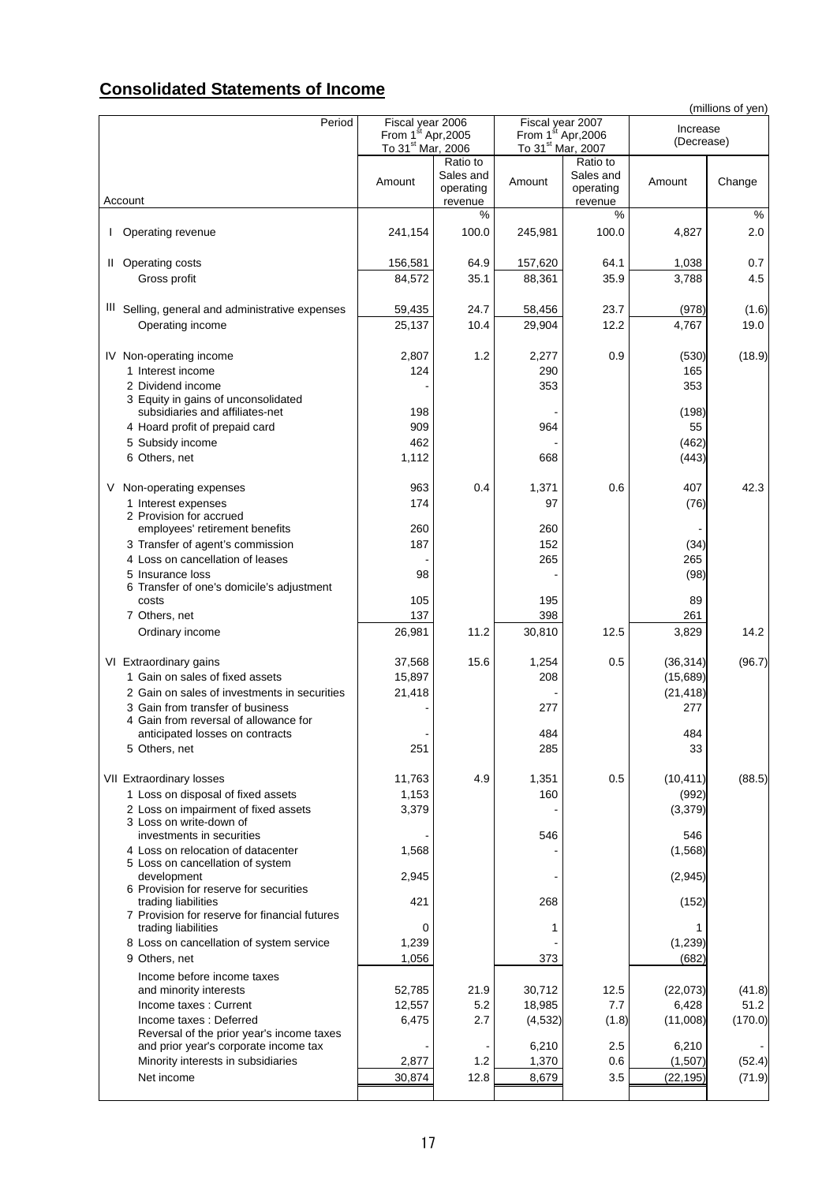## **Consolidated Statements of Income**

|                                                                           |                                                                 |                                               |                                                                 |                                   |            | (millions of yen) |
|---------------------------------------------------------------------------|-----------------------------------------------------------------|-----------------------------------------------|-----------------------------------------------------------------|-----------------------------------|------------|-------------------|
| Period                                                                    | Fiscal year 2006                                                |                                               | Fiscal year 2007                                                |                                   | Increase   |                   |
|                                                                           | From 1 <sup>st</sup> Apr, 2005<br>To 31 <sup>st</sup> Mar, 2006 |                                               | From 1 <sup>st</sup> Apr, 2006<br>To 31 <sup>st</sup> Mar, 2007 |                                   | (Decrease) |                   |
|                                                                           |                                                                 |                                               |                                                                 | Ratio to                          |            |                   |
| Account                                                                   | Amount                                                          | Ratio to<br>Sales and<br>operating<br>revenue | Amount                                                          | Sales and<br>operating<br>revenue | Amount     | Change            |
|                                                                           |                                                                 | %                                             |                                                                 | %                                 |            | $\frac{0}{0}$     |
| Operating revenue                                                         | 241,154                                                         | 100.0                                         | 245,981                                                         | 100.0                             | 4,827      | 2.0               |
| Operating costs<br>$\mathbf{H}$                                           | 156,581                                                         | 64.9                                          | 157,620                                                         | 64.1                              | 1,038      | 0.7               |
| Gross profit                                                              | 84,572                                                          | 35.1                                          | 88,361                                                          | 35.9                              | 3,788      | 4.5               |
| III Selling, general and administrative expenses                          | 59,435                                                          | 24.7                                          | 58,456                                                          | 23.7                              | (978)      | (1.6)             |
| Operating income                                                          | 25,137                                                          | 10.4                                          | 29,904                                                          | 12.2                              | 4,767      | 19.0              |
| IV Non-operating income                                                   | 2,807                                                           | 1.2                                           | 2,277                                                           | 0.9                               | (530)      | (18.9)            |
| 1 Interest income                                                         | 124                                                             |                                               | 290                                                             |                                   | 165        |                   |
| 2 Dividend income<br>3 Equity in gains of unconsolidated                  |                                                                 |                                               | 353                                                             |                                   | 353        |                   |
| subsidiaries and affiliates-net                                           | 198                                                             |                                               |                                                                 |                                   | (198)      |                   |
| 4 Hoard profit of prepaid card                                            | 909                                                             |                                               | 964                                                             |                                   | 55         |                   |
| 5 Subsidy income                                                          | 462                                                             |                                               |                                                                 |                                   | (462)      |                   |
| 6 Others, net                                                             | 1,112                                                           |                                               | 668                                                             |                                   | (443)      |                   |
| Non-operating expenses<br>V                                               | 963                                                             | 0.4                                           | 1,371                                                           | 0.6                               | 407        | 42.3              |
| 1 Interest expenses                                                       | 174                                                             |                                               | 97                                                              |                                   | (76)       |                   |
| 2 Provision for accrued                                                   |                                                                 |                                               |                                                                 |                                   |            |                   |
| employees' retirement benefits                                            | 260                                                             |                                               | 260                                                             |                                   |            |                   |
| 3 Transfer of agent's commission                                          | 187                                                             |                                               | 152                                                             |                                   | (34)       |                   |
| 4 Loss on cancellation of leases                                          |                                                                 |                                               | 265                                                             |                                   | 265        |                   |
| 5 Insurance loss                                                          | 98                                                              |                                               |                                                                 |                                   | (98)       |                   |
| 6 Transfer of one's domicile's adjustment<br>costs                        | 105                                                             |                                               | 195                                                             |                                   | 89         |                   |
| 7 Others, net                                                             | 137                                                             |                                               | 398                                                             |                                   | 261        |                   |
| Ordinary income                                                           | 26,981                                                          | 11.2                                          | 30,810                                                          | 12.5                              | 3,829      | 14.2              |
| VI Extraordinary gains                                                    | 37,568                                                          | 15.6                                          | 1,254                                                           | 0.5                               | (36, 314)  | (96.7)            |
| 1 Gain on sales of fixed assets                                           | 15,897                                                          |                                               | 208                                                             |                                   | (15,689)   |                   |
| 2 Gain on sales of investments in securities                              | 21,418                                                          |                                               |                                                                 |                                   | (21, 418)  |                   |
| 3 Gain from transfer of business<br>4 Gain from reversal of allowance for |                                                                 |                                               | 277                                                             |                                   | 277        |                   |
| anticipated losses on contracts                                           |                                                                 |                                               | 484                                                             |                                   | 484        |                   |
| 5 Others, net                                                             | 251                                                             |                                               | 285                                                             |                                   | 33         |                   |
| VII Extraordinary losses                                                  | 11,763                                                          | 4.9                                           | 1,351                                                           | 0.5                               | (10, 411)  | (88.5)            |
| 1 Loss on disposal of fixed assets                                        | 1,153                                                           |                                               | 160                                                             |                                   | (992)      |                   |
| 2 Loss on impairment of fixed assets                                      | 3,379                                                           |                                               |                                                                 |                                   | (3,379)    |                   |
| 3 Loss on write-down of<br>investments in securities                      |                                                                 |                                               | 546                                                             |                                   | 546        |                   |
| 4 Loss on relocation of datacenter                                        | 1,568                                                           |                                               |                                                                 |                                   | (1, 568)   |                   |
| 5 Loss on cancellation of system                                          |                                                                 |                                               |                                                                 |                                   |            |                   |
| development<br>6 Provision for reserve for securities                     | 2,945                                                           |                                               |                                                                 |                                   | (2,945)    |                   |
| trading liabilities                                                       | 421                                                             |                                               | 268                                                             |                                   | (152)      |                   |
| 7 Provision for reserve for financial futures<br>trading liabilities      | 0                                                               |                                               | 1                                                               |                                   |            |                   |
| 8 Loss on cancellation of system service                                  | 1,239                                                           |                                               |                                                                 |                                   | (1,239)    |                   |
| 9 Others, net                                                             | 1,056                                                           |                                               | 373                                                             |                                   | (682)      |                   |
| Income before income taxes                                                |                                                                 |                                               |                                                                 |                                   |            |                   |
| and minority interests                                                    | 52,785                                                          | 21.9                                          | 30,712                                                          | 12.5                              | (22,073)   | (41.8)            |
| Income taxes: Current                                                     | 12,557                                                          | 5.2                                           | 18,985                                                          | 7.7                               | 6,428      | 51.2              |
| Income taxes: Deferred<br>Reversal of the prior year's income taxes       | 6,475                                                           | 2.7                                           | (4, 532)                                                        | (1.8)                             | (11,008)   | (170.0)           |
| and prior year's corporate income tax                                     |                                                                 |                                               | 6,210                                                           | 2.5                               | 6,210      |                   |
| Minority interests in subsidiaries                                        | 2,877                                                           | 1.2                                           | 1,370                                                           | 0.6                               | (1,507)    | (52.4)            |
| Net income                                                                | 30,874                                                          | 12.8                                          | 8,679                                                           | 3.5                               | (22, 195)  | (71.9)            |
|                                                                           |                                                                 |                                               |                                                                 |                                   |            |                   |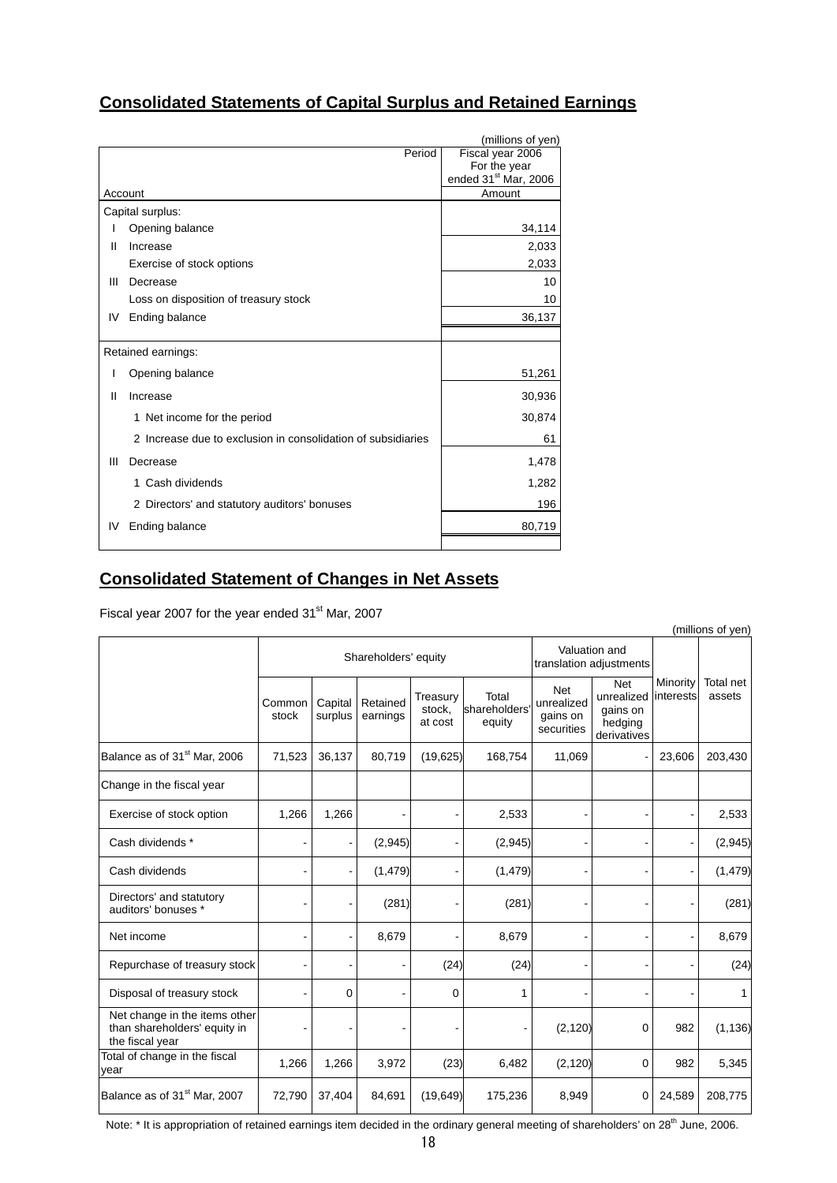## **Consolidated Statements of Capital Surplus and Retained Earnings**

|    | (millions of yen)                                            |                                                  |  |  |  |
|----|--------------------------------------------------------------|--------------------------------------------------|--|--|--|
|    | Period                                                       | Fiscal year 2006                                 |  |  |  |
|    |                                                              | For the year<br>ended 31 <sup>st</sup> Mar, 2006 |  |  |  |
|    | Account                                                      | Amount                                           |  |  |  |
|    | Capital surplus:                                             |                                                  |  |  |  |
|    | Opening balance                                              | 34,114                                           |  |  |  |
| Ш  | Increase                                                     | 2,033                                            |  |  |  |
|    | Exercise of stock options                                    | 2,033                                            |  |  |  |
| Ш  | Decrease                                                     | 10                                               |  |  |  |
|    | Loss on disposition of treasury stock                        | 10                                               |  |  |  |
| IV | Ending balance                                               | 36,137                                           |  |  |  |
|    |                                                              |                                                  |  |  |  |
|    | Retained earnings:                                           |                                                  |  |  |  |
|    | Opening balance                                              | 51,261                                           |  |  |  |
| Ш  | Increase                                                     | 30,936                                           |  |  |  |
|    | 1 Net income for the period                                  | 30,874                                           |  |  |  |
|    | 2 Increase due to exclusion in consolidation of subsidiaries | 61                                               |  |  |  |
| Ш  | Decrease                                                     | 1,478                                            |  |  |  |
|    | Cash dividends<br>1.                                         | 1,282                                            |  |  |  |
|    | 2 Directors' and statutory auditors' bonuses                 | 196                                              |  |  |  |
| IV | Ending balance                                               | 80,719                                           |  |  |  |
|    |                                                              |                                                  |  |  |  |

## **Consolidated Statement of Changes in Net Assets**

Fiscal year 2007 for the year ended 31<sup>st</sup> Mar, 2007

| (millions of yen)                                                                |                      |                    |                      |                               |                                 |                                                    |                                                                |                       |                     |
|----------------------------------------------------------------------------------|----------------------|--------------------|----------------------|-------------------------------|---------------------------------|----------------------------------------------------|----------------------------------------------------------------|-----------------------|---------------------|
|                                                                                  | Shareholders' equity |                    |                      |                               |                                 | translation adjustments                            | Valuation and                                                  |                       |                     |
|                                                                                  | Common<br>stock      | Capital<br>surplus | Retained<br>earnings | Treasury<br>stock,<br>at cost | Total<br>shareholders<br>equity | <b>Net</b><br>unrealized<br>gains on<br>securities | <b>Net</b><br>unrealized<br>gains on<br>hedging<br>derivatives | Minority<br>interests | Total net<br>assets |
| Balance as of 31 <sup>st</sup> Mar, 2006                                         | 71,523               | 36,137             | 80,719               | (19,625)                      | 168,754                         | 11,069                                             |                                                                | 23,606                | 203,430             |
| Change in the fiscal year                                                        |                      |                    |                      |                               |                                 |                                                    |                                                                |                       |                     |
| Exercise of stock option                                                         | 1,266                | 1,266              |                      |                               | 2,533                           |                                                    |                                                                |                       | 2,533               |
| Cash dividends *                                                                 |                      |                    | (2,945)              |                               | (2,945)                         |                                                    |                                                                |                       | (2,945)             |
| Cash dividends                                                                   |                      |                    | (1, 479)             |                               | (1, 479)                        |                                                    |                                                                |                       | (1, 479)            |
| Directors' and statutory<br>auditors' bonuses *                                  |                      |                    | (281)                |                               | (281)                           |                                                    |                                                                |                       | (281)               |
| Net income                                                                       |                      |                    | 8,679                |                               | 8,679                           |                                                    |                                                                |                       | 8,679               |
| Repurchase of treasury stock                                                     |                      |                    |                      | (24)                          | (24)                            |                                                    |                                                                |                       | (24)                |
| Disposal of treasury stock                                                       |                      | 0                  |                      | $\mathbf 0$                   | 1                               |                                                    |                                                                |                       | 1                   |
| Net change in the items other<br>than shareholders' equity in<br>the fiscal year |                      |                    |                      |                               |                                 | (2, 120)                                           | 0                                                              | 982                   | (1, 136)            |
| Total of change in the fiscal<br>year                                            | 1,266                | 1,266              | 3,972                | (23)                          | 6,482                           | (2, 120)                                           | 0                                                              | 982                   | 5,345               |
| Balance as of 31 <sup>st</sup> Mar, 2007                                         | 72,790               | 37,404             | 84,691               | (19, 649)                     | 175,236                         | 8,949                                              | 0                                                              | 24,589                | 208,775             |

Note: \* It is appropriation of retained earnings item decided in the ordinary general meeting of shareholders' on 28<sup>th</sup> June, 2006.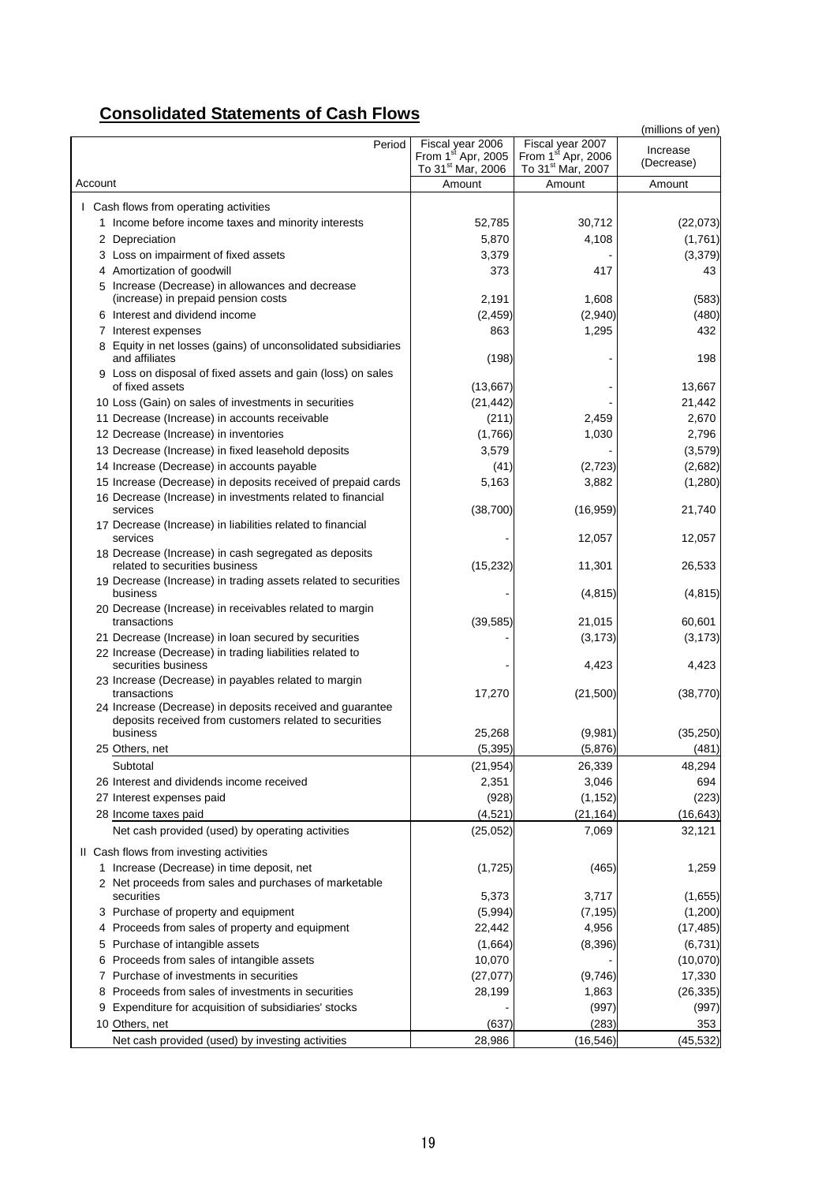## **Consolidated Statements of Cash Flows**

|                                                                                                                                        |                                                                                     |                                                                                     | (millions of yen)      |
|----------------------------------------------------------------------------------------------------------------------------------------|-------------------------------------------------------------------------------------|-------------------------------------------------------------------------------------|------------------------|
| Period                                                                                                                                 | Fiscal year 2006<br>From 1 <sup>st</sup> Apr, 2005<br>To 31 <sup>st</sup> Mar, 2006 | Fiscal year 2007<br>From 1 <sup>st</sup> Apr, 2006<br>To 31 <sup>st</sup> Mar, 2007 | Increase<br>(Decrease) |
| Account                                                                                                                                | Amount                                                                              | Amount                                                                              | Amount                 |
| I Cash flows from operating activities                                                                                                 |                                                                                     |                                                                                     |                        |
| 1 Income before income taxes and minority interests                                                                                    | 52,785                                                                              | 30,712                                                                              | (22,073)               |
| 2 Depreciation                                                                                                                         | 5,870                                                                               | 4,108                                                                               | (1,761)                |
|                                                                                                                                        | 3,379                                                                               |                                                                                     | (3,379)                |
| 3 Loss on impairment of fixed assets<br>4 Amortization of goodwill                                                                     | 373                                                                                 | 417                                                                                 | 43                     |
| 5 Increase (Decrease) in allowances and decrease                                                                                       |                                                                                     |                                                                                     |                        |
| (increase) in prepaid pension costs                                                                                                    | 2,191                                                                               | 1,608                                                                               | (583)                  |
| 6 Interest and dividend income                                                                                                         | (2, 459)                                                                            | (2,940)                                                                             | (480)                  |
| 7 Interest expenses                                                                                                                    | 863                                                                                 | 1,295                                                                               | 432                    |
| 8 Equity in net losses (gains) of unconsolidated subsidiaries<br>and affiliates                                                        | (198)                                                                               |                                                                                     | 198                    |
| 9 Loss on disposal of fixed assets and gain (loss) on sales                                                                            |                                                                                     |                                                                                     |                        |
| of fixed assets                                                                                                                        | (13, 667)                                                                           |                                                                                     | 13,667                 |
| 10 Loss (Gain) on sales of investments in securities                                                                                   | (21, 442)                                                                           |                                                                                     | 21,442                 |
| 11 Decrease (Increase) in accounts receivable                                                                                          | (211)                                                                               | 2,459                                                                               | 2,670                  |
| 12 Decrease (Increase) in inventories                                                                                                  | (1,766)                                                                             | 1,030                                                                               | 2,796                  |
| 13 Decrease (Increase) in fixed leasehold deposits                                                                                     | 3,579                                                                               |                                                                                     | (3,579)                |
| 14 Increase (Decrease) in accounts payable                                                                                             | (41)                                                                                | (2, 723)                                                                            | (2,682)                |
| 15 Increase (Decrease) in deposits received of prepaid cards<br>16 Decrease (Increase) in investments related to financial<br>services | 5,163                                                                               | 3,882                                                                               | (1,280)<br>21,740      |
| 17 Decrease (Increase) in liabilities related to financial<br>services                                                                 | (38, 700)                                                                           | (16, 959)<br>12,057                                                                 | 12,057                 |
| 18 Decrease (Increase) in cash segregated as deposits<br>related to securities business                                                | (15, 232)                                                                           | 11,301                                                                              | 26,533                 |
| 19 Decrease (Increase) in trading assets related to securities                                                                         |                                                                                     |                                                                                     |                        |
| business                                                                                                                               |                                                                                     | (4, 815)                                                                            | (4, 815)               |
| 20 Decrease (Increase) in receivables related to margin<br>transactions                                                                | (39, 585)                                                                           | 21,015                                                                              | 60,601                 |
| 21 Decrease (Increase) in loan secured by securities                                                                                   |                                                                                     | (3, 173)                                                                            | (3, 173)               |
| 22 Increase (Decrease) in trading liabilities related to<br>securities business                                                        |                                                                                     | 4,423                                                                               | 4,423                  |
| 23 Increase (Decrease) in payables related to margin                                                                                   |                                                                                     |                                                                                     |                        |
| transactions                                                                                                                           | 17,270                                                                              | (21,500)                                                                            | (38, 770)              |
| 24 Increase (Decrease) in deposits received and guarantee<br>deposits received from customers related to securities                    |                                                                                     |                                                                                     |                        |
| business                                                                                                                               | 25,268                                                                              | (9,981)                                                                             | (35, 250)              |
| 25 Others, net                                                                                                                         | (5, 395)                                                                            | (5,876)                                                                             | (481)                  |
| Subtotal                                                                                                                               | (21, 954)                                                                           | 26,339                                                                              | 48,294                 |
| 26 Interest and dividends income received                                                                                              | 2,351                                                                               | 3,046                                                                               | 694                    |
| 27 Interest expenses paid                                                                                                              | (928)                                                                               | (1, 152)                                                                            | (223)                  |
| 28 Income taxes paid                                                                                                                   | (4, 521)                                                                            | (21, 164)                                                                           | (16, 643)              |
| Net cash provided (used) by operating activities                                                                                       | (25, 052)                                                                           | 7,069                                                                               | 32,121                 |
| II Cash flows from investing activities                                                                                                |                                                                                     |                                                                                     |                        |
| 1 Increase (Decrease) in time deposit, net                                                                                             | (1,725)                                                                             | (465)                                                                               | 1,259                  |
| 2 Net proceeds from sales and purchases of marketable                                                                                  |                                                                                     |                                                                                     |                        |
| securities                                                                                                                             | 5,373                                                                               | 3,717                                                                               | (1,655)                |
| 3 Purchase of property and equipment                                                                                                   | (5,994)                                                                             | (7, 195)                                                                            | (1,200)                |
| 4 Proceeds from sales of property and equipment                                                                                        | 22,442                                                                              | 4,956                                                                               | (17, 485)              |
| Purchase of intangible assets<br>5                                                                                                     | (1,664)                                                                             | (8, 396)                                                                            | (6, 731)               |
| Proceeds from sales of intangible assets<br>6                                                                                          | 10,070                                                                              |                                                                                     | (10,070)               |
| Purchase of investments in securities<br>$\overline{7}$                                                                                | (27, 077)                                                                           | (9,746)                                                                             | 17,330                 |
| Proceeds from sales of investments in securities<br>8                                                                                  | 28,199                                                                              | 1,863                                                                               | (26, 335)              |
| 9 Expenditure for acquisition of subsidiaries' stocks                                                                                  |                                                                                     | (997)                                                                               | (997)                  |
| 10 Others, net                                                                                                                         | (637)                                                                               | (283)                                                                               | 353                    |
| Net cash provided (used) by investing activities                                                                                       | 28,986                                                                              | (16, 546)                                                                           | (45, 532)              |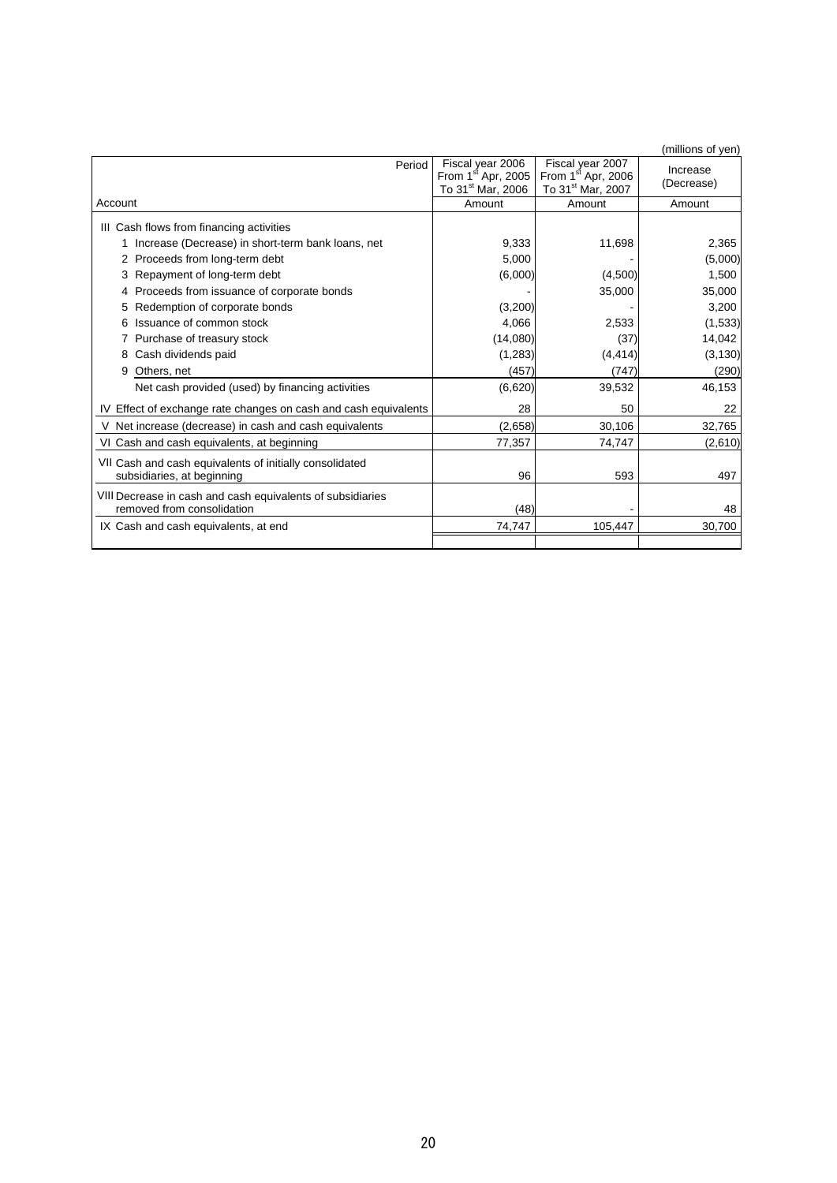|                                                                 |                                         |                             | (millions of yen) |
|-----------------------------------------------------------------|-----------------------------------------|-----------------------------|-------------------|
| Period                                                          | Fiscal year 2006                        | Fiscal year 2007            | Increase          |
|                                                                 | From $1st$ Apr, 2005                    | From 1st Apr, 2006          | (Decrease)        |
| Account                                                         | To 31 <sup>st</sup> Mar, 2006<br>Amount | To 31st Mar, 2007<br>Amount | Amount            |
|                                                                 |                                         |                             |                   |
| III Cash flows from financing activities                        |                                         |                             |                   |
| Increase (Decrease) in short-term bank loans, net               | 9,333                                   | 11,698                      | 2,365             |
| Proceeds from long-term debt<br>2                               | 5,000                                   |                             | (5,000)           |
| Repayment of long-term debt                                     | (6,000)                                 | (4,500)                     | 1,500             |
| Proceeds from issuance of corporate bonds                       |                                         | 35,000                      | 35,000            |
| Redemption of corporate bonds                                   | (3,200)                                 |                             | 3,200             |
| Issuance of common stock                                        | 4,066                                   | 2,533                       | (1,533)           |
| Purchase of treasury stock                                      | (14,080)                                | (37)                        | 14,042            |
| Cash dividends paid<br>8                                        | (1, 283)                                | (4, 414)                    | (3, 130)          |
| 9<br>Others, net                                                | (457)                                   | (747)                       | (290)             |
| Net cash provided (used) by financing activities                | (6,620)                                 | 39,532                      | 46,153            |
| IV Effect of exchange rate changes on cash and cash equivalents | 28                                      | 50                          | 22                |
| V Net increase (decrease) in cash and cash equivalents          | (2,658)                                 | 30,106                      | 32,765            |
| VI Cash and cash equivalents, at beginning                      | 77,357                                  | 74,747                      | (2,610)           |
| VII Cash and cash equivalents of initially consolidated         |                                         |                             |                   |
| subsidiaries, at beginning                                      | 96                                      | 593                         | 497               |
| VIII Decrease in cash and cash equivalents of subsidiaries      |                                         |                             |                   |
| removed from consolidation                                      | (48)                                    |                             | 48                |
| IX Cash and cash equivalents, at end                            | 74,747                                  | 105,447                     | 30,700            |
|                                                                 |                                         |                             |                   |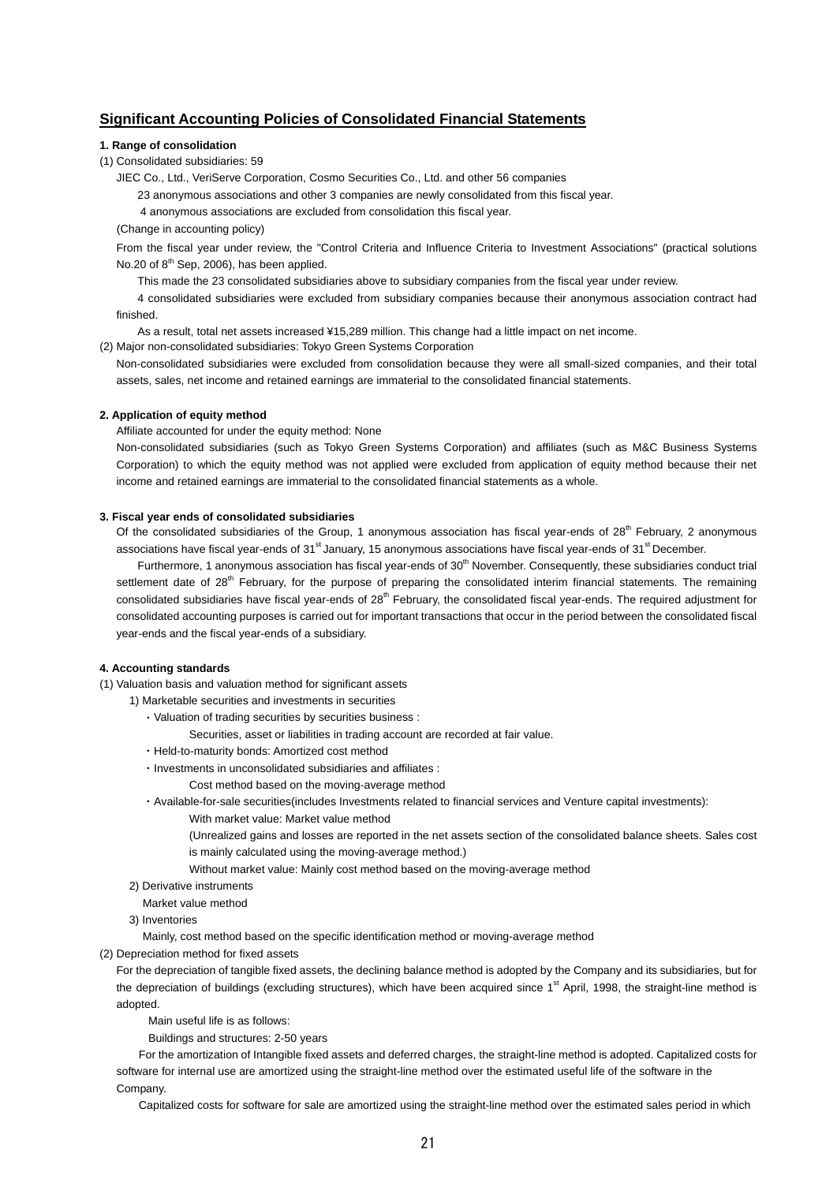## **Significant Accounting Policies of Consolidated Financial Statements**

#### **1. Range of consolidation**

(1) Consolidated subsidiaries: 59

JIEC Co., Ltd., VeriServe Corporation, Cosmo Securities Co., Ltd. and other 56 companies

23 anonymous associations and other 3 companies are newly consolidated from this fiscal year.

4 anonymous associations are excluded from consolidation this fiscal year.

#### (Change in accounting policy)

From the fiscal year under review, the "Control Criteria and Influence Criteria to Investment Associations" (practical solutions No.20 of  $8<sup>th</sup>$  Sep, 2006), has been applied.

This made the 23 consolidated subsidiaries above to subsidiary companies from the fiscal year under review.

4 consolidated subsidiaries were excluded from subsidiary companies because their anonymous association contract had finished.

As a result, total net assets increased ¥15,289 million. This change had a little impact on net income.

(2) Major non-consolidated subsidiaries: Tokyo Green Systems Corporation

Non-consolidated subsidiaries were excluded from consolidation because they were all small-sized companies, and their total assets, sales, net income and retained earnings are immaterial to the consolidated financial statements.

#### **2. Application of equity method**

Affiliate accounted for under the equity method: None

Non-consolidated subsidiaries (such as Tokyo Green Systems Corporation) and affiliates (such as M&C Business Systems Corporation) to which the equity method was not applied were excluded from application of equity method because their net income and retained earnings are immaterial to the consolidated financial statements as a whole.

#### **3. Fiscal year ends of consolidated subsidiaries**

Of the consolidated subsidiaries of the Group, 1 anonymous association has fiscal year-ends of  $28<sup>th</sup>$  February, 2 anonymous associations have fiscal year-ends of  $31<sup>st</sup>$  January, 15 anonymous associations have fiscal year-ends of  $31<sup>st</sup>$  December.

Furthermore, 1 anonymous association has fiscal year-ends of 30<sup>th</sup> November. Consequently, these subsidiaries conduct trial settlement date of 28<sup>th</sup> February, for the purpose of preparing the consolidated interim financial statements. The remaining consolidated subsidiaries have fiscal year-ends of 28<sup>th</sup> February, the consolidated fiscal year-ends. The required adjustment for consolidated accounting purposes is carried out for important transactions that occur in the period between the consolidated fiscal year-ends and the fiscal year-ends of a subsidiary.

#### **4. Accounting standards**

(1) Valuation basis and valuation method for significant assets

- 1) Marketable securities and investments in securities
	- ・Valuation of trading securities by securities business :
		- Securities, asset or liabilities in trading account are recorded at fair value.
	- ・Held-to-maturity bonds: Amortized cost method
	- ・Investments in unconsolidated subsidiaries and affiliates :
		- Cost method based on the moving-average method

・Available-for-sale securities(includes Investments related to financial services and Venture capital investments):

- With market value: Market value method
- (Unrealized gains and losses are reported in the net assets section of the consolidated balance sheets. Sales cost is mainly calculated using the moving-average method.)
- Without market value: Mainly cost method based on the moving-average method
- 2) Derivative instruments
- Market value method
- 3) Inventories

Mainly, cost method based on the specific identification method or moving-average method

(2) Depreciation method for fixed assets

For the depreciation of tangible fixed assets, the declining balance method is adopted by the Company and its subsidiaries, but for the depreciation of buildings (excluding structures), which have been acquired since 1<sup>st</sup> April, 1998, the straight-line method is adopted.

Main useful life is as follows:

Buildings and structures: 2-50 years

For the amortization of Intangible fixed assets and deferred charges, the straight-line method is adopted. Capitalized costs for software for internal use are amortized using the straight-line method over the estimated useful life of the software in the Company.

Capitalized costs for software for sale are amortized using the straight-line method over the estimated sales period in which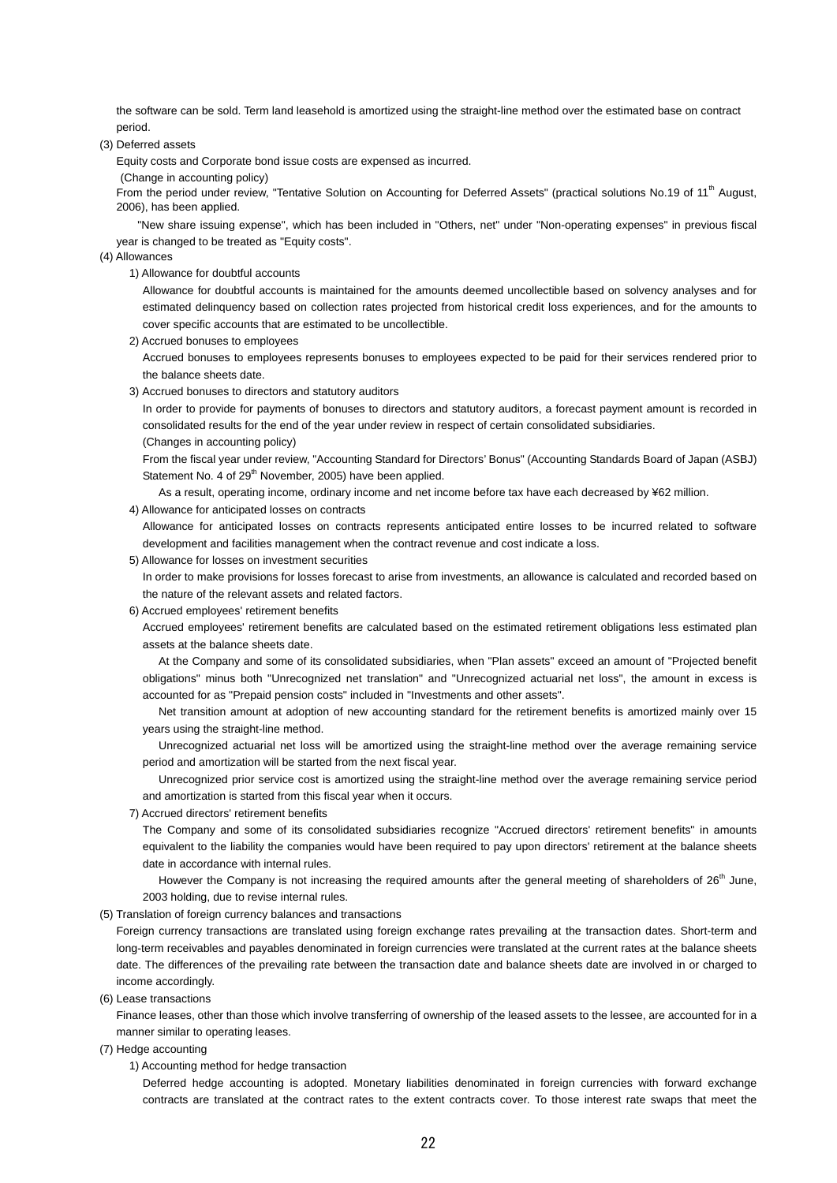the software can be sold. Term land leasehold is amortized using the straight-line method over the estimated base on contract period.

(3) Deferred assets

Equity costs and Corporate bond issue costs are expensed as incurred.

(Change in accounting policy)

From the period under review, "Tentative Solution on Accounting for Deferred Assets" (practical solutions No.19 of 11<sup>th</sup> August, 2006), has been applied.

"New share issuing expense", which has been included in "Others, net" under "Non-operating expenses" in previous fiscal year is changed to be treated as "Equity costs".

(4) Allowances

1) Allowance for doubtful accounts

Allowance for doubtful accounts is maintained for the amounts deemed uncollectible based on solvency analyses and for estimated delinquency based on collection rates projected from historical credit loss experiences, and for the amounts to cover specific accounts that are estimated to be uncollectible.

2) Accrued bonuses to employees

Accrued bonuses to employees represents bonuses to employees expected to be paid for their services rendered prior to the balance sheets date.

3) Accrued bonuses to directors and statutory auditors

In order to provide for payments of bonuses to directors and statutory auditors, a forecast payment amount is recorded in consolidated results for the end of the year under review in respect of certain consolidated subsidiaries. (Changes in accounting policy)

From the fiscal year under review, "Accounting Standard for Directors' Bonus" (Accounting Standards Board of Japan (ASBJ) Statement No. 4 of 29<sup>th</sup> November, 2005) have been applied.

As a result, operating income, ordinary income and net income before tax have each decreased by ¥62 million.

4) Allowance for anticipated losses on contracts

Allowance for anticipated losses on contracts represents anticipated entire losses to be incurred related to software development and facilities management when the contract revenue and cost indicate a loss.

5) Allowance for losses on investment securities

In order to make provisions for losses forecast to arise from investments, an allowance is calculated and recorded based on the nature of the relevant assets and related factors.

6) Accrued employees' retirement benefits

Accrued employees' retirement benefits are calculated based on the estimated retirement obligations less estimated plan assets at the balance sheets date.

At the Company and some of its consolidated subsidiaries, when "Plan assets" exceed an amount of "Projected benefit obligations" minus both "Unrecognized net translation" and "Unrecognized actuarial net loss", the amount in excess is accounted for as "Prepaid pension costs" included in "Investments and other assets".

Net transition amount at adoption of new accounting standard for the retirement benefits is amortized mainly over 15 years using the straight-line method.

Unrecognized actuarial net loss will be amortized using the straight-line method over the average remaining service period and amortization will be started from the next fiscal year.

Unrecognized prior service cost is amortized using the straight-line method over the average remaining service period and amortization is started from this fiscal year when it occurs.

7) Accrued directors' retirement benefits

The Company and some of its consolidated subsidiaries recognize "Accrued directors' retirement benefits" in amounts equivalent to the liability the companies would have been required to pay upon directors' retirement at the balance sheets date in accordance with internal rules.

However the Company is not increasing the required amounts after the general meeting of shareholders of 26<sup>th</sup> June, 2003 holding, due to revise internal rules.

(5) Translation of foreign currency balances and transactions

Foreign currency transactions are translated using foreign exchange rates prevailing at the transaction dates. Short-term and long-term receivables and payables denominated in foreign currencies were translated at the current rates at the balance sheets date. The differences of the prevailing rate between the transaction date and balance sheets date are involved in or charged to income accordingly.

(6) Lease transactions

Finance leases, other than those which involve transferring of ownership of the leased assets to the lessee, are accounted for in a manner similar to operating leases.

- (7) Hedge accounting
	- 1) Accounting method for hedge transaction

Deferred hedge accounting is adopted. Monetary liabilities denominated in foreign currencies with forward exchange contracts are translated at the contract rates to the extent contracts cover. To those interest rate swaps that meet the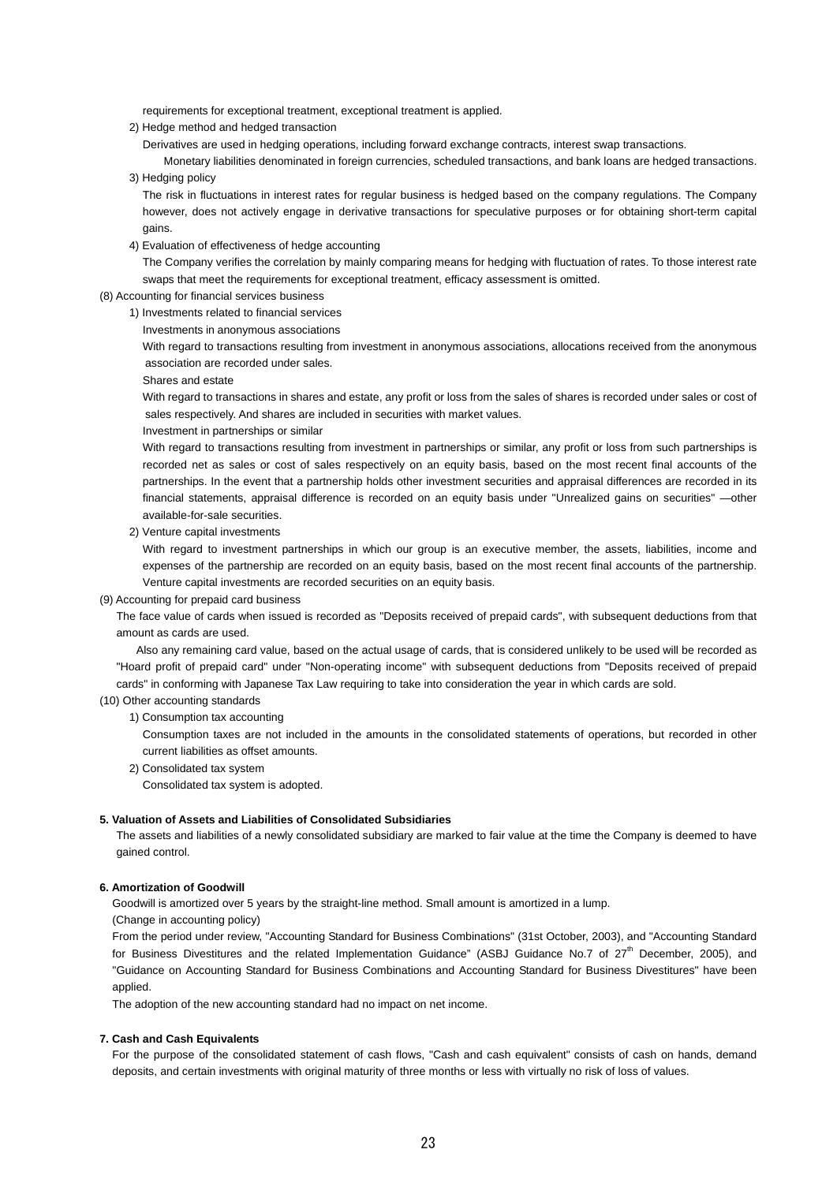requirements for exceptional treatment, exceptional treatment is applied.

- 2) Hedge method and hedged transaction
	- Derivatives are used in hedging operations, including forward exchange contracts, interest swap transactions.

Monetary liabilities denominated in foreign currencies, scheduled transactions, and bank loans are hedged transactions. 3) Hedging policy

The risk in fluctuations in interest rates for regular business is hedged based on the company regulations. The Company however, does not actively engage in derivative transactions for speculative purposes or for obtaining short-term capital gains.

4) Evaluation of effectiveness of hedge accounting

The Company verifies the correlation by mainly comparing means for hedging with fluctuation of rates. To those interest rate swaps that meet the requirements for exceptional treatment, efficacy assessment is omitted.

(8) Accounting for financial services business

- 1) Investments related to financial services
	- Investments in anonymous associations

With regard to transactions resulting from investment in anonymous associations, allocations received from the anonymous association are recorded under sales.

Shares and estate

With regard to transactions in shares and estate, any profit or loss from the sales of shares is recorded under sales or cost of sales respectively. And shares are included in securities with market values.

#### Investment in partnerships or similar

With regard to transactions resulting from investment in partnerships or similar, any profit or loss from such partnerships is recorded net as sales or cost of sales respectively on an equity basis, based on the most recent final accounts of the partnerships. In the event that a partnership holds other investment securities and appraisal differences are recorded in its financial statements, appraisal difference is recorded on an equity basis under "Unrealized gains on securities" —other available-for-sale securities.

2) Venture capital investments

With regard to investment partnerships in which our group is an executive member, the assets, liabilities, income and expenses of the partnership are recorded on an equity basis, based on the most recent final accounts of the partnership. Venture capital investments are recorded securities on an equity basis.

(9) Accounting for prepaid card business

The face value of cards when issued is recorded as "Deposits received of prepaid cards", with subsequent deductions from that amount as cards are used.

Also any remaining card value, based on the actual usage of cards, that is considered unlikely to be used will be recorded as "Hoard profit of prepaid card" under "Non-operating income" with subsequent deductions from "Deposits received of prepaid cards" in conforming with Japanese Tax Law requiring to take into consideration the year in which cards are sold.

#### (10) Other accounting standards

1) Consumption tax accounting

Consumption taxes are not included in the amounts in the consolidated statements of operations, but recorded in other current liabilities as offset amounts.

2) Consolidated tax system

Consolidated tax system is adopted.

#### **5. Valuation of Assets and Liabilities of Consolidated Subsidiaries**

The assets and liabilities of a newly consolidated subsidiary are marked to fair value at the time the Company is deemed to have gained control.

#### **6. Amortization of Goodwill**

Goodwill is amortized over 5 years by the straight-line method. Small amount is amortized in a lump.

(Change in accounting policy)

From the period under review, "Accounting Standard for Business Combinations" (31st October, 2003), and "Accounting Standard for Business Divestitures and the related Implementation Guidance" (ASBJ Guidance No.7 of 27<sup>th</sup> December, 2005), and "Guidance on Accounting Standard for Business Combinations and Accounting Standard for Business Divestitures" have been applied.

The adoption of the new accounting standard had no impact on net income.

#### **7. Cash and Cash Equivalents**

For the purpose of the consolidated statement of cash flows, "Cash and cash equivalent" consists of cash on hands, demand deposits, and certain investments with original maturity of three months or less with virtually no risk of loss of values.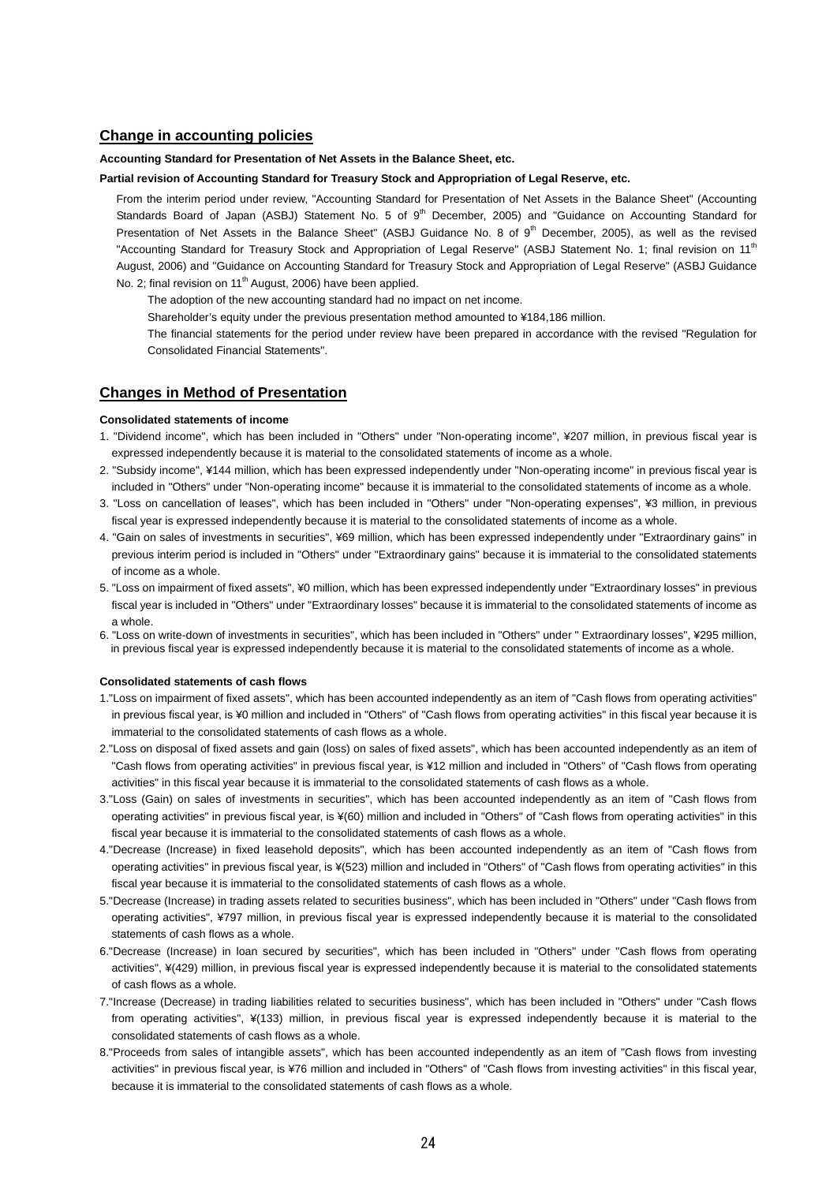### **Change in accounting policies**

#### **Accounting Standard for Presentation of Net Assets in the Balance Sheet, etc.**

#### **Partial revision of Accounting Standard for Treasury Stock and Appropriation of Legal Reserve, etc.**

From the interim period under review, "Accounting Standard for Presentation of Net Assets in the Balance Sheet" (Accounting Standards Board of Japan (ASBJ) Statement No. 5 of 9<sup>th</sup> December, 2005) and "Guidance on Accounting Standard for Presentation of Net Assets in the Balance Sheet" (ASBJ Guidance No. 8 of  $9<sup>th</sup>$  December, 2005), as well as the revised "Accounting Standard for Treasury Stock and Appropriation of Legal Reserve" (ASBJ Statement No. 1; final revision on 11<sup>th</sup> August, 2006) and "Guidance on Accounting Standard for Treasury Stock and Appropriation of Legal Reserve" (ASBJ Guidance No. 2; final revision on 11<sup>th</sup> August, 2006) have been applied.

The adoption of the new accounting standard had no impact on net income.

Shareholder's equity under the previous presentation method amounted to ¥184,186 million.

The financial statements for the period under review have been prepared in accordance with the revised "Regulation for Consolidated Financial Statements".

### **Changes in Method of Presentation**

#### **Consolidated statements of income**

- 1. "Dividend income", which has been included in "Others" under "Non-operating income", ¥207 million, in previous fiscal year is expressed independently because it is material to the consolidated statements of income as a whole.
- 2. "Subsidy income", ¥144 million, which has been expressed independently under "Non-operating income" in previous fiscal year is included in "Others" under "Non-operating income" because it is immaterial to the consolidated statements of income as a whole.
- 3. "Loss on cancellation of leases", which has been included in "Others" under "Non-operating expenses", ¥3 million, in previous fiscal year is expressed independently because it is material to the consolidated statements of income as a whole.
- 4. "Gain on sales of investments in securities", ¥69 million, which has been expressed independently under "Extraordinary gains" in previous interim period is included in "Others" under "Extraordinary gains" because it is immaterial to the consolidated statements of income as a whole.
- 5. "Loss on impairment of fixed assets", ¥0 million, which has been expressed independently under "Extraordinary losses" in previous fiscal year is included in "Others" under "Extraordinary losses" because it is immaterial to the consolidated statements of income as a whole.
- 6. "Loss on write-down of investments in securities", which has been included in "Others" under " Extraordinary losses", ¥295 million, in previous fiscal year is expressed independently because it is material to the consolidated statements of income as a whole.

#### **Consolidated statements of cash flows**

- 1."Loss on impairment of fixed assets", which has been accounted independently as an item of "Cash flows from operating activities" in previous fiscal year, is ¥0 million and included in "Others" of "Cash flows from operating activities" in this fiscal year because it is immaterial to the consolidated statements of cash flows as a whole.
- 2."Loss on disposal of fixed assets and gain (loss) on sales of fixed assets", which has been accounted independently as an item of "Cash flows from operating activities" in previous fiscal year, is ¥12 million and included in "Others" of "Cash flows from operating activities" in this fiscal year because it is immaterial to the consolidated statements of cash flows as a whole.
- 3."Loss (Gain) on sales of investments in securities", which has been accounted independently as an item of "Cash flows from operating activities" in previous fiscal year, is ¥(60) million and included in "Others" of "Cash flows from operating activities" in this fiscal year because it is immaterial to the consolidated statements of cash flows as a whole.
- 4."Decrease (Increase) in fixed leasehold deposits", which has been accounted independently as an item of "Cash flows from operating activities" in previous fiscal year, is ¥(523) million and included in "Others" of "Cash flows from operating activities" in this fiscal year because it is immaterial to the consolidated statements of cash flows as a whole.
- 5."Decrease (Increase) in trading assets related to securities business", which has been included in "Others" under "Cash flows from operating activities", ¥797 million, in previous fiscal year is expressed independently because it is material to the consolidated statements of cash flows as a whole.
- 6."Decrease (Increase) in loan secured by securities", which has been included in "Others" under "Cash flows from operating activities", ¥(429) million, in previous fiscal year is expressed independently because it is material to the consolidated statements of cash flows as a whole.
- 7."Increase (Decrease) in trading liabilities related to securities business", which has been included in "Others" under "Cash flows from operating activities", ¥(133) million, in previous fiscal year is expressed independently because it is material to the consolidated statements of cash flows as a whole.
- 8."Proceeds from sales of intangible assets", which has been accounted independently as an item of "Cash flows from investing activities" in previous fiscal year, is ¥76 million and included in "Others" of "Cash flows from investing activities" in this fiscal year, because it is immaterial to the consolidated statements of cash flows as a whole.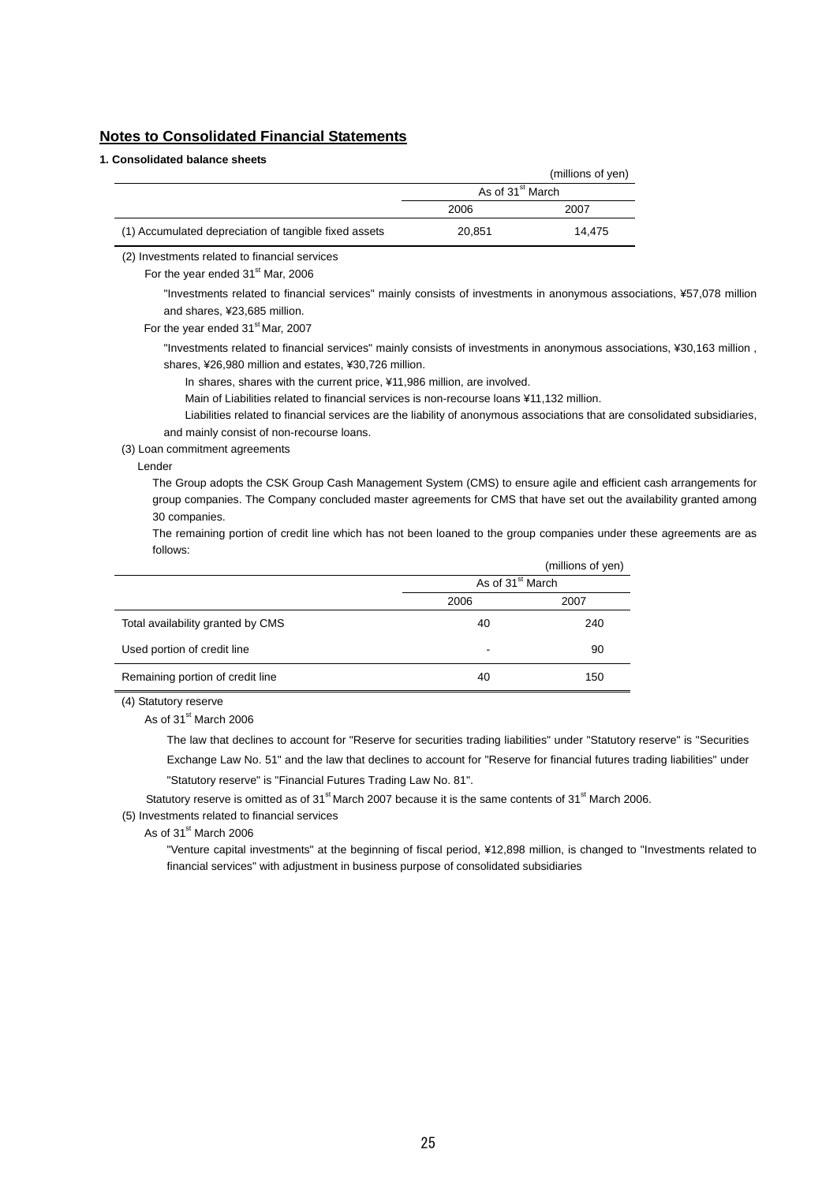## **Notes to Consolidated Financial Statements**

### **1. Consolidated balance sheets**

|                                                       |                              | (millions of yen) |
|-------------------------------------------------------|------------------------------|-------------------|
|                                                       | As of 31 <sup>st</sup> March |                   |
|                                                       | 2006                         | 2007              |
| (1) Accumulated depreciation of tangible fixed assets | 20.851                       | 14.475            |

(2) Investments related to financial services

For the year ended 31<sup>st</sup> Mar, 2006

"Investments related to financial services" mainly consists of investments in anonymous associations, ¥57,078 million and shares, ¥23,685 million.

For the year ended 31<sup>st</sup> Mar, 2007

"Investments related to financial services" mainly consists of investments in anonymous associations, ¥30,163 million , shares, ¥26,980 million and estates, ¥30,726 million.

In shares, shares with the current price, ¥11,986 million, are involved.

Main of Liabilities related to financial services is non-recourse loans ¥11,132 million.

Liabilities related to financial services are the liability of anonymous associations that are consolidated subsidiaries, and mainly consist of non-recourse loans.

(3) Loan commitment agreements

Lender

The Group adopts the CSK Group Cash Management System (CMS) to ensure agile and efficient cash arrangements for group companies. The Company concluded master agreements for CMS that have set out the availability granted among 30 companies.

The remaining portion of credit line which has not been loaned to the group companies under these agreements are as follows:

|                                   |                              | (millions of yen) |  |
|-----------------------------------|------------------------------|-------------------|--|
|                                   | As of 31 <sup>st</sup> March |                   |  |
|                                   | 2006                         | 2007              |  |
| Total availability granted by CMS | 40                           | 240               |  |
| Used portion of credit line       | -                            | 90                |  |
| Remaining portion of credit line  | 40                           | 150               |  |

(4) Statutory reserve

As of 31st March 2006

The law that declines to account for "Reserve for securities trading liabilities" under "Statutory reserve" is "Securities

Exchange Law No. 51" and the law that declines to account for "Reserve for financial futures trading liabilities" under "Statutory reserve" is "Financial Futures Trading Law No. 81".

Statutory reserve is omitted as of 31<sup>st</sup> March 2007 because it is the same contents of 31<sup>st</sup> March 2006.

(5) Investments related to financial services

As of 31<sup>st</sup> March 2006

"Venture capital investments" at the beginning of fiscal period, ¥12,898 million, is changed to "Investments related to financial services" with adjustment in business purpose of consolidated subsidiaries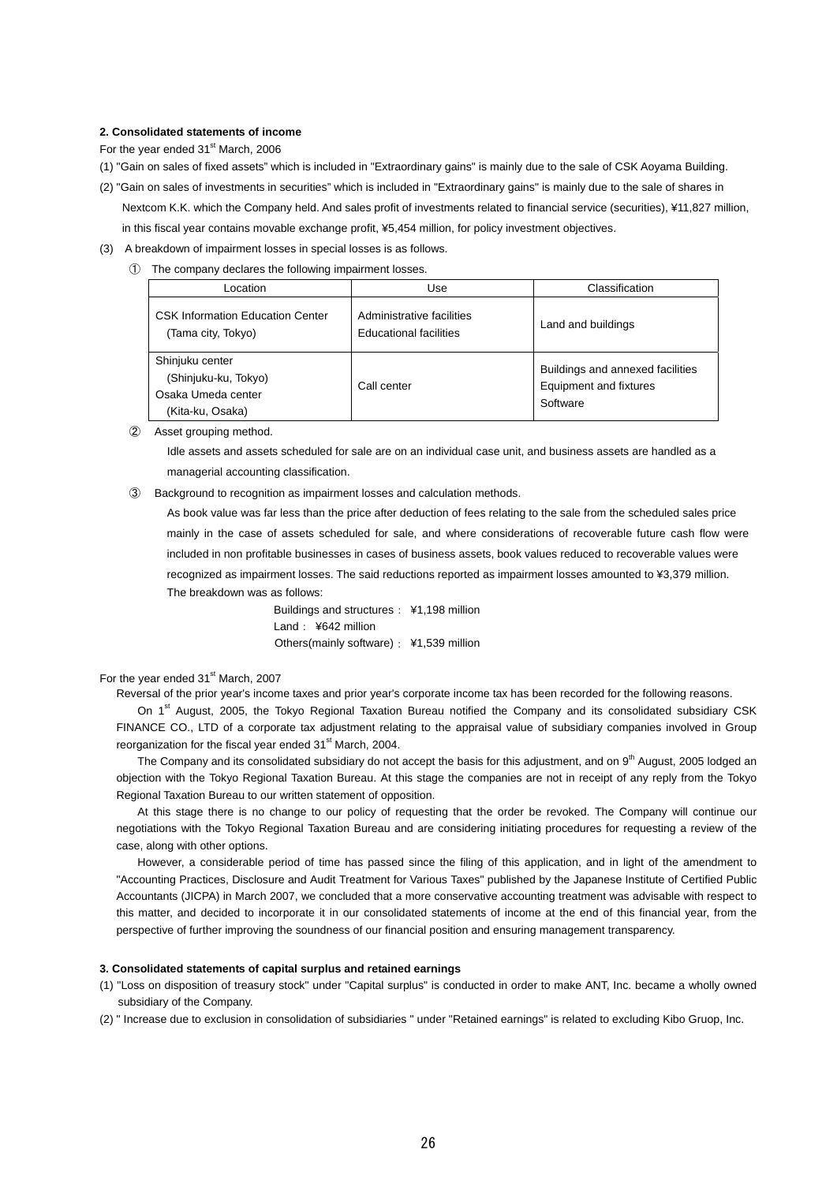#### **2. Consolidated statements of income**

For the year ended 31<sup>st</sup> March, 2006

- (1) "Gain on sales of fixed assets" which is included in "Extraordinary gains" is mainly due to the sale of CSK Aoyama Building.
- (2) "Gain on sales of investments in securities" which is included in "Extraordinary gains" is mainly due to the sale of shares in Nextcom K.K. which the Company held. And sales profit of investments related to financial service (securities), ¥11,827 million, in this fiscal year contains movable exchange profit, ¥5,454 million, for policy investment objectives.
- (3) A breakdown of impairment losses in special losses is as follows.
	- ① The company declares the following impairment losses.

| Location                                                                          | Use                                                        | Classification                                                         |
|-----------------------------------------------------------------------------------|------------------------------------------------------------|------------------------------------------------------------------------|
| <b>CSK Information Education Center</b><br>(Tama city, Tokyo)                     | Administrative facilities<br><b>Educational facilities</b> | Land and buildings                                                     |
| Shinjuku center<br>(Shinjuku-ku, Tokyo)<br>Osaka Umeda center<br>(Kita-ku, Osaka) | Call center                                                | Buildings and annexed facilities<br>Equipment and fixtures<br>Software |

② Asset grouping method.

Idle assets and assets scheduled for sale are on an individual case unit, and business assets are handled as a managerial accounting classification.

③ Background to recognition as impairment losses and calculation methods.

As book value was far less than the price after deduction of fees relating to the sale from the scheduled sales price mainly in the case of assets scheduled for sale, and where considerations of recoverable future cash flow were included in non profitable businesses in cases of business assets, book values reduced to recoverable values were recognized as impairment losses. The said reductions reported as impairment losses amounted to ¥3,379 million. The breakdown was as follows:

> Buildings and structures: ¥1,198 million Land: ¥642 million Others(mainly software): ¥1,539 million

#### For the year ended 31<sup>st</sup> March, 2007

Reversal of the prior year's income taxes and prior year's corporate income tax has been recorded for the following reasons.

On 1<sup>st</sup> August, 2005, the Tokyo Regional Taxation Bureau notified the Company and its consolidated subsidiary CSK FINANCE CO., LTD of a corporate tax adjustment relating to the appraisal value of subsidiary companies involved in Group reorganization for the fiscal year ended 31<sup>st</sup> March, 2004.

The Company and its consolidated subsidiary do not accept the basis for this adjustment, and on 9<sup>th</sup> August, 2005 lodged an objection with the Tokyo Regional Taxation Bureau. At this stage the companies are not in receipt of any reply from the Tokyo Regional Taxation Bureau to our written statement of opposition.

At this stage there is no change to our policy of requesting that the order be revoked. The Company will continue our negotiations with the Tokyo Regional Taxation Bureau and are considering initiating procedures for requesting a review of the case, along with other options.

However, a considerable period of time has passed since the filing of this application, and in light of the amendment to "Accounting Practices, Disclosure and Audit Treatment for Various Taxes" published by the Japanese Institute of Certified Public Accountants (JICPA) in March 2007, we concluded that a more conservative accounting treatment was advisable with respect to this matter, and decided to incorporate it in our consolidated statements of income at the end of this financial year, from the perspective of further improving the soundness of our financial position and ensuring management transparency.

#### **3. Consolidated statements of capital surplus and retained earnings**

- (1) "Loss on disposition of treasury stock" under "Capital surplus" is conducted in order to make ANT, Inc. became a wholly owned subsidiary of the Company.
- (2) " Increase due to exclusion in consolidation of subsidiaries " under "Retained earnings" is related to excluding Kibo Gruop, Inc.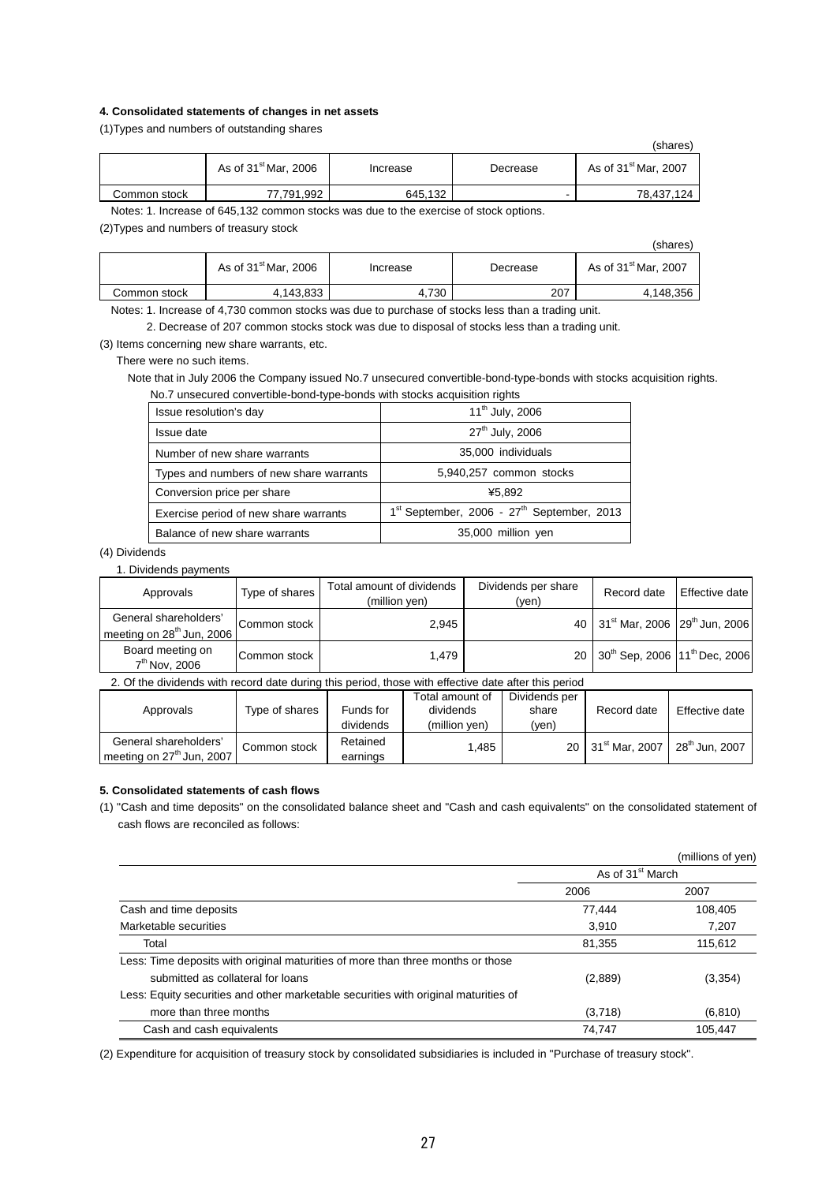#### **4. Consolidated statements of changes in net assets**

(1)Types and numbers of outstanding shares

|              |                        |          |          | (shares)               |
|--------------|------------------------|----------|----------|------------------------|
|              | As of $31st$ Mar, 2006 | Increase | Decrease | As of $31st$ Mar, 2007 |
| Common stock | 77,791,992             | 645,132  | -        | 78,437,124             |

Notes: 1. Increase of 645,132 common stocks was due to the exercise of stock options.

(2)Types and numbers of treasury stock

|              |                                  |          |          | (shares)               |
|--------------|----------------------------------|----------|----------|------------------------|
|              | As of 31 <sup>st</sup> Mar, 2006 | Increase | Decrease | As of $31st$ Mar, 2007 |
| Common stock | 4,143,833                        | 4,730    | 207      | 4.148.356              |

Notes: 1. Increase of 4,730 common stocks was due to purchase of stocks less than a trading unit.

2. Decrease of 207 common stocks stock was due to disposal of stocks less than a trading unit.

(3) Items concerning new share warrants, etc.

There were no such items.

Note that in July 2006 the Company issued No.7 unsecured convertible-bond-type-bonds with stocks acquisition rights. No.7 unsecured convertible-bond-type-bonds with stocks acquisition rights

| Issue resolution's day                  | 11 <sup>th</sup> July, 2006                    |
|-----------------------------------------|------------------------------------------------|
| Issue date                              | 27 <sup>th</sup> July, 2006                    |
| Number of new share warrants            | 35,000 individuals                             |
| Types and numbers of new share warrants | 5,940,257 common stocks                        |
| Conversion price per share              | ¥5.892                                         |
| Exercise period of new share warrants   | $1st$ September, 2006 - $27th$ September, 2013 |
| Balance of new share warrants           | 35,000 million yen                             |

### (4) Dividends

#### 1. Dividends payments

| Approvals                                            | Type of shares | Total amount of dividends<br>(million ven) | Dividends per share<br>(yen) | Record date                                              | Effective date |
|------------------------------------------------------|----------------|--------------------------------------------|------------------------------|----------------------------------------------------------|----------------|
| General shareholders'<br>meeting on $28th$ Jun, 2006 | Common stock   | 2.945                                      |                              | 40 31 <sup>st</sup> Mar, 2006 29 <sup>th</sup> Jun, 2006 |                |
| Board meeting on<br>7 <sup>th</sup> Nov, 2006        | Common stock   | 1.479                                      |                              | 20 30 <sup>th</sup> Sep, 2006 11 <sup>th</sup> Dec, 2006 |                |

2. Of the dividends with record date during this period, those with effective date after this period

| Approvals                                                      | Type of shares | Funds for<br>dividends | Total amount of<br>dividends<br>(million ven) | Dividends per<br>share<br>(yen) | Record date                   | Effective date             |
|----------------------------------------------------------------|----------------|------------------------|-----------------------------------------------|---------------------------------|-------------------------------|----------------------------|
| General shareholders'<br>meeting on 27 <sup>th</sup> Jun, 2007 | Common stock   | Retained<br>earnings   | .485                                          |                                 | 20 31 <sup>st</sup> Mar. 2007 | 28 <sup>th</sup> Jun. 2007 |

#### **5. Consolidated statements of cash flows**

(1) "Cash and time deposits" on the consolidated balance sheet and "Cash and cash equivalents" on the consolidated statement of cash flows are reconciled as follows:

|                                                                                     |                              | (millions of yen) |
|-------------------------------------------------------------------------------------|------------------------------|-------------------|
|                                                                                     | As of 31 <sup>st</sup> March |                   |
|                                                                                     | 2006                         | 2007              |
| Cash and time deposits                                                              | 77,444                       | 108,405           |
| Marketable securities                                                               | 3.910                        | 7.207             |
| Total                                                                               | 81,355                       | 115.612           |
| Less: Time deposits with original maturities of more than three months or those     |                              |                   |
| submitted as collateral for loans                                                   | (2,889)                      | (3,354)           |
| Less: Equity securities and other marketable securities with original maturities of |                              |                   |
| more than three months                                                              | (3,718)                      | (6, 810)          |
| Cash and cash equivalents                                                           | 74,747                       | 105.447           |

(2) Expenditure for acquisition of treasury stock by consolidated subsidiaries is included in "Purchase of treasury stock".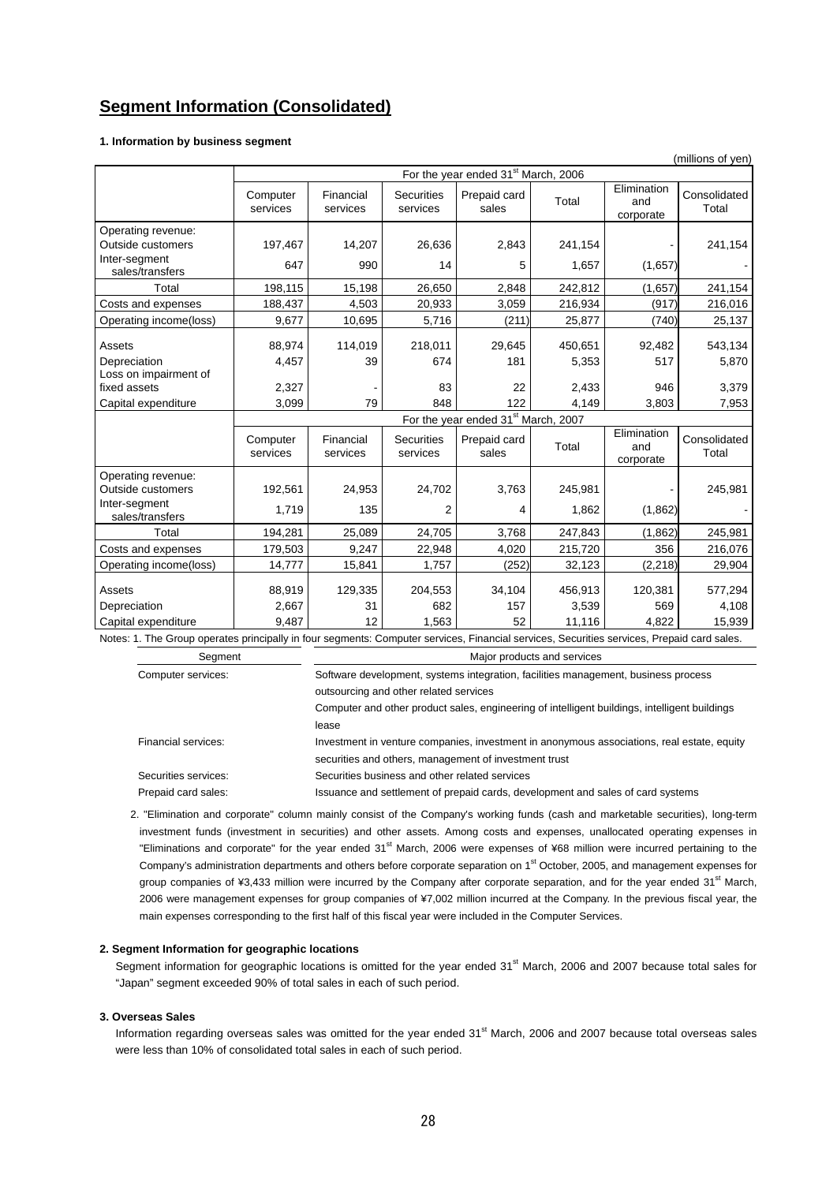## **Segment Information (Consolidated)**

#### **1. Information by business segment**

|                                                                                                                                            |                                                 |                       |                               |                                                                                    |                             |                                 | (millions of yen)     |
|--------------------------------------------------------------------------------------------------------------------------------------------|-------------------------------------------------|-----------------------|-------------------------------|------------------------------------------------------------------------------------|-----------------------------|---------------------------------|-----------------------|
|                                                                                                                                            | For the year ended 31 <sup>st</sup> March, 2006 |                       |                               |                                                                                    |                             |                                 |                       |
|                                                                                                                                            | Computer<br>services                            | Financial<br>services | <b>Securities</b><br>services | Prepaid card<br>sales                                                              | Total                       | Elimination<br>and<br>corporate | Consolidated<br>Total |
| Operating revenue:                                                                                                                         |                                                 |                       |                               |                                                                                    |                             |                                 |                       |
| Outside customers                                                                                                                          | 197,467                                         | 14,207                | 26,636                        | 2,843                                                                              | 241,154                     |                                 | 241,154               |
| Inter-segment<br>sales/transfers                                                                                                           | 647                                             | 990                   | 14                            | 5                                                                                  | 1,657                       | (1,657)                         |                       |
| Total                                                                                                                                      | 198,115                                         | 15,198                | 26,650                        | 2,848                                                                              | 242,812                     | (1,657)                         | 241,154               |
| Costs and expenses                                                                                                                         | 188,437                                         | 4,503                 | 20,933                        | 3,059                                                                              | 216,934                     | (917)                           | 216,016               |
| Operating income(loss)                                                                                                                     | 9,677                                           | 10,695                | 5,716                         | (211)                                                                              | 25,877                      | (740)                           | 25,137                |
| Assets                                                                                                                                     | 88,974                                          | 114,019               | 218,011                       | 29,645                                                                             | 450,651                     | 92,482                          | 543,134               |
| Depreciation                                                                                                                               | 4,457                                           | 39                    | 674                           | 181                                                                                | 5,353                       | 517                             | 5,870                 |
| Loss on impairment of<br>fixed assets                                                                                                      | 2,327                                           |                       | 83                            | 22                                                                                 | 2,433                       | 946                             | 3,379                 |
| Capital expenditure                                                                                                                        | 3,099                                           | 79                    | 848                           | 122                                                                                | 4,149                       | 3,803                           | 7,953                 |
|                                                                                                                                            |                                                 |                       |                               | For the year ended 31 <sup>st</sup> March, 2007                                    |                             |                                 |                       |
|                                                                                                                                            | Computer<br>services                            | Financial<br>services | <b>Securities</b><br>services | Prepaid card<br>sales                                                              | Total                       | Elimination<br>and<br>corporate | Consolidated<br>Total |
| Operating revenue:<br>Outside customers                                                                                                    | 192,561                                         | 24,953                | 24,702                        | 3,763                                                                              | 245,981                     |                                 | 245,981               |
| Inter-segment<br>sales/transfers                                                                                                           | 1,719                                           | 135                   | $\overline{2}$                | 4                                                                                  | 1,862                       | (1,862)                         |                       |
| Total                                                                                                                                      | 194,281                                         |                       |                               |                                                                                    |                             |                                 |                       |
|                                                                                                                                            |                                                 | 25,089                | 24,705                        | 3,768                                                                              | 247,843                     | (1,862)                         | 245,981               |
| Costs and expenses                                                                                                                         | 179,503                                         | 9,247                 | 22,948                        | 4,020                                                                              | 215,720                     | 356                             | 216,076               |
| Operating income(loss)                                                                                                                     | 14,777                                          | 15,841                | 1,757                         | (252)                                                                              | 32,123                      | (2, 218)                        | 29,904                |
| Assets                                                                                                                                     | 88,919                                          | 129,335               | 204,553                       | 34,104                                                                             | 456,913                     | 120,381                         | 577,294               |
| Depreciation                                                                                                                               | 2,667                                           | 31                    | 682                           | 157                                                                                | 3,539                       | 569                             | 4,108                 |
| Capital expenditure                                                                                                                        | 9,487                                           | 12                    | 1.563                         | 52                                                                                 | 11,116                      | 4,822                           | 15,939                |
| Notes: 1. The Group operates principally in four segments: Computer services, Financial services, Securities services, Prepaid card sales. |                                                 |                       |                               |                                                                                    |                             |                                 |                       |
| Segment                                                                                                                                    |                                                 |                       |                               |                                                                                    | Major products and services |                                 |                       |
| Computer services:                                                                                                                         |                                                 |                       |                               | Software development, systems integration, facilities management, business process |                             |                                 |                       |

Computer and other product sales, engineering of intelligent buildings, intelligent buildings lease Financial services: Investment in venture companies, investment in anonymous associations, real estate, equity securities and others, management of investment trust

Securities services: Securities business and other related services Prepaid card sales: Issuance and settlement of prepaid cards, development and sales of card systems

2. "Elimination and corporate" column mainly consist of the Company's working funds (cash and marketable securities), long-term investment funds (investment in securities) and other assets. Among costs and expenses, unallocated operating expenses in "Eliminations and corporate" for the year ended 31<sup>st</sup> March, 2006 were expenses of ¥68 million were incurred pertaining to the Company's administration departments and others before corporate separation on 1<sup>st</sup> October, 2005, and management expenses for group companies of ¥3,433 million were incurred by the Company after corporate separation, and for the year ended 31<sup>st</sup> March, 2006 were management expenses for group companies of ¥7,002 million incurred at the Company. In the previous fiscal year, the main expenses corresponding to the first half of this fiscal year were included in the Computer Services.

### **2. Segment Information for geographic locations**

Segment information for geographic locations is omitted for the year ended 31<sup>st</sup> March, 2006 and 2007 because total sales for "Japan" segment exceeded 90% of total sales in each of such period.

#### **3. Overseas Sales**

Information regarding overseas sales was omitted for the year ended 31<sup>st</sup> March, 2006 and 2007 because total overseas sales were less than 10% of consolidated total sales in each of such period.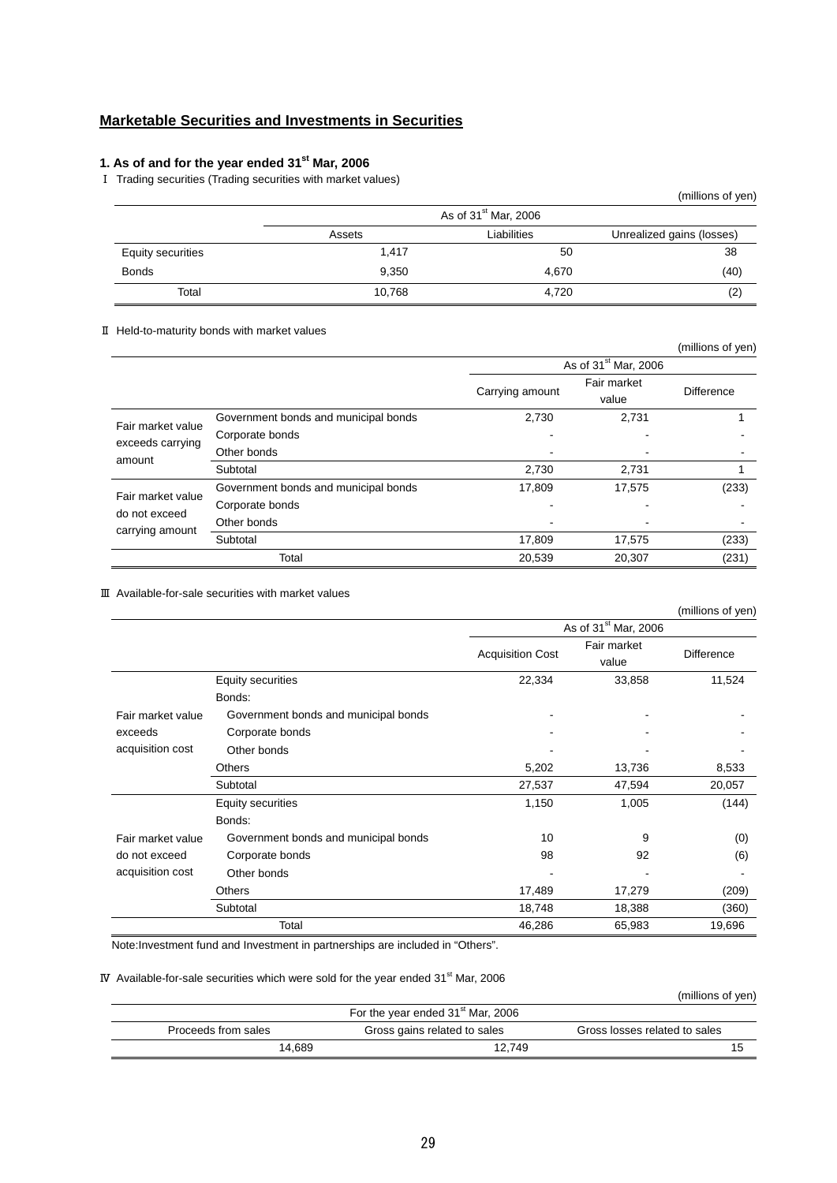## **Marketable Securities and Investments in Securities**

## **1. As of and for the year ended 31st Mar, 2006**

Ⅰ Trading securities (Trading securities with market values)

|                          |        |                                  | (millions of yen)         |
|--------------------------|--------|----------------------------------|---------------------------|
|                          |        | As of 31 <sup>st</sup> Mar, 2006 |                           |
|                          | Assets | Liabilities                      | Unrealized gains (losses) |
| <b>Equity securities</b> | 1,417  | 50                               | 38                        |
| <b>Bonds</b>             | 9.350  | 4.670                            | (40)                      |
| Total                    | 10,768 | 4,720                            | (2)                       |

#### Ⅱ Held-to-maturity bonds with market values

|                                                       |                                      |                                  |             | (millions of yen) |
|-------------------------------------------------------|--------------------------------------|----------------------------------|-------------|-------------------|
|                                                       |                                      | As of 31 <sup>st</sup> Mar, 2006 |             |                   |
|                                                       |                                      |                                  | Fair market |                   |
|                                                       |                                      | Carrying amount                  | value       | <b>Difference</b> |
|                                                       | Government bonds and municipal bonds | 2,730                            | 2,731       |                   |
| Fair market value<br>exceeds carrying<br>amount       | Corporate bonds                      |                                  |             |                   |
|                                                       | Other bonds                          |                                  |             |                   |
|                                                       | Subtotal                             | 2,730                            | 2,731       |                   |
|                                                       | Government bonds and municipal bonds | 17,809                           | 17,575      | (233)             |
| Fair market value<br>do not exceed<br>carrying amount | Corporate bonds                      |                                  |             |                   |
|                                                       | Other bonds                          |                                  |             |                   |
|                                                       | Subtotal                             | 17,809                           | 17,575      | (233)             |
|                                                       | Total                                | 20,539                           | 20.307      | (231)             |

## Ⅲ Available-for-sale securities with market values

|                   |                                      |                         |                                  | (millions of yen) |
|-------------------|--------------------------------------|-------------------------|----------------------------------|-------------------|
|                   |                                      |                         | As of 31 <sup>st</sup> Mar, 2006 |                   |
|                   |                                      | <b>Acquisition Cost</b> | Fair market<br>value             | <b>Difference</b> |
|                   | Equity securities                    | 22,334                  | 33,858                           | 11,524            |
|                   | Bonds:                               |                         |                                  |                   |
| Fair market value | Government bonds and municipal bonds |                         |                                  |                   |
| exceeds           | Corporate bonds                      |                         |                                  |                   |
| acquisition cost  | Other bonds                          |                         |                                  |                   |
|                   | <b>Others</b>                        | 5,202                   | 13,736                           | 8,533             |
|                   | Subtotal                             | 27,537                  | 47,594                           | 20,057            |
|                   | Equity securities                    | 1,150                   | 1,005                            | (144)             |
|                   | Bonds:                               |                         |                                  |                   |
| Fair market value | Government bonds and municipal bonds | 10                      | 9                                | (0)               |
| do not exceed     | Corporate bonds                      | 98                      | 92                               | (6)               |
| acquisition cost  | Other bonds                          |                         |                                  |                   |
|                   | Others                               | 17,489                  | 17,279                           | (209)             |
|                   | Subtotal                             | 18,748                  | 18,388                           | (360)             |
|                   | Total                                | 46,286                  | 65,983                           | 19,696            |

Note:Investment fund and Investment in partnerships are included in "Others".

#### IV Available-for-sale securities which were sold for the year ended  $31<sup>st</sup>$  Mar, 2006

(millions of yen)

|                     | For the year ended 31 <sup>st</sup> Mar, 2006 |        |                               |
|---------------------|-----------------------------------------------|--------|-------------------------------|
| Proceeds from sales | Gross gains related to sales                  |        | Gross losses related to sales |
|                     | 14.689                                        | 12,749 |                               |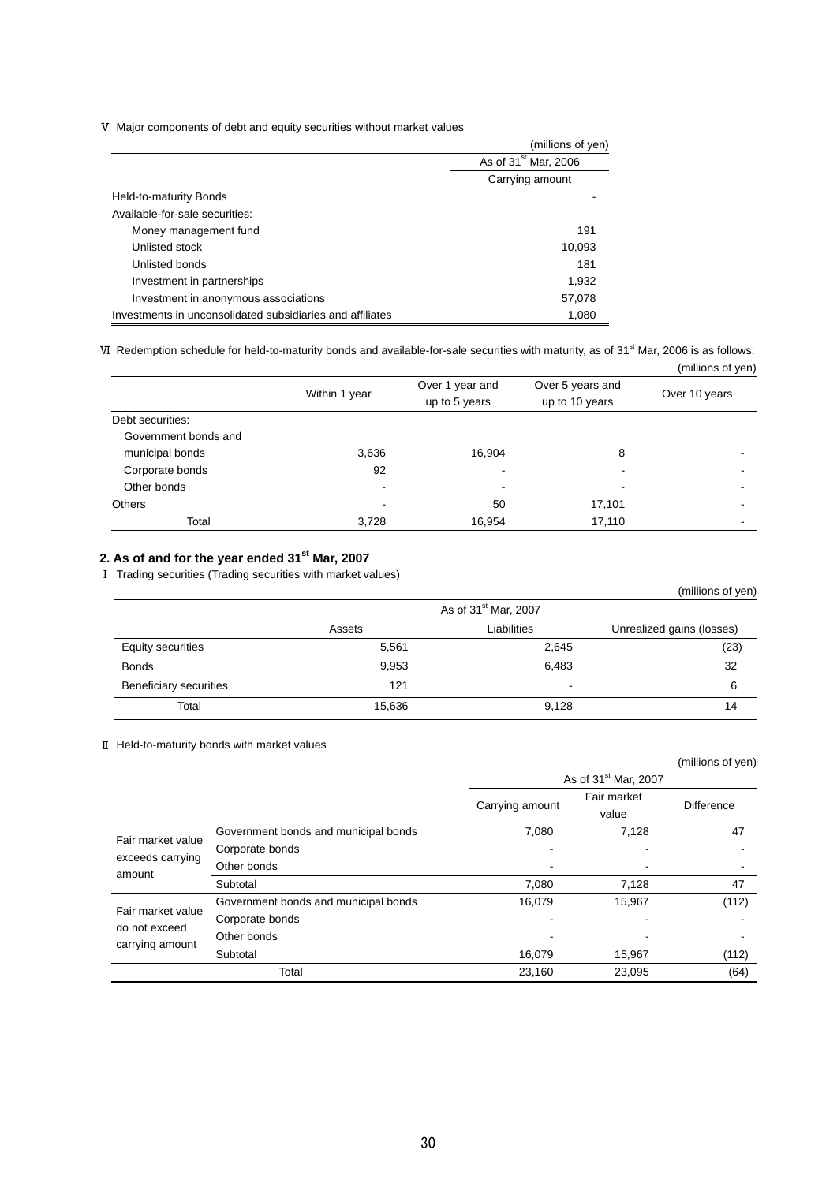Ⅴ Major components of debt and equity securities without market values

|                                                           | (millions of yen)                |
|-----------------------------------------------------------|----------------------------------|
|                                                           | As of 31 <sup>st</sup> Mar, 2006 |
|                                                           | Carrying amount                  |
| Held-to-maturity Bonds                                    |                                  |
| Available-for-sale securities:                            |                                  |
| Money management fund                                     | 191                              |
| Unlisted stock                                            | 10,093                           |
| Unlisted bonds                                            | 181                              |
| Investment in partnerships                                | 1,932                            |
| Investment in anonymous associations                      | 57,078                           |
| Investments in unconsolidated subsidiaries and affiliates | 1,080                            |

VI Redemption schedule for held-to-maturity bonds and available-for-sale securities with maturity, as of 31<sup>st</sup> Mar, 2006 is as follows: (millions of yen)

|                      |               |                                  |                                    | $\mu$         |
|----------------------|---------------|----------------------------------|------------------------------------|---------------|
|                      | Within 1 year | Over 1 year and<br>up to 5 years | Over 5 years and<br>up to 10 years | Over 10 years |
| Debt securities:     |               |                                  |                                    |               |
| Government bonds and |               |                                  |                                    |               |
| municipal bonds      | 3,636         | 16,904                           | 8                                  |               |
| Corporate bonds      | 92            |                                  | $\blacksquare$                     |               |
| Other bonds          |               | $\overline{\phantom{a}}$         | $\overline{\phantom{a}}$           |               |
| <b>Others</b>        |               | 50                               | 17,101                             |               |
| Total                | 3,728         | 16,954                           | 17,110                             |               |

## **2. As of and for the year ended 31st Mar, 2007**

Ⅰ Trading securities (Trading securities with market values)

|                        |        |                                  | (millions of yen)         |
|------------------------|--------|----------------------------------|---------------------------|
|                        |        | As of 31 <sup>st</sup> Mar, 2007 |                           |
|                        | Assets | Liabilities                      | Unrealized gains (losses) |
| Equity securities      | 5,561  | 2,645                            | (23)                      |
| <b>Bonds</b>           | 9,953  | 6,483                            | 32                        |
| Beneficiary securities | 121    |                                  | 6                         |
| Total                  | 15,636 | 9,128                            | 14                        |

### Ⅱ Held-to-maturity bonds with market values

|                                  |                                      |                 |                                  | (millions of yen) |
|----------------------------------|--------------------------------------|-----------------|----------------------------------|-------------------|
|                                  |                                      |                 | As of 31 <sup>st</sup> Mar, 2007 |                   |
|                                  |                                      | Carrying amount | Fair market                      | <b>Difference</b> |
|                                  |                                      |                 | value                            |                   |
| Fair market value                | Government bonds and municipal bonds | 7,080           | 7,128                            | 47                |
|                                  | Corporate bonds                      |                 |                                  |                   |
| exceeds carrying<br>amount       | Other bonds                          |                 |                                  |                   |
|                                  | Subtotal                             | 7,080           | 7,128                            | 47                |
| Fair market value                | Government bonds and municipal bonds | 16,079          | 15,967                           | (112)             |
| do not exceed<br>carrying amount | Corporate bonds                      |                 |                                  |                   |
|                                  | Other bonds                          |                 |                                  |                   |
|                                  | Subtotal                             | 16,079          | 15,967                           | (112)             |
|                                  | Total                                | 23,160          | 23,095                           | (64)              |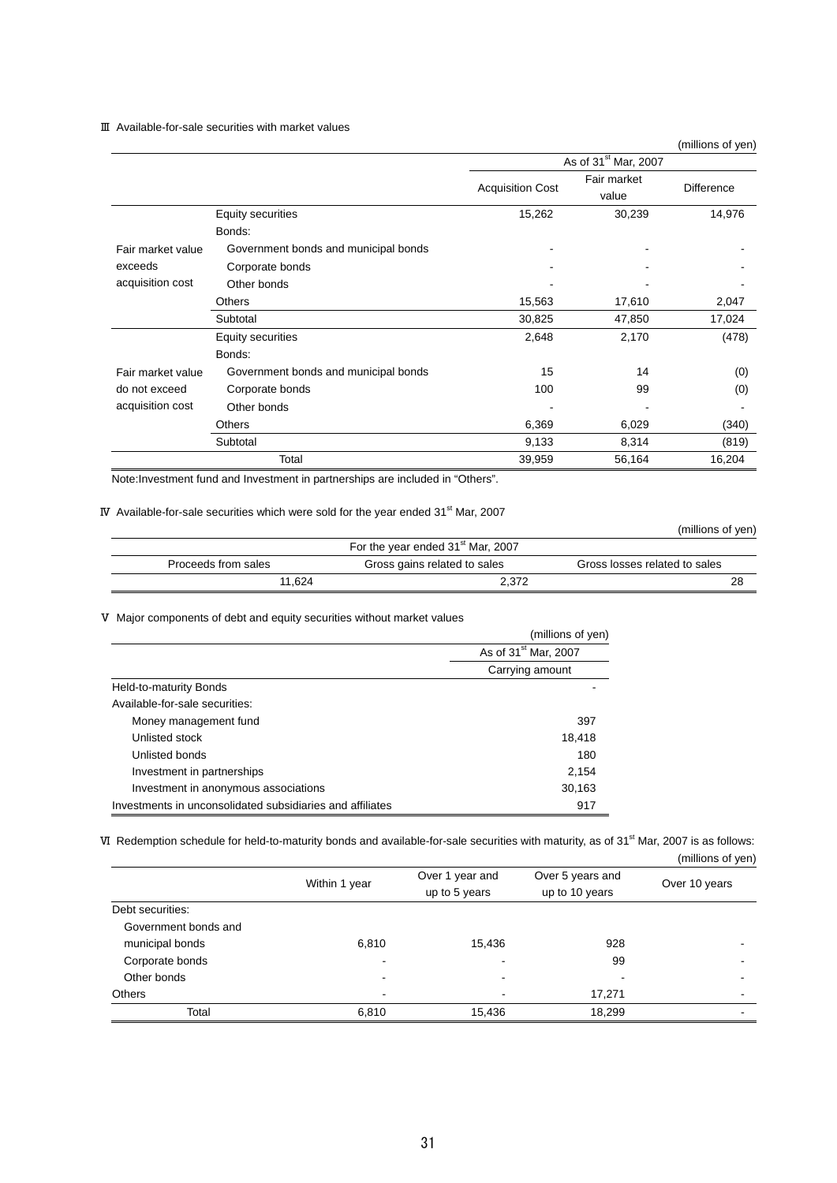### Ⅲ Available-for-sale securities with market values

(millions of yen)

|                   |                                      | As of 31 <sup>st</sup> Mar, 2007 |                      |                   |
|-------------------|--------------------------------------|----------------------------------|----------------------|-------------------|
|                   |                                      | <b>Acquisition Cost</b>          | Fair market<br>value | <b>Difference</b> |
|                   | <b>Equity securities</b>             | 15,262                           | 30,239               | 14,976            |
|                   | Bonds:                               |                                  |                      |                   |
| Fair market value | Government bonds and municipal bonds |                                  |                      |                   |
| exceeds           | Corporate bonds                      |                                  |                      |                   |
| acquisition cost  | Other bonds                          |                                  |                      |                   |
|                   | Others                               | 15,563                           | 17,610               | 2,047             |
|                   | Subtotal                             | 30,825                           | 47,850               | 17,024            |
|                   | <b>Equity securities</b>             | 2,648                            | 2,170                | (478)             |
|                   | Bonds:                               |                                  |                      |                   |
| Fair market value | Government bonds and municipal bonds | 15                               | 14                   | (0)               |
| do not exceed     | Corporate bonds                      | 100                              | 99                   | (0)               |
| acquisition cost  | Other bonds                          |                                  |                      |                   |
|                   | <b>Others</b>                        | 6,369                            | 6,029                | (340)             |
|                   | Subtotal                             | 9,133                            | 8,314                | (819)             |
|                   | Total                                | 39,959                           | 56,164               | 16,204            |

Note:Investment fund and Investment in partnerships are included in "Others".

### IV Available-for-sale securities which were sold for the year ended  $31<sup>st</sup>$  Mar, 2007

(millions of yen)

|                     | For the year ended 31 <sup>st</sup> Mar, 2007 |                               |
|---------------------|-----------------------------------------------|-------------------------------|
| Proceeds from sales | Gross gains related to sales                  | Gross losses related to sales |
| 11.624              | 2.372                                         | 28                            |

Ⅴ Major components of debt and equity securities without market values

|                                                           | (millions of yen)                |
|-----------------------------------------------------------|----------------------------------|
|                                                           | As of 31 <sup>st</sup> Mar, 2007 |
|                                                           | Carrying amount                  |
| Held-to-maturity Bonds                                    |                                  |
| Available-for-sale securities:                            |                                  |
| Money management fund                                     | 397                              |
| Unlisted stock                                            | 18,418                           |
| Unlisted bonds                                            | 180                              |
| Investment in partnerships                                | 2,154                            |
| Investment in anonymous associations                      | 30,163                           |
| Investments in unconsolidated subsidiaries and affiliates | 917                              |

VI Redemption schedule for held-to-maturity bonds and available-for-sale securities with maturity, as of 31<sup>st</sup> Mar, 2007 is as follows:

(millions of yen)

|                      | Within 1 year | Over 1 year and<br>up to 5 years | Over 5 years and<br>up to 10 years | Over 10 years |
|----------------------|---------------|----------------------------------|------------------------------------|---------------|
| Debt securities:     |               |                                  |                                    |               |
| Government bonds and |               |                                  |                                    |               |
| municipal bonds      | 6,810         | 15,436                           | 928                                |               |
| Corporate bonds      |               |                                  | 99                                 |               |
| Other bonds          |               | $\,$                             |                                    |               |
| Others               |               |                                  | 17,271                             |               |
| Total                | 6,810         | 15,436                           | 18,299                             |               |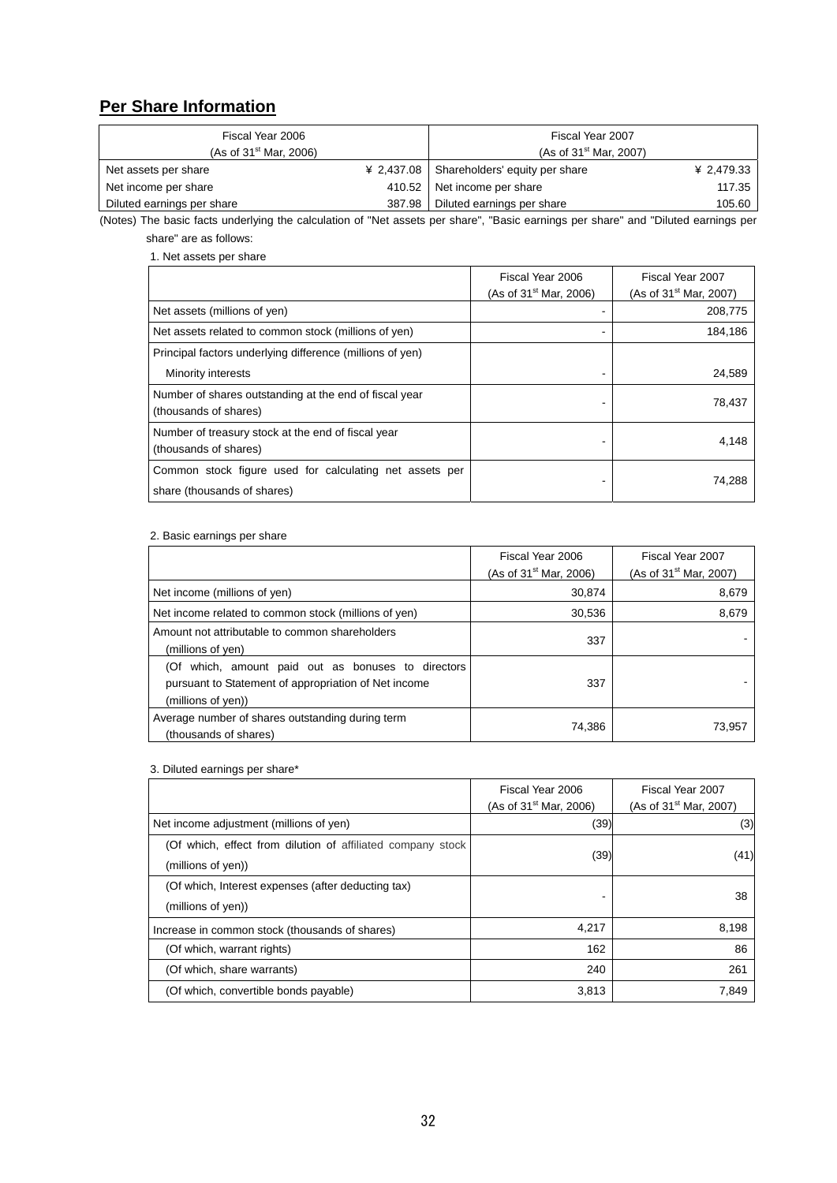## **Per Share Information**

| Fiscal Year 2006            |        | Fiscal Year 2007                            |            |
|-----------------------------|--------|---------------------------------------------|------------|
| (As of $31^{st}$ Mar, 2006) |        | (As of 31 <sup>st</sup> Mar, 2007)          |            |
| Net assets per share        |        | ¥ 2,437.08   Shareholders' equity per share | ¥ 2,479.33 |
| Net income per share        |        | 410.52 Net income per share                 | 117.35     |
| Diluted earnings per share  | 387.98 | Diluted earnings per share                  | 105.60     |

(Notes) The basic facts underlying the calculation of "Net assets per share", "Basic earnings per share" and "Diluted earnings per share" are as follows:

1. Net assets per share

|                                                                                        | Fiscal Year 2006<br>(As of $31^{st}$ Mar, 2006) | Fiscal Year 2007<br>(As of $31^{st}$ Mar, 2007) |
|----------------------------------------------------------------------------------------|-------------------------------------------------|-------------------------------------------------|
| Net assets (millions of yen)                                                           |                                                 | 208,775                                         |
| Net assets related to common stock (millions of yen)                                   | ۰                                               | 184,186                                         |
| Principal factors underlying difference (millions of yen)                              |                                                 |                                                 |
| Minority interests                                                                     |                                                 | 24,589                                          |
| Number of shares outstanding at the end of fiscal year<br>(thousands of shares)        |                                                 | 78,437                                          |
| Number of treasury stock at the end of fiscal year<br>(thousands of shares)            | -                                               | 4,148                                           |
| Common stock figure used for calculating net assets per<br>share (thousands of shares) |                                                 | 74,288                                          |

#### 2. Basic earnings per share

|                                                                                                                                  | Fiscal Year 2006<br>(As of $31^{st}$ Mar, 2006) | Fiscal Year 2007<br>(As of 31 <sup>st</sup> Mar, 2007) |
|----------------------------------------------------------------------------------------------------------------------------------|-------------------------------------------------|--------------------------------------------------------|
| Net income (millions of yen)                                                                                                     | 30,874                                          | 8,679                                                  |
| Net income related to common stock (millions of yen)                                                                             | 30,536                                          | 8,679                                                  |
| Amount not attributable to common shareholders<br>(millions of yen)                                                              | 337                                             |                                                        |
| (Of which, amount paid out as bonuses to directors<br>pursuant to Statement of appropriation of Net income<br>(millions of yen)) | 337                                             |                                                        |
| Average number of shares outstanding during term<br>(thousands of shares)                                                        | 74,386                                          | 73,957                                                 |

### 3. Diluted earnings per share\*

|                                                                                   | Fiscal Year 2006<br>(As of $31^{st}$ Mar, 2006) | Fiscal Year 2007<br>(As of 31 <sup>st</sup> Mar, 2007) |
|-----------------------------------------------------------------------------------|-------------------------------------------------|--------------------------------------------------------|
| Net income adjustment (millions of yen)                                           | (39)                                            | (3)                                                    |
| (Of which, effect from dilution of affiliated company stock<br>(millions of yen)) | (39)                                            | (41)                                                   |
| (Of which, Interest expenses (after deducting tax)<br>(millions of yen))          |                                                 | 38                                                     |
| Increase in common stock (thousands of shares)                                    | 4,217                                           | 8,198                                                  |
| (Of which, warrant rights)                                                        | 162                                             | 86                                                     |
| (Of which, share warrants)                                                        | 240                                             | 261                                                    |
| (Of which, convertible bonds payable)                                             | 3,813                                           | 7,849                                                  |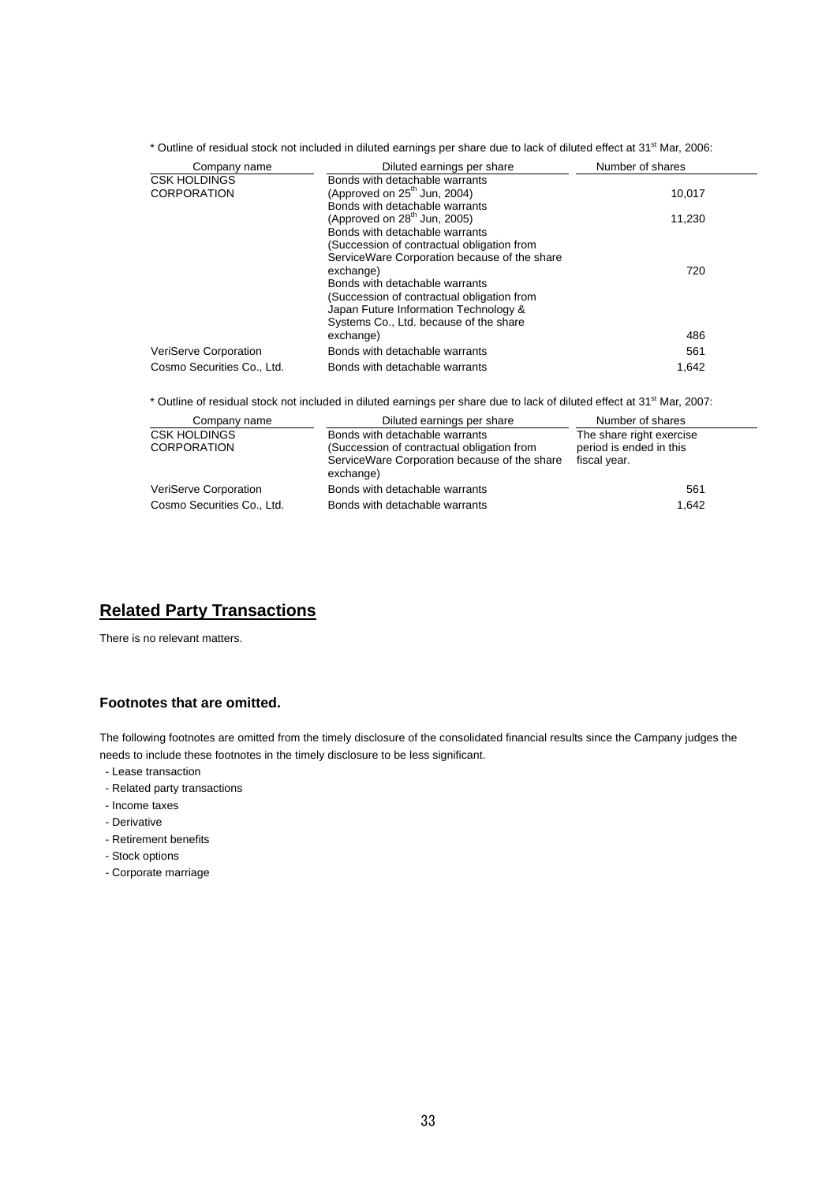\* Outline of residual stock not included in diluted earnings per share due to lack of diluted effect at 31<sup>st</sup> Mar, 2006:

| Diluted earnings per share                   | Number of shares |
|----------------------------------------------|------------------|
| Bonds with detachable warrants               |                  |
| (Approved on $25th$ Jun, 2004)               | 10,017           |
| Bonds with detachable warrants               |                  |
| (Approved on $28th$ Jun, 2005)               | 11,230           |
| Bonds with detachable warrants               |                  |
| (Succession of contractual obligation from   |                  |
| ServiceWare Corporation because of the share |                  |
| exchange)                                    | 720              |
| Bonds with detachable warrants               |                  |
| (Succession of contractual obligation from   |                  |
| Japan Future Information Technology &        |                  |
| Systems Co., Ltd. because of the share       |                  |
| exchange)                                    | 486              |
| Bonds with detachable warrants               | 561              |
| Bonds with detachable warrants               | 1.642            |
|                                              |                  |

\* Outline of residual stock not included in diluted earnings per share due to lack of diluted effect at 31<sup>st</sup> Mar, 2007:

| Company name                              | Diluted earnings per share                                                                                                                | Number of shares                                                    |
|-------------------------------------------|-------------------------------------------------------------------------------------------------------------------------------------------|---------------------------------------------------------------------|
| <b>CSK HOLDINGS</b><br><b>CORPORATION</b> | Bonds with detachable warrants<br>(Succession of contractual obligation from<br>ServiceWare Corporation because of the share<br>exchange) | The share right exercise<br>period is ended in this<br>fiscal year. |
| VeriServe Corporation                     | Bonds with detachable warrants                                                                                                            | 561                                                                 |
| Cosmo Securities Co., Ltd.                | Bonds with detachable warrants                                                                                                            | 1.642                                                               |

## **Related Party Transactions**

There is no relevant matters.

## **Footnotes that are omitted.**

The following footnotes are omitted from the timely disclosure of the consolidated financial results since the Campany judges the needs to include these footnotes in the timely disclosure to be less significant.

- Lease transaction
- Related party transactions
- Income taxes
- Derivative
- Retirement benefits
- Stock options
- Corporate marriage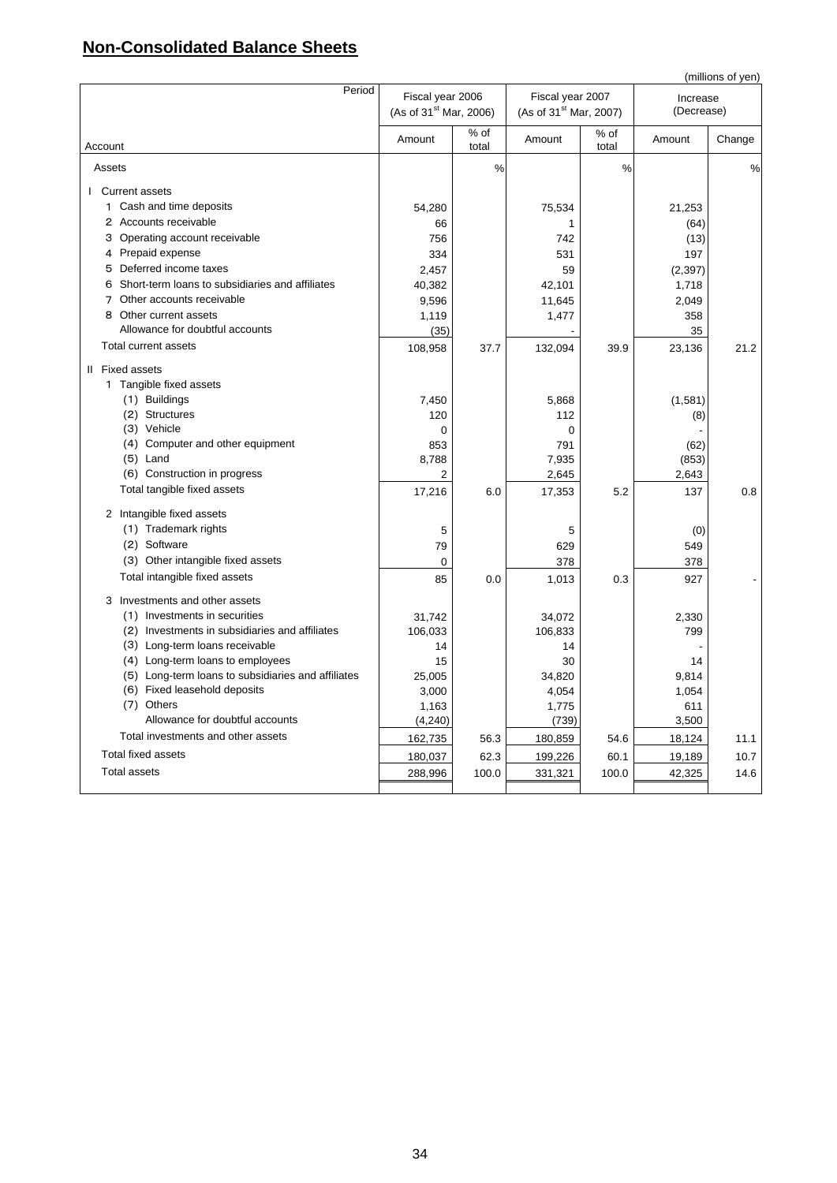## **Non-Consolidated Balance Sheets**

|                                                    |                                                        |               |                                                        |               |                        | (millions of yen) |
|----------------------------------------------------|--------------------------------------------------------|---------------|--------------------------------------------------------|---------------|------------------------|-------------------|
| Period                                             | Fiscal year 2006<br>(As of 31 <sup>st</sup> Mar, 2006) |               | Fiscal year 2007<br>(As of 31 <sup>st</sup> Mar, 2007) |               | Increase<br>(Decrease) |                   |
| Account                                            | Amount                                                 | % of<br>total | Amount                                                 | % of<br>total | Amount                 | Change            |
| Assets                                             |                                                        | $\frac{0}{0}$ |                                                        | %             |                        | $\%$              |
| I Current assets                                   |                                                        |               |                                                        |               |                        |                   |
| 1 Cash and time deposits                           | 54,280                                                 |               | 75,534                                                 |               | 21,253                 |                   |
| 2 Accounts receivable                              | 66                                                     |               | 1                                                      |               | (64)                   |                   |
| 3 Operating account receivable                     | 756                                                    |               | 742                                                    |               | (13)                   |                   |
| 4 Prepaid expense                                  | 334                                                    |               | 531                                                    |               | 197                    |                   |
| 5 Deferred income taxes                            | 2,457                                                  |               | 59                                                     |               | (2, 397)               |                   |
| 6 Short-term loans to subsidiaries and affiliates  | 40,382                                                 |               | 42,101                                                 |               | 1,718                  |                   |
| 7 Other accounts receivable                        | 9,596                                                  |               | 11,645                                                 |               | 2,049                  |                   |
| 8 Other current assets                             | 1,119                                                  |               | 1,477                                                  |               | 358                    |                   |
| Allowance for doubtful accounts                    | (35)                                                   |               |                                                        |               | 35                     |                   |
| Total current assets                               | 108,958                                                | 37.7          | 132,094                                                | 39.9          | 23,136                 | 21.2              |
| II Fixed assets                                    |                                                        |               |                                                        |               |                        |                   |
| 1 Tangible fixed assets                            |                                                        |               |                                                        |               |                        |                   |
| (1) Buildings                                      | 7,450                                                  |               | 5,868                                                  |               | (1,581)                |                   |
| (2) Structures                                     | 120                                                    |               | 112                                                    |               | (8)                    |                   |
| (3) Vehicle                                        | 0                                                      |               | $\mathbf 0$                                            |               |                        |                   |
| (4) Computer and other equipment                   | 853                                                    |               | 791                                                    |               | (62)                   |                   |
| $(5)$ Land                                         | 8,788                                                  |               | 7,935                                                  |               | (853)                  |                   |
| (6) Construction in progress                       | $\overline{2}$                                         |               | 2,645                                                  |               | 2,643                  |                   |
| Total tangible fixed assets                        | 17,216                                                 | 6.0           | 17,353                                                 | 5.2           | 137                    | 0.8               |
| 2 Intangible fixed assets                          |                                                        |               |                                                        |               |                        |                   |
| (1) Trademark rights                               | 5                                                      |               | 5                                                      |               | (0)                    |                   |
| (2) Software                                       | 79                                                     |               | 629                                                    |               | 549                    |                   |
| (3) Other intangible fixed assets                  | 0                                                      |               | 378                                                    |               | 378                    |                   |
| Total intangible fixed assets                      | 85                                                     | 0.0           | 1,013                                                  | 0.3           | 927                    |                   |
| 3 Investments and other assets                     |                                                        |               |                                                        |               |                        |                   |
| (1) Investments in securities                      | 31,742                                                 |               | 34,072                                                 |               | 2,330                  |                   |
| (2) Investments in subsidiaries and affiliates     | 106,033                                                |               | 106,833                                                |               | 799                    |                   |
| (3) Long-term loans receivable                     | 14                                                     |               | 14                                                     |               |                        |                   |
| (4) Long-term loans to employees                   | 15                                                     |               | 30                                                     |               | 14                     |                   |
| (5) Long-term loans to subsidiaries and affiliates | 25,005                                                 |               | 34,820                                                 |               | 9,814                  |                   |
| (6) Fixed leasehold deposits                       | 3,000                                                  |               | 4,054                                                  |               | 1,054                  |                   |
| (7) Others                                         | 1,163                                                  |               | 1,775                                                  |               | 611                    |                   |
| Allowance for doubtful accounts                    | (4, 240)                                               |               | (739)                                                  |               | 3,500                  |                   |
| Total investments and other assets                 | 162,735                                                | 56.3          | 180,859                                                | 54.6          | 18,124                 | 11.1              |
| <b>Total fixed assets</b>                          | 180,037                                                | 62.3          | 199,226                                                | 60.1          | 19,189                 | 10.7              |
| <b>Total assets</b>                                | 288,996                                                | 100.0         | 331,321                                                | 100.0         | 42,325                 | 14.6              |
|                                                    |                                                        |               |                                                        |               |                        |                   |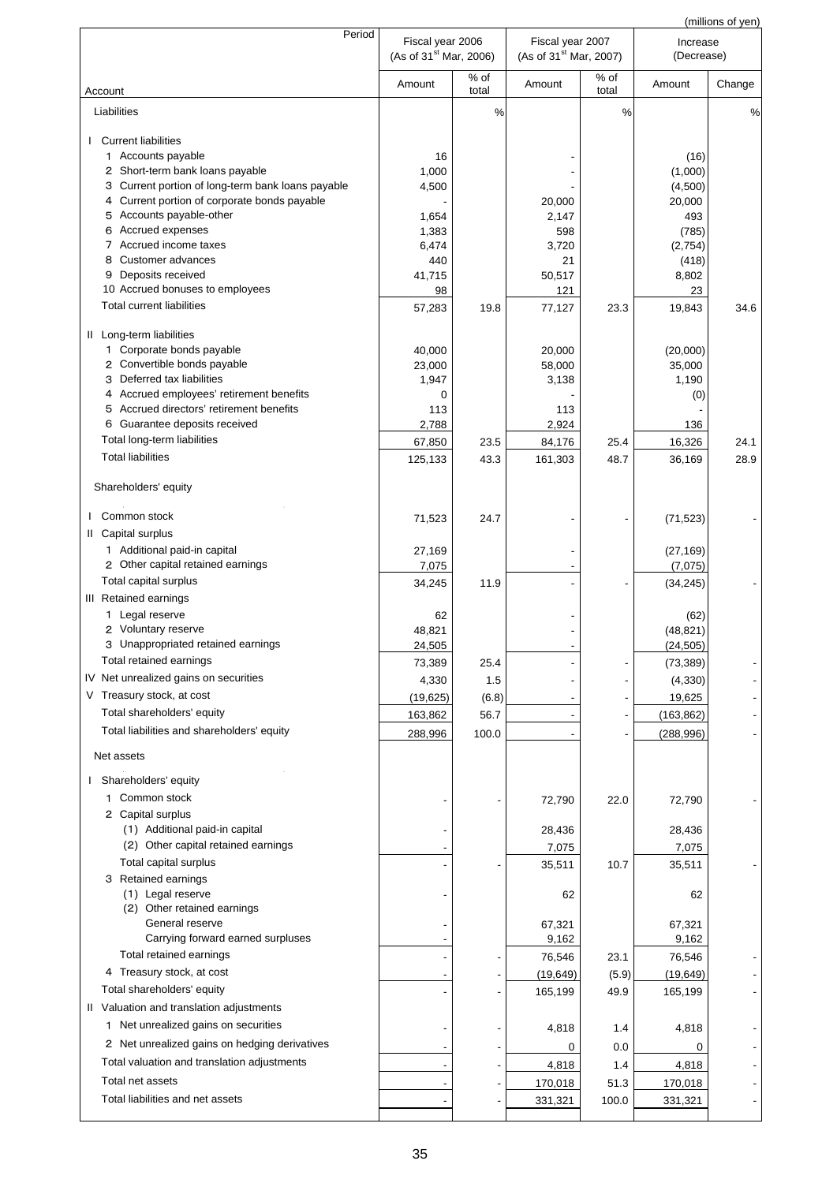|                                                      |                                                        |               |                                                        |               |                        | (millions of yen) |
|------------------------------------------------------|--------------------------------------------------------|---------------|--------------------------------------------------------|---------------|------------------------|-------------------|
| Period                                               | Fiscal year 2006<br>(As of 31 <sup>st</sup> Mar, 2006) |               | Fiscal year 2007<br>(As of 31 <sup>st</sup> Mar, 2007) |               | Increase<br>(Decrease) |                   |
| Account                                              | Amount                                                 | % of<br>total | Amount                                                 | % of<br>total | Amount                 | Change            |
| Liabilities                                          |                                                        | $\frac{0}{0}$ |                                                        | %             |                        | %                 |
| <b>Current liabilities</b><br>L                      |                                                        |               |                                                        |               |                        |                   |
| 1 Accounts payable                                   | 16                                                     |               |                                                        |               | (16)                   |                   |
| 2 Short-term bank loans payable                      | 1,000                                                  |               |                                                        |               | (1,000)                |                   |
| Current portion of long-term bank loans payable<br>З | 4,500                                                  |               |                                                        |               | (4,500)                |                   |
| 4 Current portion of corporate bonds payable         |                                                        |               | 20,000                                                 |               | 20,000                 |                   |
| 5 Accounts payable-other                             | 1,654                                                  |               | 2,147                                                  |               | 493                    |                   |
| Accrued expenses<br>6                                | 1,383                                                  |               | 598                                                    |               | (785)                  |                   |
| 7 Accrued income taxes                               | 6,474                                                  |               | 3,720                                                  |               | (2,754)                |                   |
| Customer advances<br>8                               | 440                                                    |               | 21                                                     |               | (418)                  |                   |
| Deposits received<br>9                               | 41,715                                                 |               | 50,517                                                 |               | 8,802                  |                   |
| 10 Accrued bonuses to employees                      | 98                                                     |               | 121                                                    |               | 23                     |                   |
| <b>Total current liabilities</b>                     | 57,283                                                 | 19.8          | 77,127                                                 | 23.3          | 19,843                 | 34.6              |
| II Long-term liabilities                             |                                                        |               |                                                        |               |                        |                   |
| 1 Corporate bonds payable                            | 40,000                                                 |               | 20,000                                                 |               | (20,000)               |                   |
| 2 Convertible bonds payable                          | 23,000                                                 |               | 58,000                                                 |               | 35,000                 |                   |
| Deferred tax liabilities<br>3                        | 1,947                                                  |               | 3,138                                                  |               | 1,190                  |                   |
| 4 Accrued employees' retirement benefits             | 0                                                      |               |                                                        |               | (0)                    |                   |
| 5 Accrued directors' retirement benefits             | 113                                                    |               | 113                                                    |               |                        |                   |
| 6 Guarantee deposits received                        | 2,788                                                  |               | 2,924                                                  |               | 136                    |                   |
| Total long-term liabilities                          | 67,850                                                 | 23.5          | 84,176                                                 | 25.4          | 16,326                 | 24.1              |
| <b>Total liabilities</b>                             | 125,133                                                | 43.3          | 161,303                                                | 48.7          | 36,169                 | 28.9              |
| Shareholders' equity                                 |                                                        |               |                                                        |               |                        |                   |
| Common stock                                         | 71,523                                                 | 24.7          |                                                        |               | (71, 523)              |                   |
| II Capital surplus                                   |                                                        |               |                                                        |               |                        |                   |
| 1 Additional paid-in capital                         | 27,169                                                 |               |                                                        |               | (27, 169)              |                   |
| 2 Other capital retained earnings                    | 7,075                                                  |               |                                                        |               | (7,075)                |                   |
| Total capital surplus                                | 34,245                                                 | 11.9          |                                                        |               | (34, 245)              |                   |
| III Retained earnings                                |                                                        |               |                                                        |               |                        |                   |
| 1 Legal reserve                                      | 62                                                     |               |                                                        |               | (62)                   |                   |
| 2 Voluntary reserve                                  | 48,821                                                 |               |                                                        |               | (48, 821)              |                   |
| 3 Unappropriated retained earnings                   | 24,505                                                 |               |                                                        |               | (24, 505)              |                   |
| Total retained earnings                              | 73,389                                                 | 25.4          |                                                        |               | (73, 389)              |                   |
| IV Net unrealized gains on securities                | 4,330                                                  | 1.5           |                                                        |               | (4, 330)               |                   |
| V Treasury stock, at cost                            | (19,625)                                               | (6.8)         |                                                        |               | 19,625                 |                   |
| Total shareholders' equity                           | 163,862                                                | 56.7          |                                                        |               | (163, 862)             |                   |
| Total liabilities and shareholders' equity           | 288,996                                                | 100.0         |                                                        |               | (288, 996)             |                   |
|                                                      |                                                        |               |                                                        |               |                        |                   |
| Net assets                                           |                                                        |               |                                                        |               |                        |                   |
| I Shareholders' equity                               |                                                        |               |                                                        |               |                        |                   |
| 1 Common stock                                       |                                                        |               | 72,790                                                 | 22.0          | 72,790                 |                   |
| 2 Capital surplus                                    |                                                        |               |                                                        |               |                        |                   |
| (1) Additional paid-in capital                       |                                                        |               | 28,436                                                 |               | 28,436                 |                   |
| (2) Other capital retained earnings                  |                                                        |               | 7,075                                                  |               | 7,075                  |                   |
| Total capital surplus                                |                                                        |               | 35,511                                                 | 10.7          | 35,511                 |                   |
| 3 Retained earnings                                  |                                                        |               |                                                        |               |                        |                   |
| (1) Legal reserve                                    |                                                        |               | 62                                                     |               | 62                     |                   |
| (2) Other retained earnings                          |                                                        |               |                                                        |               |                        |                   |
| General reserve                                      |                                                        |               | 67,321                                                 |               | 67,321                 |                   |
| Carrying forward earned surpluses                    |                                                        |               | 9,162                                                  |               | 9,162                  |                   |
| Total retained earnings                              |                                                        |               | 76,546                                                 | 23.1          | 76,546                 |                   |
| 4 Treasury stock, at cost                            |                                                        |               | (19, 649)                                              | (5.9)         | (19, 649)              |                   |
| Total shareholders' equity                           |                                                        |               | 165,199                                                | 49.9          | 165,199                |                   |
| II Valuation and translation adjustments             |                                                        |               |                                                        |               |                        |                   |
| 1 Net unrealized gains on securities                 |                                                        |               | 4,818                                                  | 1.4           | 4,818                  |                   |
| 2 Net unrealized gains on hedging derivatives        |                                                        |               |                                                        |               |                        |                   |
|                                                      |                                                        |               | 0                                                      | 0.0           | 0                      |                   |
| Total valuation and translation adjustments          |                                                        |               | 4,818                                                  | 1.4           | 4,818                  |                   |
| Total net assets                                     |                                                        |               | 170,018                                                | 51.3          | 170,018                |                   |
| Total liabilities and net assets                     |                                                        |               | 331,321                                                | 100.0         | 331,321                |                   |
|                                                      |                                                        |               |                                                        |               |                        |                   |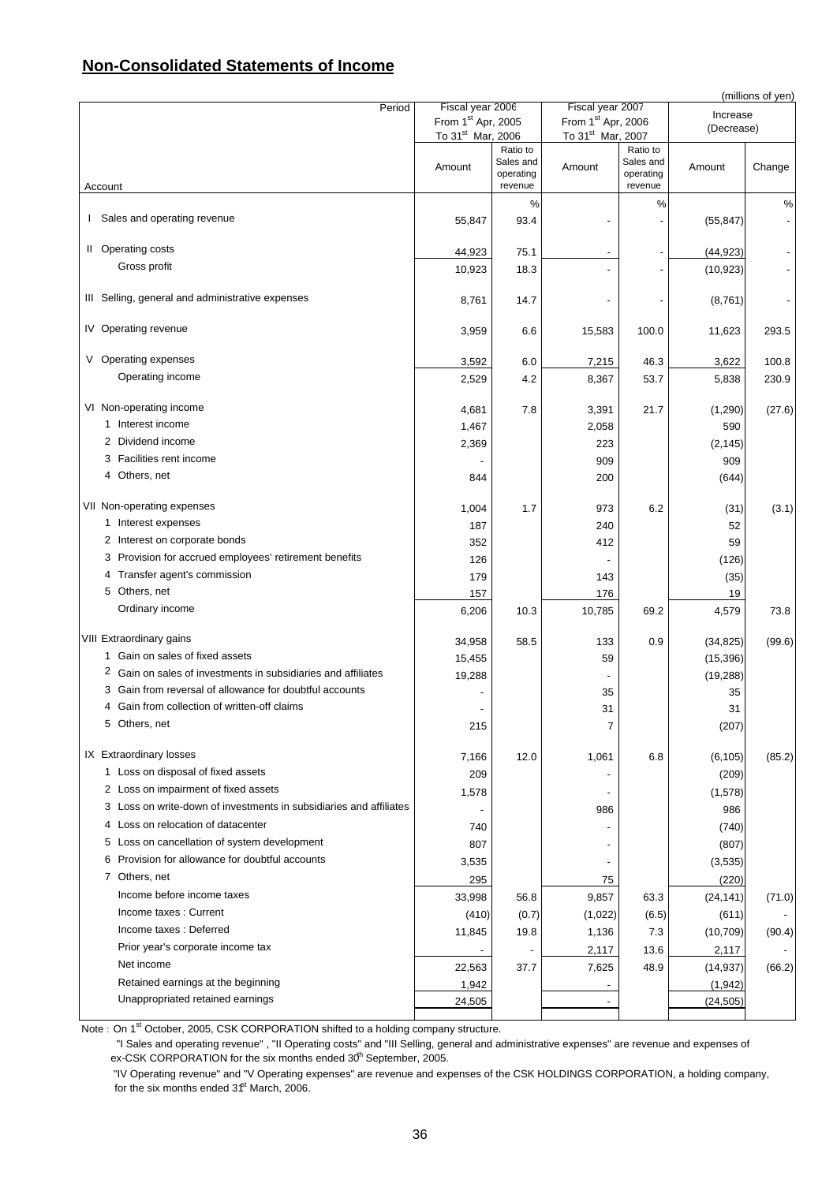## **Non-Consolidated Statements of Income**

| Period                                                             | Fiscal year 2006               |                                               | Fiscal year 2007              |                                               |            | (millions of yen) |
|--------------------------------------------------------------------|--------------------------------|-----------------------------------------------|-------------------------------|-----------------------------------------------|------------|-------------------|
|                                                                    | From 1 <sup>st</sup> Apr, 2005 |                                               | From 1st Apr, 2006            |                                               | Increase   |                   |
|                                                                    | To 31 <sup>st</sup> Mar, 2006  |                                               | To 31 <sup>st</sup> Mar, 2007 |                                               | (Decrease) |                   |
| Account                                                            | Amount                         | Ratio to<br>Sales and<br>operating<br>revenue | Amount                        | Ratio to<br>Sales and<br>operating<br>revenue | Amount     | Change            |
|                                                                    |                                | %                                             |                               | %                                             |            | $\%$              |
| Sales and operating revenue<br>I.                                  | 55,847                         | 93.4                                          |                               |                                               | (55, 847)  |                   |
|                                                                    |                                |                                               |                               |                                               |            |                   |
| II Operating costs                                                 | 44,923                         | 75.1                                          |                               |                                               | (44, 923)  |                   |
| Gross profit                                                       | 10,923                         | 18.3                                          |                               |                                               | (10, 923)  |                   |
| III Selling, general and administrative expenses                   | 8,761                          | 14.7                                          |                               |                                               | (8,761)    |                   |
| IV Operating revenue                                               | 3,959                          | 6.6                                           | 15,583                        | 100.0                                         | 11,623     | 293.5             |
| V Operating expenses                                               | 3,592                          | 6.0                                           | 7,215                         | 46.3                                          | 3,622      | 100.8             |
| Operating income                                                   | 2,529                          | 4.2                                           | 8,367                         | 53.7                                          | 5,838      | 230.9             |
|                                                                    |                                |                                               |                               |                                               |            |                   |
| VI Non-operating income                                            | 4,681                          | 7.8                                           | 3,391                         | 21.7                                          | (1,290)    | (27.6)            |
| 1 Interest income                                                  | 1,467                          |                                               | 2,058                         |                                               | 590        |                   |
| 2 Dividend income                                                  | 2,369                          |                                               | 223                           |                                               | (2, 145)   |                   |
| 3 Facilities rent income                                           |                                |                                               | 909                           |                                               | 909        |                   |
| 4 Others, net                                                      | 844                            |                                               | 200                           |                                               | (644)      |                   |
| VII Non-operating expenses                                         | 1,004                          | 1.7                                           | 973                           | 6.2                                           | (31)       | (3.1)             |
| 1 Interest expenses                                                | 187                            |                                               | 240                           |                                               | 52         |                   |
| 2 Interest on corporate bonds                                      | 352                            |                                               | 412                           |                                               | 59         |                   |
| 3 Provision for accrued employees' retirement benefits             | 126                            |                                               |                               |                                               | (126)      |                   |
| 4 Transfer agent's commission                                      | 179                            |                                               | 143                           |                                               | (35)       |                   |
| 5 Others, net                                                      | 157                            |                                               | 176                           |                                               | 19         |                   |
| Ordinary income                                                    | 6,206                          | 10.3                                          | 10,785                        | 69.2                                          | 4,579      | 73.8              |
| VIII Extraordinary gains                                           | 34,958                         | 58.5                                          | 133                           | 0.9                                           | (34, 825)  | (99.6)            |
| 1 Gain on sales of fixed assets                                    | 15,455                         |                                               | 59                            |                                               | (15, 396)  |                   |
| 2 Gain on sales of investments in subsidiaries and affiliates      | 19,288                         |                                               |                               |                                               | (19, 288)  |                   |
| 3 Gain from reversal of allowance for doubtful accounts            |                                |                                               | 35                            |                                               | 35         |                   |
| 4 Gain from collection of written-off claims                       |                                |                                               | 31                            |                                               | 31         |                   |
| Others, net                                                        | 215                            |                                               |                               |                                               | (207)      |                   |
| IX Extraordinary losses                                            | 7,166                          | 12.0                                          | 1,061                         | 6.8                                           | (6, 105)   | (85.2)            |
| 1 Loss on disposal of fixed assets                                 | 209                            |                                               |                               |                                               | (209)      |                   |
| 2 Loss on impairment of fixed assets                               | 1,578                          |                                               |                               |                                               | (1,578)    |                   |
| 3 Loss on write-down of investments in subsidiaries and affiliates |                                |                                               | 986                           |                                               | 986        |                   |
| 4 Loss on relocation of datacenter                                 | 740                            |                                               |                               |                                               | (740)      |                   |
| Loss on cancellation of system development<br>5                    | 807                            |                                               |                               |                                               | (807)      |                   |
| Provision for allowance for doubtful accounts<br>6                 | 3,535                          |                                               |                               |                                               | (3,535)    |                   |
| 7 Others, net                                                      | 295                            |                                               | 75                            |                                               | (220)      |                   |
| Income before income taxes                                         | 33,998                         | 56.8                                          | 9,857                         | 63.3                                          | (24, 141)  | (71.0)            |
| Income taxes: Current                                              | (410)                          | (0.7)                                         | (1,022)                       | (6.5)                                         | (611)      |                   |
| Income taxes: Deferred                                             | 11,845                         | 19.8                                          | 1,136                         | 7.3                                           | (10, 709)  | (90.4)            |
| Prior year's corporate income tax                                  |                                | $\overline{\phantom{a}}$                      | 2,117                         | 13.6                                          | 2,117      |                   |
| Net income                                                         | 22,563                         | 37.7                                          | 7,625                         | 48.9                                          | (14, 937)  | (66.2)            |
| Retained earnings at the beginning                                 | 1,942                          |                                               |                               |                                               | (1, 942)   |                   |
| Unappropriated retained earnings                                   | 24,505                         |                                               |                               |                                               | (24, 505)  |                   |
|                                                                    |                                |                                               |                               |                                               |            |                   |

Note: On 1<sup>st</sup> October, 2005, CSK CORPORATION shifted to a holding company structure.

 "I Sales and operating revenue" , "II Operating costs" and "III Selling, general and administrative expenses" are revenue and expenses of ex-CSK CORPORATION for the six months ended 30<sup>th</sup> September, 2005.

 "IV Operating revenue" and "V Operating expenses" are revenue and expenses of the CSK HOLDINGS CORPORATION, a holding company, for the six months ended  $3f<sup>t</sup>$  March, 2006.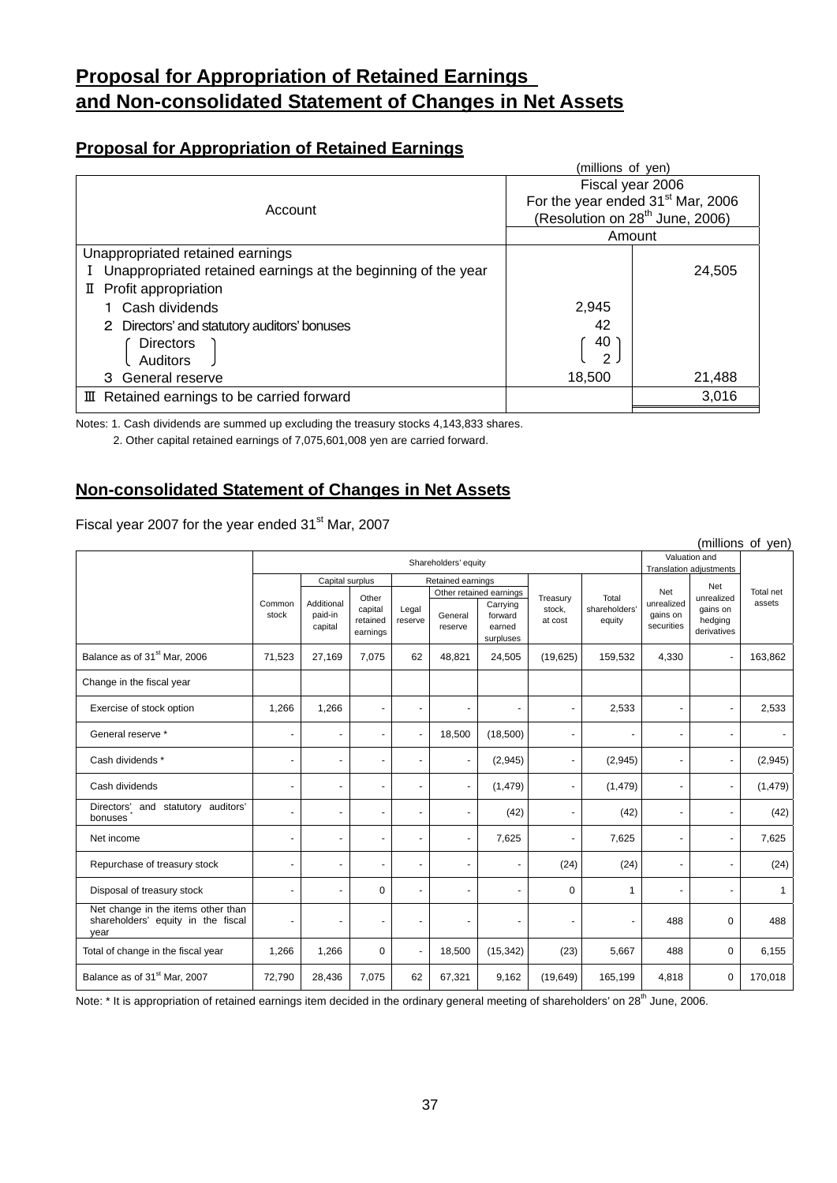# **Proposal for Appropriation of Retained Earnings and Non-consolidated Statement of Changes in Net Assets**

## **Proposal for Appropriation of Retained Earnings**

|                                                               | (millions of yen) |                                               |
|---------------------------------------------------------------|-------------------|-----------------------------------------------|
|                                                               |                   | Fiscal year 2006                              |
| Account                                                       |                   | For the year ended 31 <sup>st</sup> Mar, 2006 |
|                                                               |                   | (Resolution on 28 <sup>th</sup> June, 2006)   |
|                                                               |                   | Amount                                        |
| Unappropriated retained earnings                              |                   |                                               |
| Unappropriated retained earnings at the beginning of the year |                   | 24,505                                        |
| II Profit appropriation                                       |                   |                                               |
| Cash dividends                                                | 2,945             |                                               |
| 2 Directors' and statutory auditors' bonuses                  | 42                |                                               |
| <b>Directors</b>                                              | 40                |                                               |
| Auditors                                                      | 2                 |                                               |
| 3 General reserve                                             | 18,500            | 21,488                                        |
| III Retained earnings to be carried forward                   |                   | 3,016                                         |
|                                                               |                   |                                               |

Notes: 1. Cash dividends are summed up excluding the treasury stocks 4,143,833 shares.

2. Other capital retained earnings of 7,075,601,008 yen are carried forward.

## **Non-consolidated Statement of Changes in Net Assets**

Fiscal year 2007 for the year ended 31<sup>st</sup> Mar, 2007

|                                                                                  |                          |                                      |                                 |                      |                    |                                            |                   |                         |                                      |                                    | (millions of yen) |
|----------------------------------------------------------------------------------|--------------------------|--------------------------------------|---------------------------------|----------------------|--------------------|--------------------------------------------|-------------------|-------------------------|--------------------------------------|------------------------------------|-------------------|
|                                                                                  |                          | Shareholders' equity                 |                                 |                      |                    | Valuation and<br>Translation adjustments   |                   |                         |                                      |                                    |                   |
|                                                                                  |                          | Capital surplus<br>Retained earnings |                                 |                      |                    |                                            |                   |                         | Net                                  |                                    |                   |
|                                                                                  |                          |                                      | Other                           |                      |                    | Other retained earnings                    | Treasury          | Total                   | Net                                  | unrealized                         | Total net         |
|                                                                                  | Common<br>stock          | Additional<br>paid-in<br>capital     | capital<br>retained<br>earnings | Legal<br>reserve     | General<br>reserve | Carrying<br>forward<br>earned<br>surpluses | stock,<br>at cost | shareholders'<br>equity | unrealized<br>gains on<br>securities | gains on<br>hedging<br>derivatives | assets            |
| Balance as of 31 <sup>st</sup> Mar, 2006                                         | 71,523                   | 27,169                               | 7,075                           | 62                   | 48,821             | 24,505                                     | (19,625)          | 159,532                 | 4,330                                | $\blacksquare$                     | 163,862           |
| Change in the fiscal year                                                        |                          |                                      |                                 |                      |                    |                                            |                   |                         |                                      |                                    |                   |
| Exercise of stock option                                                         | 1,266                    | 1,266                                |                                 | ٠                    | ٠                  |                                            | $\blacksquare$    | 2,533                   | ٠                                    | ٠                                  | 2,533             |
| General reserve *                                                                |                          | $\overline{a}$                       |                                 |                      | 18,500             | (18,500)                                   |                   |                         | ٠                                    | ۰                                  |                   |
| Cash dividends *                                                                 | $\overline{\phantom{a}}$ |                                      |                                 | $\overline{a}$       | ÷.                 | (2,945)                                    | $\blacksquare$    | (2,945)                 |                                      | $\blacksquare$                     | (2,945)           |
| Cash dividends                                                                   | $\overline{\phantom{a}}$ |                                      | $\overline{a}$                  | $\ddot{\phantom{1}}$ | ٠                  | (1, 479)                                   | $\blacksquare$    | (1, 479)                | ٠                                    | ٠                                  | (1, 479)          |
| Directors' and statutory auditors'<br>bonuses                                    |                          | $\overline{a}$                       |                                 |                      |                    | (42)                                       | $\overline{a}$    | (42)                    |                                      | ٠                                  | (42)              |
| Net income                                                                       | $\overline{\phantom{a}}$ | $\overline{\phantom{a}}$             |                                 |                      | ä,                 | 7,625                                      |                   | 7,625                   | ÷,                                   | ٠                                  | 7,625             |
| Repurchase of treasury stock                                                     |                          |                                      |                                 |                      |                    | $\blacksquare$                             | (24)              | (24)                    |                                      | ٠                                  | (24)              |
| Disposal of treasury stock                                                       | $\overline{a}$           |                                      | 0                               |                      |                    | $\blacksquare$                             | 0                 | 1                       | $\ddot{\phantom{1}}$                 | $\blacksquare$                     | $\mathbf{1}$      |
| Net change in the items other than<br>shareholders' equity in the fiscal<br>year |                          |                                      |                                 |                      |                    | ٠                                          | $\overline{a}$    |                         | 488                                  | 0                                  | 488               |
| Total of change in the fiscal year                                               | 1,266                    | 1,266                                | $\mathbf 0$                     |                      | 18,500             | (15, 342)                                  | (23)              | 5,667                   | 488                                  | 0                                  | 6,155             |
| Balance as of 31 <sup>st</sup> Mar, 2007                                         | 72,790                   | 28,436                               | 7,075                           | 62                   | 67,321             | 9,162                                      | (19,649)          | 165,199                 | 4,818                                | 0                                  | 170,018           |

Note: \* It is appropriation of retained earnings item decided in the ordinary general meeting of shareholders' on 28<sup>th</sup> June, 2006.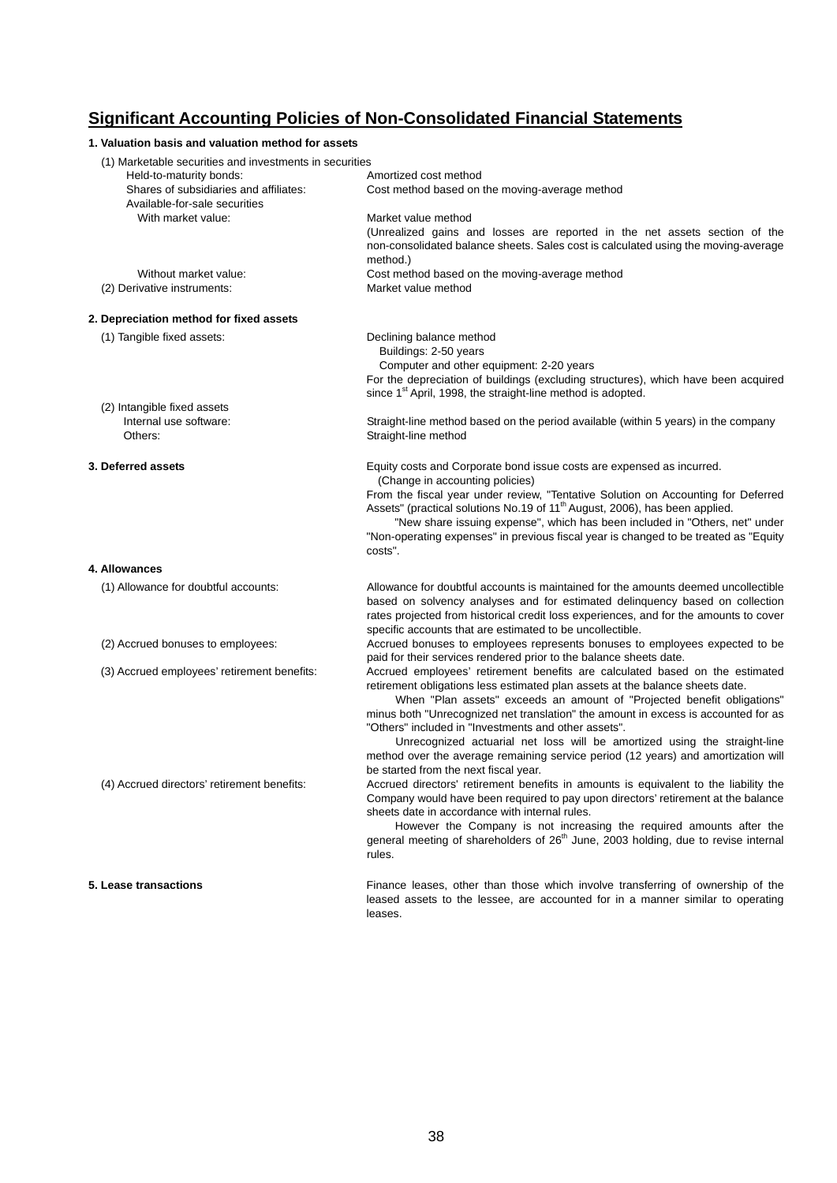## **Significant Accounting Policies of Non-Consolidated Financial Statements**

| 1. Valuation basis and valuation method for assets                      |                                                                                                                            |
|-------------------------------------------------------------------------|----------------------------------------------------------------------------------------------------------------------------|
| (1) Marketable securities and investments in securities                 |                                                                                                                            |
| Held-to-maturity bonds:                                                 | Amortized cost method                                                                                                      |
| Shares of subsidiaries and affiliates:<br>Available-for-sale securities | Cost method based on the moving-average method                                                                             |
| With market value:                                                      | Market value method                                                                                                        |
|                                                                         | (Unrealized gains and losses are reported in the net assets section of the                                                 |
|                                                                         | non-consolidated balance sheets. Sales cost is calculated using the moving-average<br>method.)                             |
| Without market value:                                                   | Cost method based on the moving-average method                                                                             |
| (2) Derivative instruments:                                             | Market value method                                                                                                        |
| 2. Depreciation method for fixed assets                                 |                                                                                                                            |
| (1) Tangible fixed assets:                                              | Declining balance method                                                                                                   |
|                                                                         | Buildings: 2-50 years                                                                                                      |
|                                                                         | Computer and other equipment: 2-20 years                                                                                   |
|                                                                         | For the depreciation of buildings (excluding structures), which have been acquired                                         |
|                                                                         | since 1 <sup>st</sup> April, 1998, the straight-line method is adopted.                                                    |
| (2) Intangible fixed assets                                             |                                                                                                                            |
| Internal use software:                                                  | Straight-line method based on the period available (within 5 years) in the company                                         |
| Others:                                                                 | Straight-line method                                                                                                       |
| 3. Deferred assets                                                      | Equity costs and Corporate bond issue costs are expensed as incurred.                                                      |
|                                                                         | (Change in accounting policies)                                                                                            |
|                                                                         | From the fiscal year under review, "Tentative Solution on Accounting for Deferred                                          |
|                                                                         | Assets" (practical solutions No.19 of 11 <sup>th</sup> August, 2006), has been applied.                                    |
|                                                                         | "New share issuing expense", which has been included in "Others, net" under                                                |
|                                                                         | "Non-operating expenses" in previous fiscal year is changed to be treated as "Equity"<br>costs".                           |
| 4. Allowances                                                           |                                                                                                                            |
| (1) Allowance for doubtful accounts:                                    | Allowance for doubtful accounts is maintained for the amounts deemed uncollectible                                         |
|                                                                         | based on solvency analyses and for estimated delinquency based on collection                                               |
|                                                                         | rates projected from historical credit loss experiences, and for the amounts to cover                                      |
|                                                                         | specific accounts that are estimated to be uncollectible.                                                                  |
| (2) Accrued bonuses to employees:                                       | Accrued bonuses to employees represents bonuses to employees expected to be                                                |
|                                                                         | paid for their services rendered prior to the balance sheets date.                                                         |
| (3) Accrued employees' retirement benefits:                             | Accrued employees' retirement benefits are calculated based on the estimated                                               |
|                                                                         | retirement obligations less estimated plan assets at the balance sheets date.                                              |
|                                                                         | When "Plan assets" exceeds an amount of "Projected benefit obligations"                                                    |
|                                                                         | minus both "Unrecognized net translation" the amount in excess is accounted for as                                         |
|                                                                         | "Others" included in "Investments and other assets".                                                                       |
|                                                                         | Unrecognized actuarial net loss will be amortized using the straight-line                                                  |
|                                                                         | method over the average remaining service period (12 years) and amortization will<br>be started from the next fiscal year. |
| (4) Accrued directors' retirement benefits:                             | Accrued directors' retirement benefits in amounts is equivalent to the liability the                                       |
|                                                                         | Company would have been required to pay upon directors' retirement at the balance                                          |
|                                                                         | sheets date in accordance with internal rules.                                                                             |
|                                                                         | However the Company is not increasing the required amounts after the                                                       |
|                                                                         | general meeting of shareholders of 26 <sup>th</sup> June, 2003 holding, due to revise internal                             |
|                                                                         | rules.                                                                                                                     |
| 5. Lease transactions                                                   | Finance leases, other than those which involve transferring of ownership of the                                            |
|                                                                         | leased assets to the lessee, are accounted for in a manner similar to operating                                            |
|                                                                         | leases.                                                                                                                    |